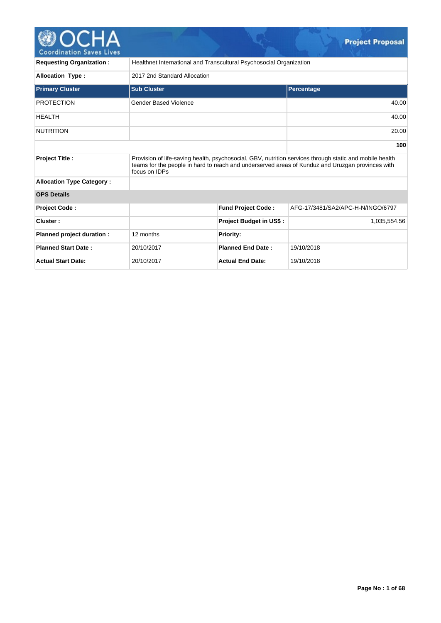

| <b>Requesting Organization:</b>  |                              | Healthnet International and Transcultural Psychosocial Organization |                                                                                                                                                                                                             |
|----------------------------------|------------------------------|---------------------------------------------------------------------|-------------------------------------------------------------------------------------------------------------------------------------------------------------------------------------------------------------|
| <b>Allocation Type:</b>          | 2017 2nd Standard Allocation |                                                                     |                                                                                                                                                                                                             |
| <b>Primary Cluster</b>           | <b>Sub Cluster</b>           |                                                                     | Percentage                                                                                                                                                                                                  |
| <b>PROTECTION</b>                | Gender Based Violence        |                                                                     | 40.00                                                                                                                                                                                                       |
| <b>HEALTH</b>                    |                              |                                                                     | 40.00                                                                                                                                                                                                       |
| <b>NUTRITION</b>                 |                              |                                                                     | 20.00                                                                                                                                                                                                       |
|                                  |                              |                                                                     | 100                                                                                                                                                                                                         |
| <b>Project Title:</b>            | focus on IDPs                |                                                                     | Provision of life-saving health, psychosocial, GBV, nutrition services through static and mobile health<br>teams for the people in hard to reach and underserved areas of Kunduz and Uruzgan provinces with |
| <b>Allocation Type Category:</b> |                              |                                                                     |                                                                                                                                                                                                             |
| <b>OPS Details</b>               |                              |                                                                     |                                                                                                                                                                                                             |
| <b>Project Code:</b>             |                              | <b>Fund Project Code:</b>                                           | AFG-17/3481/SA2/APC-H-N/INGO/6797                                                                                                                                                                           |
| Cluster:                         |                              | Project Budget in US\$:                                             | 1,035,554.56                                                                                                                                                                                                |
| Planned project duration :       | 12 months                    | <b>Priority:</b>                                                    |                                                                                                                                                                                                             |
| <b>Planned Start Date:</b>       | 20/10/2017                   | <b>Planned End Date:</b>                                            | 19/10/2018                                                                                                                                                                                                  |
| <b>Actual Start Date:</b>        | 20/10/2017                   | <b>Actual End Date:</b>                                             | 19/10/2018                                                                                                                                                                                                  |

**Project Proposal**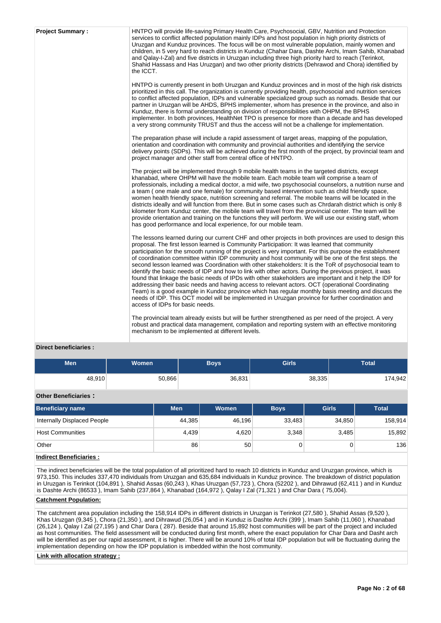| <b>Project Summary:</b> | HNTPO will provide life-saving Primary Health Care, Psychosocial, GBV, Nutrition and Protection<br>services to conflict affected population mainly IDPs and host population in high priority districts of<br>Uruzgan and Kunduz provinces. The focus will be on most vulnerable population, mainly women and<br>children, in 5 very hard to reach districts in Kunduz (Chahar Dara, Dashte Archi, Imam Sahib, Khanabad<br>and Qalay-I-Zal) and five districts in Uruzgan including three high priority hard to reach (Terinkot,<br>Shahid Hassass and Has Uruzgan) and two other priority districts (Dehrawod and Chora) identified by<br>the ICCT.                                                                                                                                                                                                                                                                                                                                                                                                                                                            |
|-------------------------|----------------------------------------------------------------------------------------------------------------------------------------------------------------------------------------------------------------------------------------------------------------------------------------------------------------------------------------------------------------------------------------------------------------------------------------------------------------------------------------------------------------------------------------------------------------------------------------------------------------------------------------------------------------------------------------------------------------------------------------------------------------------------------------------------------------------------------------------------------------------------------------------------------------------------------------------------------------------------------------------------------------------------------------------------------------------------------------------------------------|
|                         | HNTPO is currently present in both Uruzgan and Kunduz provinces and in most of the high risk districts<br>prioritized in this call. The organization is currently providing health, psychosocial and nutrition services<br>to conflict affected population, IDPs and vulnerable specialized group such as nomads. Beside that our<br>partner in Uruzgan will be AHDS, BPHS implementer, whom has presence in the province, and also in<br>Kunduz, there is formal understanding on division of responsibilities with OHPM, the BPHS<br>implementer. In both provinces, HealthNet TPO is presence for more than a decade and has developed<br>a very strong community TRUST and thus the access will not be a challenge for implementation.                                                                                                                                                                                                                                                                                                                                                                     |
|                         | The preparation phase will include a rapid assessment of target areas, mapping of the population,<br>orientation and coordination with community and provincial authorities and identifying the service<br>delivery points (SDPs). This will be achieved during the first month of the project, by provincial team and<br>project manager and other staff from central office of HNTPO.                                                                                                                                                                                                                                                                                                                                                                                                                                                                                                                                                                                                                                                                                                                        |
|                         | The project will be implemented through 9 mobile health teams in the targeted districts, except<br>khanabad, where OHPM will have the mobile team. Each mobile team will comprise a team of<br>professionals, including a medical doctor, a mid wife, two psychosocial counselors, a nutrition nurse and<br>a team (one male and one female) for community based intervention such as child friendly space,<br>women health friendly space, nutrition screening and referral. The mobile teams will be located in the<br>districts ideally and will function from there. But in some cases such as Chrdarah district which is only 8<br>kilometer from Kunduz center, the mobile team will travel from the provincial center. The team will be<br>provide orientation and training on the functions they will perform. We will use our existing staff, whom<br>has good performance and local experience, for our mobile team.                                                                                                                                                                                 |
|                         | The lessons learned during our current CHF and other projects in both provinces are used to design this<br>proposal. The first lesson learned is Community Participation: It was learned that community<br>participation for the smooth running of the project is very important. For this purpose the establishment<br>of coordination committee within IDP community and host community will be one of the first steps. the<br>second lesson learned was Coordination with other stakeholders: It is the ToR of psychosocial team to<br>identify the basic needs of IDP and how to link with other actors. During the previous project, it was<br>found that linkage the basic needs of IPDs with other stakeholders are important and it help the IDP for<br>addressing their basic needs and having access to relevant actors. OCT (operational Coordinating<br>Team) is a good example in Kundoz province which has regular monthly basis meeting and discuss the<br>needs of IDP. This OCT model will be implemented in Uruzgan province for further coordination and<br>access of IDPs for basic needs. |
|                         | The provincial team already exists but will be further strengthened as per need of the project. A very<br>robust and practical data management, compilation and reporting system with an effective monitoring<br>mechanism to be implemented at different levels.                                                                                                                                                                                                                                                                                                                                                                                                                                                                                                                                                                                                                                                                                                                                                                                                                                              |

## **Direct beneficiaries :**

| <b>Men</b> | <b>Women</b> | Boys   | <b>Girls</b> | <b>Total</b> |
|------------|--------------|--------|--------------|--------------|
| 48,910     | 50,866       | 36,831 | 38,335       | 174.942      |

## **Other Beneficiaries :**

| <b>Beneficiary name</b>     | <b>Men</b> | Women  | <b>Boys</b> | <b>Girls</b> | <b>Total</b> |
|-----------------------------|------------|--------|-------------|--------------|--------------|
| Internally Displaced People | 44,385     | 46.196 | 33,483      | 34,850       | 158,914      |
| <b>Host Communities</b>     | 4,439      | 4,620  | 3,348       | 3,485        | 15,892       |
| Other                       | 86         | 50     |             |              | 136          |

## **Indirect Beneficiaries :**

The indirect beneficiaries will be the total population of all prioritized hard to reach 10 districts in Kunduz and Uruzgan province, which is 973,150. This includes 337,470 individuals from Uruzgan and 635,684 individuals in Kunduz province. The breakdown of district population in Uruzgan is Terinkot (104,891 ), Shahid Assas (60,243 ), Khas Uruzgan (57,723 ), Chora (52202 ), and Dihrawud (62,411 ) and in Kunduz is Dashte Archi (86533 ), Imam Sahib (237,864 ), Khanabad (164,972 ), Qalay I Zal (71,321 ) and Char Dara ( 75,004).

### **Catchment Population:**

The catchment area population including the 158,914 IDPs in different districts in Uruzgan is Terinkot (27,580 ), Shahid Assas (9,520 ), Khas Uruzgan (9,345 ), Chora (21,350 ), and Dihrawud (26,054 ) and in Kunduz is Dashte Archi (399 ), Imam Sahib (11,060 ), Khanabad (26,124 ), Qalay I Zal (27,195 ) and Char Dara ( 287). Beside that around 15,892 host communities will be part of the project and included as host communities. The field assessment will be conducted during first month, where the exact population for Char Dara and Dasht arch will be identified as per our rapid assessment, it is higher. There will be around 10% of total IDP population but will be fluctuating during the implementation depending on how the IDP population is imbedded within the host community.

### **Link with allocation strategy :**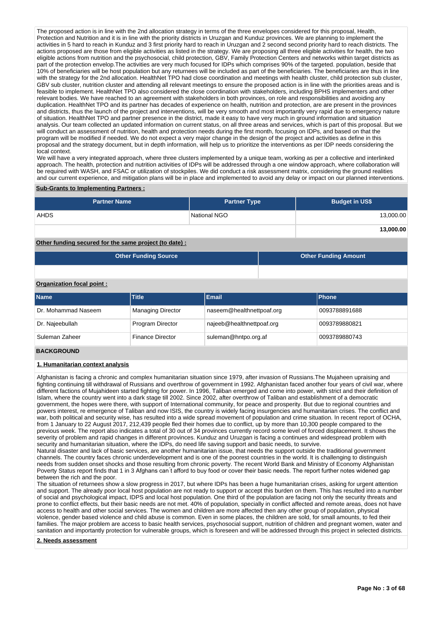The proposed action is in line with the 2nd allocation strategy in terms of the three envelopes considered for this proposal, Health, Protection and Nutrition and it is in line with the priority districts in Uruzgan and Kunduz provinces. We are planning to implement the activities in 5 hard to reach in Kunduz and 3 first priority hard to reach in Uruzgan and 2 second second priority hard to reach districts. The actions proposed are those from eligible activities as listed in the strategy. We are proposing all three eligible activities for health, the two eligible actions from nutrition and the psychosocial, child protection, GBV, Family Protection Centers and networks within target districts as part of the protection envelop. The activities are very much focused for IDPs which comprises 90% of the targeted. population, beside that 10% of beneficiaries will be host population but any returnees will be included as part of the beneficiaries. The beneficiaries are thus in line with the strategy for the 2nd allocation. HealthNet TPO had close coordination and meetings with health cluster, child protection sub cluster, GBV sub cluster, nutrition cluster and attending all relevant meetings to ensure the proposed action is in line with the priorities areas and is feasible to implement. HealthNet TPO also considered the close coordination with stakeholders, including BPHS implementers and other relevant bodies. We have reached to an agreement with stakeholders in both provinces, on role and responsibilities and avoiding any duplication. HealthNet TPO and its partner has decades of experience on health, nutrition and protection, are are present in the provinces and districts, thus the launch of the project and interventions, will be very smooth and most importantly very rapid due to emergency nature of situation. HealthNet TPO and partner presence in the district, made it easy to have very much in ground information and situation analysis. Our team collected an updated information on current status, on all three areas and services, which is part of this proposal. But we will conduct an assessment of nutrition, health and protection needs during the first month, focusing on IDPs, and based on that the program will be modified if needed. We do not expect a very major change in the design of the project and activities as define in this proposal and the strategy document, but in depth information, will help us to prioritize the interventions as per IDP needs considering the local context.

We will have a very integrated approach, where three clusters implemented by a unique team, working as per a collective and interlinked approach. The health, protection and nutrition activities of IDPs will be addressed through a one window approach, where collaboration will be required with WASH, and FSAC or utilization of stockpiles. We did conduct a risk assessment matrix, considering the ground realities and our current experience, and mitigation plans will be in place and implemented to avoid any delay or impact on our planned interventions.

### **Sub-Grants to Implementing Partners :**

| <b>Partner Name</b> | <b>Partner Type</b> | <b>Budget in US\$</b> |
|---------------------|---------------------|-----------------------|
| <b>AHDS</b>         | National NGO        | 13,000.00             |
|                     |                     | 13,000.00             |

## **Other funding secured for the same project (to date) :**

| <b>Other Funding Source</b> | <b>Other Funding Amount</b> |
|-----------------------------|-----------------------------|
|-----------------------------|-----------------------------|

## **Organization focal point :**

| <b>Name</b>         | <b>Title</b>             | Email                     | <b>Phone</b>  |
|---------------------|--------------------------|---------------------------|---------------|
| Dr. Mohammad Naseem | <b>Managing Director</b> | naseem@healthnettpoaf.org | 0093788891688 |
| Dr. Najeebullah     | Program Director         | najeeb@healthnettpoaf.org | 0093789880821 |
| Suleman Zaheer      | <b>Finance Director</b>  | suleman@hntpo.org.af      | 0093789880743 |

### **BACKGROUND**

### **1. Humanitarian context analysis**

Afghanistan is facing a chronic and complex humanitarian situation since 1979, after invasion of Russians.The Mujaheen upraising and fighting continuing till withdrawal of Russians and overthrow of government in 1992. Afghanistan faced another four years of civil war, where different factions of Mujahideen started fighting for power. In 1996, Taliban emerged and come into power, with strict and their definition of Islam, where the country went into a dark stage till 2002. Since 2002, after overthrow of Taliban and establishment of a democratic government, the hopes were there, with support of International community, for peace and prosperity. But due to regional countries and powers interest, re emergence of Taliban and now ISIS, the country is widely facing insurgencies and humanitarian crises. The conflict and war, both political and security wise, has resulted into a wide spread movement of population and crime situation. In recent report of OCHA, from 1 January to 22 August 2017, 212,439 people fled their homes due to conflict, up by more than 10,300 people compared to the previous week. The report also indicates a total of 30 out of 34 provinces currently record some level of forced displacement. It shows the severity of problem and rapid changes in different provinces. Kunduz and Uruzgan is facing a continues and widespread problem with security and humanitarian situation, where the IDPs, do need life saving support and basic needs, to survive.

Natural disaster and lack of basic services, are another humanitarian issue, that needs the support outside the traditional government channels. The country faces chronic underdevelopment and is one of the poorest countries in the world. It is challenging to distinguish needs from sudden onset shocks and those resulting from chronic poverty. The recent World Bank and Ministry of Economy Afghanistan Poverty Status report finds that 1 in 3 Afghans can t afford to buy food or cover their basic needs. The report further notes widened gap between the rich and the poor.

The situation of returnees show a slow progress in 2017, but where IDPs has been a huge humanitarian crises, asking for urgent attention and support. The already poor local host population are not ready to support or accept this burden on them. This has resulted into a number of social and psychological impact, IDPS and local host population. One third of the population are facing not only the security threats and prone to conflict effects, but their basic needs are not met. 40% of population, specially in conflict affected and remote areas, does not have access to health and other social services. The women and children are more affected then any other group of population, physical violence, gender based violence and child abuse is common. Even in some places, the children are sold, for small amounts, to fed their families. The major problem are access to basic health services, psychosocial support, nutrition of children and pregnant women, water and sanitation and importantly protection for vulnerable groups, which is foreseen and will be addressed through this project in selected districts.

**2. Needs assessment**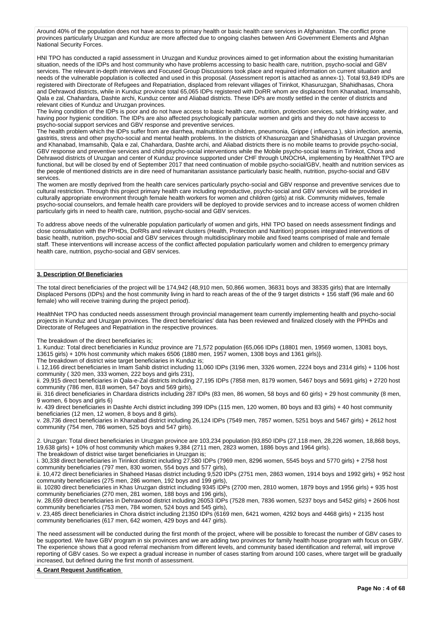Around 40% of the population does not have access to primary health or basic health care services in Afghanistan. The conflict prone provinces particularly Uruzgan and Kunduz are more affected due to ongoing clashes between Anti Government Elements and Afghan National Security Forces.

HNI TPO has conducted a rapid assessment in Uruzgan and Kunduz provinces aimed to get information about the existing humanitarian situation, needs of the IDPs and host community who have problems accessing to basic health care, nutrition, psycho-social and GBV services. The relevant in-depth interviews and Focused Group Discussions took place and required information on current situation and needs of the vulnerable population is collected and used in this proposal. (Assessment report is attached as annex-1). Total 93,849 IDPs are registered with Directorate of Refugees and Repatriation, displaced from relevant villages of Tirinkot, Khasuruzgan, Shahidhasas, Chora and Dehrawod districts, while in Kunduz province total 65,065 IDPs registered with DoRR whom are displaced from Khanabad, Imamsahib, Qala e zal, Chahardara, Dashte archi, Kunduz center and Aliabad districts. These IDPs are mostly settled in the center of districts and relevant cities of Kunduz and Uruzgan provinces.

The living condition of the IDPs is poor and do not have access to basic health care, nutrition, protection services, safe drinking water, and having poor hygienic condition. The IDPs are also affected psychologically particular women and girls and they do not have access to psycho-social support services and GBV response and preventive services.

The health problem which the IDPs suffer from are diarrhea, malnutrition in children, pneumonia, Grippe ( influenza ), skin infection, anemia, gastritis, stress and other psycho-social and mental health problems. In the districts of Khasurozgan and Shahidhasas of Uruzgan province and Khanabad, Imamsahib, Qala e zal, Chahardara, Dashte archi, and Aliabad districts there is no mobile teams to provide psycho-social, GBV response and preventive services and child psycho-social interventions while the Mobile psycho-social teams in Tirinkot, Chora and Dehrawod districts of Uruzgan and center of Kunduz province supported under CHF through UNOCHA, implementing by HealthNet TPO are functional, but will be closed by end of September 2017 that need continuation of mobile psycho-social/GBV, health and nutrition services as the people of mentioned districts are in dire need of humanitarian assistance particularly basic health, nutrition, psycho-social and GBV services.

The women are mostly deprived from the health care services particularly psycho-social and GBV response and preventive services due to cultural restriction. Through this project primary health care including reproductive, psycho-social and GBV services will be provided in culturally appropriate environment through female health workers for women and children (girls) at risk. Community midwives, female psycho-social counselors, and female health care providers will be deployed to provide services and to increase access of women children particularly girls in need to health care, nutrition, psycho-social and GBV services.

To address above needs of the vulnerable population particularly of women and girls, HNI TPO based on needs assessment findings and close consultation with the PPHDs, DoRRs and relevant clusters (Health, Protection and Nutrition) proposes integrated interventions of basic health, nutrition, psycho-social and GBV services through multidisciplinary mobile and fixed teams comprised of male and female staff. These interventions will increase access of the conflict affected population particularly women and children to emergency primary health care, nutrition, psycho-social and GBV services.

### **3. Description Of Beneficiaries**

The total direct beneficiaries of the project will be 174,942 (48,910 men, 50,866 women, 36831 boys and 38335 girls) that are Internally Displaced Persons (IDPs) and the host community living in hard to reach areas of the of the 9 target districts + 156 staff (96 male and 60 female) who will receive training during the project period).

HealthNet TPO has conducted needs assessment through provincial management team currently implementing health and psycho-social projects in Kunduz and Uruzgan provinces. The direct beneficiaries' data has been reviewed and finalized closely with the PPHDs and Directorate of Refugees and Repatriation in the respective provinces.

The breakdown of the direct beneficiaries is;

1. Kunduz: Total direct beneficiaries in Kunduz province are 71,572 population {65,066 IDPs (18801 men, 19569 women, 13081 boys, 13615 girls) + 10% host community which makes 6506 (1880 men, 1957 women, 1308 boys and 1361 girls)}.

The breakdown of district wise target beneficiaries in Kunduz is;

i. 12,166 direct beneficiaries in Imam Sahib district including 11,060 IDPs (3196 men, 3326 women, 2224 boys and 2314 girls) + 1106 host community ( 320 men, 333 women, 222 boys and girls 231),

ii. 29,915 direct beneficiaries in Qala-e-Zal districts including 27,195 IDPs (7858 men, 8179 women, 5467 boys and 5691 girls) + 2720 host community (786 men, 818 women, 547 boys and 569 girls),

iii. 316 direct beneficiaries in Chardara districts including 287 IDPs (83 men, 86 women, 58 boys and 60 girls) + 29 host community (8 men, 9 women, 6 boys and girls 6)

iv. 439 direct beneficiaries in Dashte Archi district including 399 IDPs (115 men, 120 women, 80 boys and 83 girls) + 40 host community beneficiaries (12 men, 12 women, 8 boys and 8 girls).

v. 28,736 direct beneficiaries in Khanabad district including 26,124 IDPs (7549 men, 7857 women, 5251 boys and 5467 girls) + 2612 host community (754 men, 786 women, 525 boys and 547 girls).

2. Uruzgan: Total direct beneficiaries in Uruzgan province are 103,234 population {93,850 IDPs (27,118 men, 28,226 women, 18,868 boys, 19,638 girls) + 10% of host community which makes 9,384 (2711 men, 2823 women, 1886 boys and 1964 girls). The breakdown of district wise target beneficiaries in Uruzgan is;

i. 30,338 direct beneficiaries in Tirinkot district including 27,580 IDPs (7969 men, 8296 women, 5545 boys and 5770 girls) + 2758 host community beneficiaries (797 men, 830 women, 554 boys and 577 girls),

ii. 10,472 direct beneficiaries in Shaheed Hasas district including 9,520 IDPs (2751 men, 2863 women, 1914 boys and 1992 girls) + 952 host community beneficiaries (275 men, 286 women, 192 boys and 199 girls),

iii. 10280 direct beneficiaries in Khas Uruzgan district including 9345 IDPs (2700 men, 2810 women, 1879 boys and 1956 girls) + 935 host community beneficiaries (270 men, 281 women, 188 boys and 196 girls),

iv. 28,659 direct beneficiaries in Dehrawood district including 26053 IDPs (7528 men, 7836 women, 5237 boys and 5452 girls) + 2606 host community beneficiaries (753 men, 784 women, 524 boys and 545 girls),

v. 23,485 direct beneficiaries in Chora district including 21350 IDPs (6169 men, 6421 women, 4292 boys and 4468 girls) + 2135 host community beneficiaries (617 men, 642 women, 429 boys and 447 girls).

The need assessment will be conducted during the first month of the project, where will be possible to forecast the number of GBV cases to be supported. We have GBV program in six provinces and we are adding two provinces for family health house program with focus on GBV. The experience shows that a good referral mechanism from different levels, and community based identification and referral, will improve reporting of GBV cases. So we expect a gradual increase in number of cases starting from around 100 cases, where target will be gradually increased, but defined during the first month of assessment.

### **4. Grant Request Justification**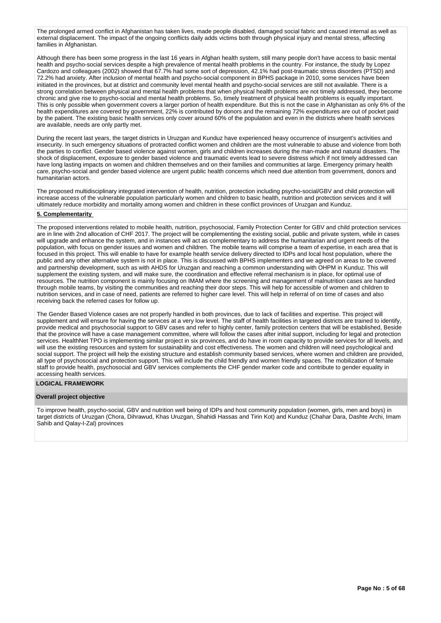The prolonged armed conflict in Afghanistan has taken lives, made people disabled, damaged social fabric and caused internal as well as external displacement. The impact of the ongoing conflicts daily adds victims both through physical injury and mental stress, affecting families in Afghanistan.

Although there has been some progress in the last 16 years in Afghan health system, still many people don't have access to basic mental health and psycho-social services despite a high prevalence of mental health problems in the country. For instance, the study by Lopez Cardozo and colleagues (2002) showed that 67.7% had some sort of depression, 42.1% had post-traumatic stress disorders (PTSD) and 72.2% had anxiety. After inclusion of mental health and psycho-social component in BPHS package in 2010, some services have been initiated in the provinces, but at district and community level mental health and psycho-social services are still not available. There is a strong correlation between physical and mental health problems that when physical health problems are not timely addressed, they become chronic and give rise to psycho-social and mental health problems. So, timely treatment of physical health problems is equally important. This is only possible when government covers a larger portion of health expenditure. But this is not the case in Afghanistan as only 6% of the health expenditures are covered by government, 22% is contributed by donors and the remaining 72% expenditures are out of pocket paid by the patient. The existing basic health services only cover around 60% of the population and even in the districts where health services are available, needs are only partly met.

During the recent last years, the target districts in Uruzgan and Kunduz have experienced heavy occurrence of insurgent's activities and insecurity. In such emergency situations of protracted conflict women and children are the most vulnerable to abuse and violence from both the parties to conflict. Gender based violence against women, girls and children increases during the man-made and natural disasters. The shock of displacement, exposure to gender based violence and traumatic events lead to severe distress which if not timely addressed can have long lasting impacts on women and children themselves and on their families and communities at large. Emergency primary health care, psycho-social and gender based violence are urgent public health concerns which need due attention from government, donors and humanitarian actors.

The proposed multidisciplinary integrated intervention of health, nutrition, protection including psycho-social/GBV and child protection will increase access of the vulnerable population particularly women and children to basic health, nutrition and protection services and it will ultimately reduce morbidity and mortality among women and children in these conflict provinces of Uruzgan and Kunduz.

## **5. Complementarity**

The proposed interventions related to mobile health, nutrition, psychosocial, Family Protection Center for GBV and child protection services are in line with 2nd allocation of CHF 2017. The project will be complementing the existing social, public and private system, while in cases will upgrade and enhance the system, and in instances will act as complementary to address the humanitarian and urgent needs of the population, with focus on gender issues and women and children. The mobile teams will comprise a team of expertise, in each area that is focused in this project. This will enable to have for example health service delivery directed to IDPs and local host population, where the public and any other alternative system is not in place. This is discussed with BPHS implementers and we agreed on areas to be covered and partnership development, such as with AHDS for Uruzgan and reaching a common understanding with OHPM in Kunduz. This will supplement the existing system, and will make sure, the coordination and effective referral mechanism is in place, for optimal use of resources. The nutrition component is mainly focusing on IMAM where the screening and management of malnutrition cases are handled through mobile teams, by visiting the communities and reaching their door steps. This will help for accessible of women and children to nutrition services, and in case of need, patients are referred to higher care level. This will help in referral of on time of cases and also receiving back the referred cases for follow up.

The Gender Based Violence cases are not properly handled in both provinces, due to lack of facilities and expertise. This project will supplement and will ensure for having the services at a very low level. The staff of health facilities in targeted districts are trained to identify, provide medical and psychosocial support to GBV cases and refer to highly center, family protection centers that will be established, Beside that the province will have a case management committee, where will follow the cases after initial support, including for legal and protection services. HealthNet TPO is implementing similar project in six provinces, and do have in room capacity to provide services for all levels, and will use the existing resources and system for sustainability and cost effectiveness. The women and children will need psychological and social support. The project will help the existing structure and establish community based services, where women and children are provided, all type of psychosocial and protection support. This will include the child friendly and women friendly spaces. The mobilization of female staff to provide health, psychosocial and GBV services complements the CHF gender marker code and contribute to gender equality in accessing health services.

### **LOGICAL FRAMEWORK**

#### **Overall project objective**

To improve health, psycho-social, GBV and nutrition well being of IDPs and host community population (women, girls, men and boys) in target districts of Uruzgan (Chora, Dihrawud, Khas Uruzgan, Shahidi Hassas and Tirin Kot) and Kunduz (Chahar Dara, Dashte Archi, Imam Sahib and Qalay-I-Zal) provinces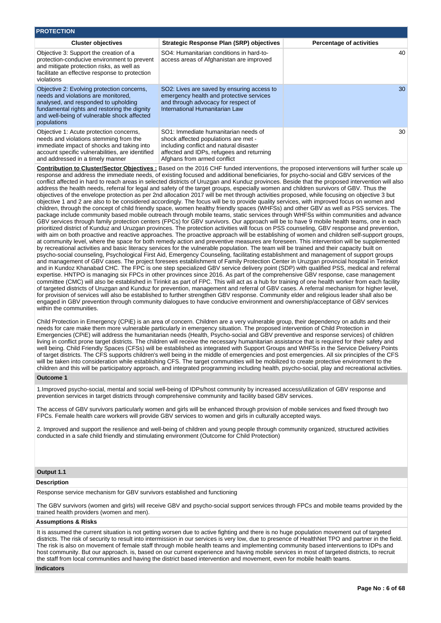| <b>PROTECTION</b>                                                                                                                                                                                                                       |                                                                                                                                                                                                     |                                 |
|-----------------------------------------------------------------------------------------------------------------------------------------------------------------------------------------------------------------------------------------|-----------------------------------------------------------------------------------------------------------------------------------------------------------------------------------------------------|---------------------------------|
| <b>Cluster objectives</b>                                                                                                                                                                                                               | <b>Strategic Response Plan (SRP) objectives</b>                                                                                                                                                     | <b>Percentage of activities</b> |
| Objective 3: Support the creation of a<br>protection-conducive environment to prevent<br>and mitigate protection risks, as well as<br>facilitate an effective response to protection<br>violations                                      | SO4: Humanitarian conditions in hard-to-<br>access areas of Afghanistan are improved                                                                                                                | 40                              |
| Objective 2: Evolving protection concerns,<br>needs and violations are monitored,<br>analysed, and responded to upholding<br>fundamental rights and restoring the dignity<br>and well-being of vulnerable shock affected<br>populations | SO2: Lives are saved by ensuring access to<br>emergency health and protective services<br>and through advocacy for respect of<br>International Humanitarian Law                                     | 30.                             |
| Objective 1: Acute protection concerns,<br>needs and violations stemming from the<br>immediate impact of shocks and taking into<br>account specific vulnerabilities, are identified<br>and addressed in a timely manner                 | SO1: Immediate humanitarian needs of<br>shock affected populations are met -<br>including conflict and natural disaster<br>affected and IDPs, refugees and returning<br>Afghans from armed conflict | 30                              |

**Contribution to Cluster/Sector Objectives :** Based on the 2016 CHF funded interventions, the proposed interventions will further scale up response and address the immediate needs, of existing focused and additional beneficiaries, for psycho-social and GBV services of the conflict affected in hard to reach areas in selected districts of Uruzgan and Kunduz provinces. Beside that the proposed intervention will also address the health needs, referral for legal and safety of the target groups, especially women and children survivors of GBV. Thus the objectives of the envelope protection as per 2nd allocation 2017 will be met through activities proposed, while focusing on objective 3 but objective 1 and 2 are also to be considered accordingly. The focus will be to provide quality services, with improved focus on women and children, through the concept of child friendly space, women healthy friendly spaces (WHFSs) and other GBV as well as PSS services. The package include community based mobile outreach through mobile teams, static services through WHFSs within communities and advance GBV services through family protection centers (FPCs) for GBV survivors. Our approach will be to have 9 mobile health teams, one in each prioritized district of Kunduz and Uruzgan provinces. The protection activities will focus on PSS counseling, GBV response and prevention, with aim on both proactive and reactive approaches. The proactive approach will be establishing of women and children self-support groups, at community level, where the space for both remedy action and preventive measures are foreseen. This intervention will be supplemented by recreational activities and basic literacy services for the vulnerable population. The team will be trained and their capacity built on psycho-social counseling, Psychological First Aid, Emergency Counseling, facilitating establishment and management of support groups and management of GBV cases. The project foresees establishment of Family Protection Center in Uruzgan provincial hospital in Terinkot and in Kundoz Khanabad CHC. The FPC is one step specialized GBV service delivery point (SDP) with qualified PSS, medical and referral expertise. HNTPO is managing six FPCs in other provinces since 2016. As part of the comprehensive GBV response, case management committee (CMC) will also be established in Tirinkit as part of FPC. This will act as a hub for training of one health worker from each facility of targeted districts of Uruzgan and Kunduz for prevention, management and referral of GBV cases. A referral mechanism for higher level, for provision of services will also be established to further strengthen GBV response. Community elder and religious leader shall also be engaged in GBV prevention through community dialogues to have conducive environment and ownership/acceptance of GBV services within the communities.

Child Protection in Emergency (CPiE) is an area of concern. Children are a very vulnerable group, their dependency on adults and their needs for care make them more vulnerable particularly in emergency situation. The proposed intervention of Child Protection in Emergencies (CPiE) will address the humanitarian needs (Health, Psycho-social and GBV preventive and response services) of children living in conflict prone target districts. The children will receive the necessary humanitarian assistance that is required for their safety and well being. Child Friendly Spaces (CFSs) will be established as integrated with Support Groups and WHFSs in the Service Delivery Points of target districts. The CFS supports children's well being in the middle of emergencies and post emergencies. All six principles of the CFS will be taken into consideration while establishing CFS. The target communities will be mobilized to create protective environment to the children and this will be participatory approach, and integrated programming including health, psycho-social, play and recreational activities.

## **Outcome 1**

1.Improved psycho-social, mental and social well-being of IDPs/host community by increased access/utilization of GBV response and prevention services in target districts through comprehensive community and facility based GBV services.

The access of GBV survivors particularly women and girls will be enhanced through provision of mobile services and fixed through two FPCs. Female health care workers will provide GBV services to women and girls in culturally accepted ways.

2. Improved and support the resilience and well-being of children and young people through community organized, structured activities conducted in a safe child friendly and stimulating environment (Outcome for Child Protection)

## **Output 1.1**

### **Description**

Response service mechanism for GBV survivors established and functioning

The GBV survivors (women and girls) will receive GBV and psycho-social support services through FPCs and mobile teams provided by the trained health providers (women and men).

## **Assumptions & Risks**

It is assumed the current situation is not getting worsen due to active fighting and there is no huge population movement out of targeted districts. The risk of security to result into intermission in our services is very low, due to presence of HealthNet TPO and partner in the field. The risk is also on movement of female staff through mobile health teams and implementing community based interventions to IDPs and host community. But our approach. is, based on our current experience and having mobile services in most of targeted districts, to recruit the staff from local communities and having the district based intervention and movement, even for mobile health teams.

#### **Indicators**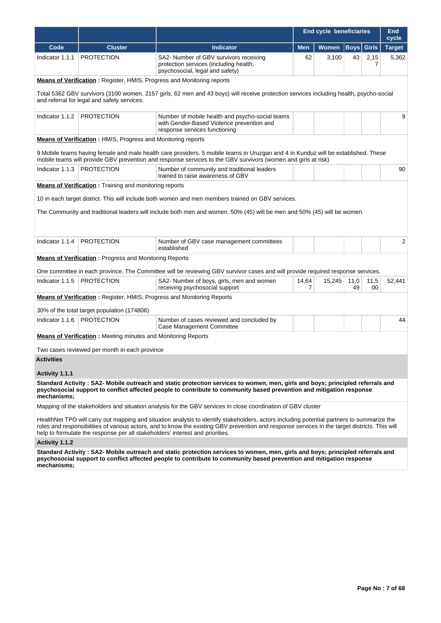|                   |                                                                                                                                                                                       |                                                                                                                                                                                                                                                                                              | <b>End cycle beneficiaries</b> |              |             | <b>End</b><br>cycle |               |
|-------------------|---------------------------------------------------------------------------------------------------------------------------------------------------------------------------------------|----------------------------------------------------------------------------------------------------------------------------------------------------------------------------------------------------------------------------------------------------------------------------------------------|--------------------------------|--------------|-------------|---------------------|---------------|
| Code              | <b>Cluster</b>                                                                                                                                                                        | <b>Indicator</b>                                                                                                                                                                                                                                                                             | <b>Men</b>                     | <b>Women</b> | <b>Boys</b> | <b>Girls</b>        | <b>Target</b> |
| Indicator 1.1.1   | <b>PROTECTION</b>                                                                                                                                                                     | SA2- Number of GBV survivors receiving<br>protection services (including health,<br>psychosocial, legal and safety)                                                                                                                                                                          | 62                             | 3,100        | 43          | 2,15<br>7           | 5,362         |
|                   | <b>Means of Verification:</b> Register, HMIS, Progress and Monitoring reports                                                                                                         |                                                                                                                                                                                                                                                                                              |                                |              |             |                     |               |
|                   | Total 5362 GBV survivors (3100 women, 2157 girls, 62 men and 43 boys) will receive protection services including health, psycho-social<br>and referral for legal and safety services. |                                                                                                                                                                                                                                                                                              |                                |              |             |                     |               |
| Indicator 1.1.2   | PROTECTION                                                                                                                                                                            | Number of mobile health and psycho-social teams<br>with Gender-Based Violence prevention and<br>response services functioning                                                                                                                                                                |                                |              |             |                     | 9             |
|                   | <b>Means of Verification:</b> HMIS, Progress and Monitoring reports                                                                                                                   |                                                                                                                                                                                                                                                                                              |                                |              |             |                     |               |
|                   |                                                                                                                                                                                       | 9 Mobile teams having female and male health care providers, 5 mobile teams in Uruzgan and 4 in Kunduz will be established. These<br>mobile teams will provide GBV prevention and response services to the GBV survivors (women and girls at risk)                                           |                                |              |             |                     |               |
| Indicator 1.1.3   | <b>PROTECTION</b>                                                                                                                                                                     | Number of community and traditional leaders<br>trained to raise awareness of GBV                                                                                                                                                                                                             |                                |              |             |                     | 90            |
|                   | <b>Means of Verification</b> : Training and monitoring reports                                                                                                                        |                                                                                                                                                                                                                                                                                              |                                |              |             |                     |               |
|                   |                                                                                                                                                                                       | 10 in each target district. This will include both women and men members trained on GBV services.                                                                                                                                                                                            |                                |              |             |                     |               |
|                   |                                                                                                                                                                                       | The Community and traditional leaders will include both men and women. 50% (45) will be men and 50% (45) will be women.                                                                                                                                                                      |                                |              |             |                     |               |
|                   |                                                                                                                                                                                       |                                                                                                                                                                                                                                                                                              |                                |              |             |                     |               |
|                   |                                                                                                                                                                                       |                                                                                                                                                                                                                                                                                              |                                |              |             |                     |               |
| Indicator 1.1.4   | <b>PROTECTION</b>                                                                                                                                                                     | Number of GBV case management committees<br>established                                                                                                                                                                                                                                      |                                |              |             |                     | 2             |
|                   | <b>Means of Verification:</b> Progress and Monitoring Reports                                                                                                                         |                                                                                                                                                                                                                                                                                              |                                |              |             |                     |               |
|                   |                                                                                                                                                                                       | One committee in each province. The Committee will be reviewing GBV survivor cases and will provide required response services.                                                                                                                                                              |                                |              |             |                     |               |
| Indicator 1.1.5   | <b>PROTECTION</b>                                                                                                                                                                     | SA2- Number of boys, girls, men and women<br>receiving psychosocial support                                                                                                                                                                                                                  | 14,64<br>7                     | 15,245       | 11,0<br>49  | 11,5<br>00          | 52,441        |
|                   | <b>Means of Verification:</b> Register, HMIS, Progress and Monitoring Reports                                                                                                         |                                                                                                                                                                                                                                                                                              |                                |              |             |                     |               |
|                   | 30% of the total target population (174806)                                                                                                                                           |                                                                                                                                                                                                                                                                                              |                                |              |             |                     |               |
| Indicator 1.1.6   | <b>PROTECTION</b>                                                                                                                                                                     | Number of cases reviewed and concluded by<br>Case Management Committee                                                                                                                                                                                                                       |                                |              |             |                     | 44            |
|                   | <b>Means of Verification:</b> Meeting minutes and Monitoring Reports                                                                                                                  |                                                                                                                                                                                                                                                                                              |                                |              |             |                     |               |
|                   |                                                                                                                                                                                       |                                                                                                                                                                                                                                                                                              |                                |              |             |                     |               |
| <b>Activities</b> | Two cases reviewed per month in each province                                                                                                                                         |                                                                                                                                                                                                                                                                                              |                                |              |             |                     |               |
|                   |                                                                                                                                                                                       |                                                                                                                                                                                                                                                                                              |                                |              |             |                     |               |
| Activity 1.1.1    |                                                                                                                                                                                       |                                                                                                                                                                                                                                                                                              |                                |              |             |                     |               |
| mechanisms:       |                                                                                                                                                                                       | Standard Activity: SA2- Mobile outreach and static protection services to women, men, girls and boys; principled referrals and<br>psychosocial support to conflict affected people to contribute to community based prevention and mitigation response                                       |                                |              |             |                     |               |
|                   |                                                                                                                                                                                       | Mapping of the stakeholders and situation analysis for the GBV services in close coordination of GBV cluster                                                                                                                                                                                 |                                |              |             |                     |               |
|                   | help to formulate the response per all stakeholders' interest and priorities.                                                                                                         | HealthNet TPO will carry out mapping and situation analysis to identify stakeholders, actors including potential partners to summarize the<br>roles and responsibilities of various actors, and to know the existing GBV prevention and response services in the target districts. This will |                                |              |             |                     |               |
| Activity 1.1.2    |                                                                                                                                                                                       |                                                                                                                                                                                                                                                                                              |                                |              |             |                     |               |
| mechanisms;       |                                                                                                                                                                                       | Standard Activity: SA2- Mobile outreach and static protection services to women, men, girls and boys; principled referrals and<br>psychosocial support to conflict affected people to contribute to community based prevention and mitigation response                                       |                                |              |             |                     |               |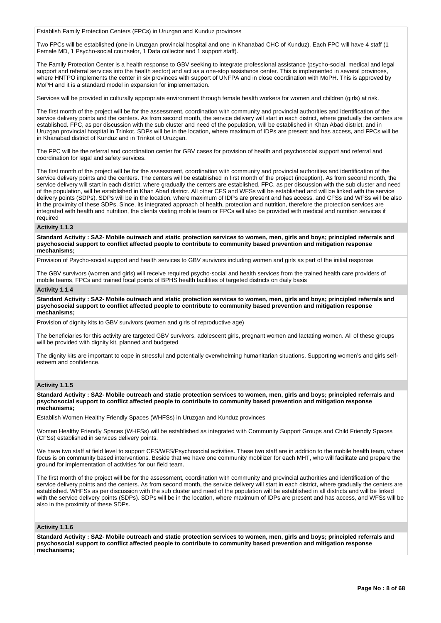Establish Family Protection Centers (FPCs) in Uruzgan and Kunduz provinces

Two FPCs will be established (one in Uruzgan provincial hospital and one in Khanabad CHC of Kunduz). Each FPC will have 4 staff (1 Female MD, 1 Psycho-social counselor, 1 Data collector and 1 support staff).

The Family Protection Center is a health response to GBV seeking to integrate professional assistance (psycho-social, medical and legal support and referral services into the health sector) and act as a one-stop assistance center. This is implemented in several provinces, where HNTPO implements the center in six provinces with support of UNFPA and in close coordination with MoPH. This is approved by MoPH and it is a standard model in expansion for implementation.

Services will be provided in culturally appropriate environment through female health workers for women and children (girls) at risk.

The first month of the project will be for the assessment, coordination with community and provincial authorities and identification of the service delivery points and the centers. As from second month, the service delivery will start in each district, where gradually the centers are established. FPC, as per discussion with the sub cluster and need of the population, will be established in Khan Abad district, and in Uruzgan provincial hospital in Trinkot. SDPs will be in the location, where maximum of IDPs are present and has access, and FPCs will be in Khanabad district of Kunduz and in Trinkot of Uruzgan.

The FPC will be the referral and coordination center for GBV cases for provision of health and psychosocial support and referral and coordination for legal and safety services.

The first month of the project will be for the assessment, coordination with community and provincial authorities and identification of the service delivery points and the centers. The centers will be established in first month of the project (inception). As from second month, the service delivery will start in each district, where gradually the centers are established. FPC, as per discussion with the sub cluster and need of the population, will be established in Khan Abad district. All other CFS and WFSs will be established and will be linked with the service delivery points (SDPs). SDPs will be in the location, where maximum of IDPs are present and has access, and CFSs and WFSs will be also in the proximity of these SDPs. Since, its integrated approach of health, protection and nutrition, therefore the protection services are integrated with health and nutrition, the clients visiting mobile team or FPCs will also be provided with medical and nutrition services if required

#### **Activity 1.1.3**

**Standard Activity : SA2- Mobile outreach and static protection services to women, men, girls and boys; principled referrals and psychosocial support to conflict affected people to contribute to community based prevention and mitigation response mechanisms;**

Provision of Psycho-social support and health services to GBV survivors including women and girls as part of the initial response

The GBV survivors (women and girls) will receive required psycho-social and health services from the trained health care providers of mobile teams, FPCs and trained focal points of BPHS health facilities of targeted districts on daily basis

#### **Activity 1.1.4**

**Standard Activity : SA2- Mobile outreach and static protection services to women, men, girls and boys; principled referrals and psychosocial support to conflict affected people to contribute to community based prevention and mitigation response mechanisms;**

Provision of dignity kits to GBV survivors (women and girls of reproductive age)

The beneficiaries for this activity are targeted GBV survivors, adolescent girls, pregnant women and lactating women. All of these groups will be provided with dignity kit, planned and budgeted

The dignity kits are important to cope in stressful and potentially overwhelming humanitarian situations. Supporting women's and girls selfesteem and confidence.

### **Activity 1.1.5**

**Standard Activity : SA2- Mobile outreach and static protection services to women, men, girls and boys; principled referrals and psychosocial support to conflict affected people to contribute to community based prevention and mitigation response mechanisms;**

Establish Women Healthy Friendly Spaces (WHFSs) in Uruzgan and Kunduz provinces

Women Healthy Friendly Spaces (WHFSs) will be established as integrated with Community Support Groups and Child Friendly Spaces (CFSs) established in services delivery points.

We have two staff at field level to support CFS/WFS/Psychosocial activities. These two staff are in addition to the mobile health team, where focus is on community based interventions. Beside that we have one community mobilizer for each MHT, who will facilitate and prepare the ground for implementation of activities for our field team.

The first month of the project will be for the assessment, coordination with community and provincial authorities and identification of the service delivery points and the centers. As from second month, the service delivery will start in each district, where gradually the centers are established. WHFSs as per discussion with the sub cluster and need of the population will be established in all districts and will be linked with the service delivery points (SDPs). SDPs will be in the location, where maximum of IDPs are present and has access, and WFSs will be also in the proximity of these SDPs.

#### **Activity 1.1.6**

**Standard Activity : SA2- Mobile outreach and static protection services to women, men, girls and boys; principled referrals and psychosocial support to conflict affected people to contribute to community based prevention and mitigation response mechanisms;**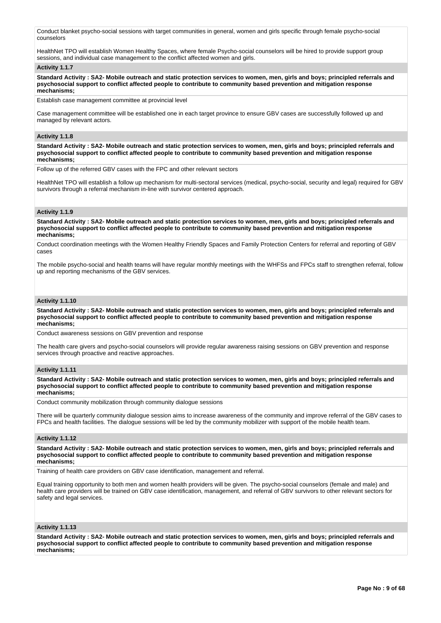Conduct blanket psycho-social sessions with target communities in general, women and girls specific through female psycho-social counselors

HealthNet TPO will establish Women Healthy Spaces, where female Psycho-social counselors will be hired to provide support group sessions, and individual case management to the conflict affected women and girls.

### **Activity 1.1.7**

**Standard Activity : SA2- Mobile outreach and static protection services to women, men, girls and boys; principled referrals and psychosocial support to conflict affected people to contribute to community based prevention and mitigation response mechanisms;**

Establish case management committee at provincial level

Case management committee will be established one in each target province to ensure GBV cases are successfully followed up and managed by relevant actors.

### **Activity 1.1.8**

**Standard Activity : SA2- Mobile outreach and static protection services to women, men, girls and boys; principled referrals and psychosocial support to conflict affected people to contribute to community based prevention and mitigation response mechanisms;**

Follow up of the referred GBV cases with the FPC and other relevant sectors

HealthNet TPO will establish a follow up mechanism for multi-sectoral services (medical, psycho-social, security and legal) required for GBV survivors through a referral mechanism in-line with survivor centered approach.

## **Activity 1.1.9**

**Standard Activity : SA2- Mobile outreach and static protection services to women, men, girls and boys; principled referrals and psychosocial support to conflict affected people to contribute to community based prevention and mitigation response mechanisms;**

Conduct coordination meetings with the Women Healthy Friendly Spaces and Family Protection Centers for referral and reporting of GBV cases

The mobile psycho-social and health teams will have regular monthly meetings with the WHFSs and FPCs staff to strengthen referral, follow up and reporting mechanisms of the GBV services.

### **Activity 1.1.10**

**Standard Activity : SA2- Mobile outreach and static protection services to women, men, girls and boys; principled referrals and psychosocial support to conflict affected people to contribute to community based prevention and mitigation response mechanisms;**

Conduct awareness sessions on GBV prevention and response

The health care givers and psycho-social counselors will provide regular awareness raising sessions on GBV prevention and response services through proactive and reactive approaches.

### **Activity 1.1.11**

**Standard Activity : SA2- Mobile outreach and static protection services to women, men, girls and boys; principled referrals and psychosocial support to conflict affected people to contribute to community based prevention and mitigation response mechanisms;**

Conduct community mobilization through community dialogue sessions

There will be quarterly community dialogue session aims to increase awareness of the community and improve referral of the GBV cases to FPCs and health facilities. The dialogue sessions will be led by the community mobilizer with support of the mobile health team.

### **Activity 1.1.12**

**Standard Activity : SA2- Mobile outreach and static protection services to women, men, girls and boys; principled referrals and psychosocial support to conflict affected people to contribute to community based prevention and mitigation response mechanisms;**

Training of health care providers on GBV case identification, management and referral.

Equal training opportunity to both men and women health providers will be given. The psycho-social counselors (female and male) and health care providers will be trained on GBV case identification, management, and referral of GBV survivors to other relevant sectors for safety and legal services.

### **Activity 1.1.13**

**Standard Activity : SA2- Mobile outreach and static protection services to women, men, girls and boys; principled referrals and psychosocial support to conflict affected people to contribute to community based prevention and mitigation response mechanisms;**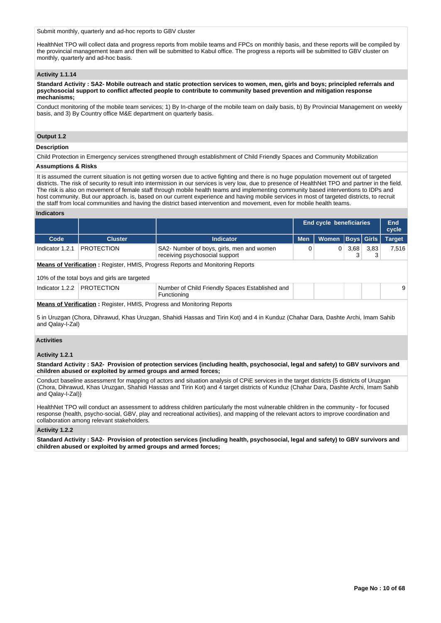Submit monthly, quarterly and ad-hoc reports to GBV cluster

HealthNet TPO will collect data and progress reports from mobile teams and FPCs on monthly basis, and these reports will be compiled by the provincial management team and then will be submitted to Kabul office. The progress a reports will be submitted to GBV cluster on monthly, quarterly and ad-hoc basis.

### **Activity 1.1.14**

**Standard Activity : SA2- Mobile outreach and static protection services to women, men, girls and boys; principled referrals and psychosocial support to conflict affected people to contribute to community based prevention and mitigation response mechanisms;**

Conduct monitoring of the mobile team services; 1) By In-charge of the mobile team on daily basis, b) By Provincial Management on weekly basis, and 3) By Country office M&E department on quarterly basis.

## **Output 1.2**

### **Description**

Child Protection in Emergency services strengthened through establishment of Child Friendly Spaces and Community Mobilization

### **Assumptions & Risks**

It is assumed the current situation is not getting worsen due to active fighting and there is no huge population movement out of targeted districts. The risk of security to result into intermission in our services is very low, due to presence of HealthNet TPO and partner in the field. The risk is also on movement of female staff through mobile health teams and implementing community based interventions to IDPs and host community. But our approach. is, based on our current experience and having mobile services in most of targeted districts, to recruit the staff from local communities and having the district based intervention and movement, even for mobile health teams.

## **Indicators**

|                                                                                                                                                                                                    |                                                                                                                                                                                                                                                                                                         |                                                                             | End cycle beneficiaries |              |  | End<br>cycle      |               |  |
|----------------------------------------------------------------------------------------------------------------------------------------------------------------------------------------------------|---------------------------------------------------------------------------------------------------------------------------------------------------------------------------------------------------------------------------------------------------------------------------------------------------------|-----------------------------------------------------------------------------|-------------------------|--------------|--|-------------------|---------------|--|
| Code                                                                                                                                                                                               | <b>Cluster</b>                                                                                                                                                                                                                                                                                          | <b>Indicator</b>                                                            | <b>Men</b>              | <b>Women</b> |  | <b>Boys</b> Girls | <b>Target</b> |  |
| Indicator 1.2.1                                                                                                                                                                                    | <b>PROTECTION</b>                                                                                                                                                                                                                                                                                       | SA2- Number of boys, girls, men and women<br>receiving psychosocial support | 0                       | 3,68<br>0    |  | 3,83<br>3         | 7,516         |  |
| <b>Means of Verification:</b> Register, HMIS, Progress Reports and Monitoring Reports<br>10% of the total boys and girls are targeted                                                              |                                                                                                                                                                                                                                                                                                         |                                                                             |                         |              |  |                   |               |  |
|                                                                                                                                                                                                    | Indicator 1.2.2 PROTECTION                                                                                                                                                                                                                                                                              | Number of Child Friendly Spaces Established and<br>Functioning              |                         |              |  |                   | 9             |  |
|                                                                                                                                                                                                    | <b>Means of Verification: Register, HMIS, Progress and Monitoring Reports</b><br>5 in Uruzgan (Chora, Dihrawud, Khas Uruzgan, Shahidi Hassas and Tirin Kot) and 4 in Kunduz (Chahar Dara, Dashte Archi, Imam Sahib<br>and Qalay-I-Zal)                                                                  |                                                                             |                         |              |  |                   |               |  |
| <b>Activities</b><br>Activity 1.2.1                                                                                                                                                                |                                                                                                                                                                                                                                                                                                         |                                                                             |                         |              |  |                   |               |  |
| Standard Activity: SA2- Provision of protection services (including health, psychosocial, legal and safety) to GBV survivors and<br>children abused or exploited by armed groups and armed forces; |                                                                                                                                                                                                                                                                                                         |                                                                             |                         |              |  |                   |               |  |
|                                                                                                                                                                                                    | Conduct baseline assessment for mapping of actors and situation analysis of CPIE services in the target districts {5 districts of Uruzgan<br>(Chora, Dihrawud, Khas Uruzgan, Shahidi Hassas and Tirin Kot) and 4 target districts of Kunduz (Chahar Dara, Dashte Archi, Imam Sahib<br>and Qalay-I-Zal)} |                                                                             |                         |              |  |                   |               |  |
| HealthNet TPO will conduct an assessment to address children particularly the most vulnerable children in the community - for focused                                                              |                                                                                                                                                                                                                                                                                                         |                                                                             |                         |              |  |                   |               |  |

response (health, psycho-social, GBV, play and recreational activities), and mapping of the relevant actors to improve coordination and collaboration among relevant stakeholders.

### **Activity 1.2.2**

**Standard Activity : SA2- Provision of protection services (including health, psychosocial, legal and safety) to GBV survivors and children abused or exploited by armed groups and armed forces;**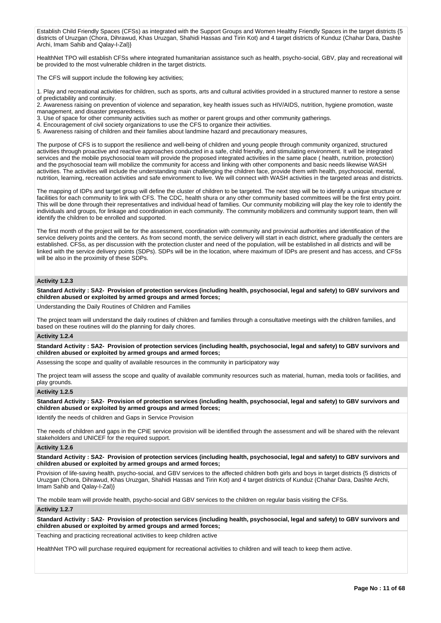Establish Child Friendly Spaces (CFSs) as integrated with the Support Groups and Women Healthy Friendly Spaces in the target districts {5 districts of Uruzgan (Chora, Dihrawud, Khas Uruzgan, Shahidi Hassas and Tirin Kot) and 4 target districts of Kunduz (Chahar Dara, Dashte Archi, Imam Sahib and Qalay-I-Zal)}

HealthNet TPO will establish CFSs where integrated humanitarian assistance such as health, psycho-social, GBV, play and recreational will be provided to the most vulnerable children in the target districts.

The CFS will support include the following key activities;

1. Play and recreational activities for children, such as sports, arts and cultural activities provided in a structured manner to restore a sense of predictability and continuity.

2. Awareness raising on prevention of violence and separation, key health issues such as HIV/AIDS, nutrition, hygiene promotion, waste management, and disaster preparedness.

3. Use of space for other community activities such as mother or parent groups and other community gatherings.

4. Encouragement of civil society organizations to use the CFS to organize their activities.

5. Awareness raising of children and their families about landmine hazard and precautionary measures,

The purpose of CFS is to support the resilience and well-being of children and young people through community organized, structured activities through proactive and reactive approaches conducted in a safe, child friendly, and stimulating environment. It will be integrated services and the mobile psychosocial team will provide the proposed integrated activities in the same place ( health, nutrition, protection) and the psychosocial team will mobilize the community for access and linking with other components and basic needs likewise WASH activities. The activities will include the understanding main challenging the children face, provide them with health, psychosocial, mental, nutrition, learning, recreation activities and safe environment to live. We will connect with WASH activities in the targeted areas and districts.

The mapping of IDPs and target group will define the cluster of children to be targeted. The next step will be to identify a unique structure or facilities for each community to link with CFS. The CDC, health shura or any other community based committees will be the first entry point. This will be done through their representatives and individual head of families. Our community mobilizing will play the key role to identify the individuals and groups, for linkage and coordination in each community. The community mobilizers and community support team, then will identify the children to be enrolled and supported.

The first month of the project will be for the assessment, coordination with community and provincial authorities and identification of the service delivery points and the centers. As from second month, the service delivery will start in each district, where gradually the centers are established. CFSs, as per discussion with the protection cluster and need of the population, will be established in all districts and will be linked with the service delivery points (SDPs). SDPs will be in the location, where maximum of IDPs are present and has access, and CFSs will be also in the proximity of these SDPs.

## **Activity 1.2.3**

**Standard Activity : SA2- Provision of protection services (including health, psychosocial, legal and safety) to GBV survivors and children abused or exploited by armed groups and armed forces;**

Understanding the Daily Routines of Children and Families

The project team will understand the daily routines of children and families through a consultative meetings with the children families, and based on these routines will do the planning for daily chores.

### **Activity 1.2.4**

**Standard Activity : SA2- Provision of protection services (including health, psychosocial, legal and safety) to GBV survivors and children abused or exploited by armed groups and armed forces;**

Assessing the scope and quality of available resources in the community in participatory way

The project team will assess the scope and quality of available community resources such as material, human, media tools or facilities, and play grounds.

## **Activity 1.2.5**

**Standard Activity : SA2- Provision of protection services (including health, psychosocial, legal and safety) to GBV survivors and children abused or exploited by armed groups and armed forces;**

Identify the needs of children and Gaps in Service Provision

The needs of children and gaps in the CPiE service provision will be identified through the assessment and will be shared with the relevant stakeholders and UNICEF for the required support.

#### **Activity 1.2.6**

**Standard Activity : SA2- Provision of protection services (including health, psychosocial, legal and safety) to GBV survivors and children abused or exploited by armed groups and armed forces;**

Provision of life-saving health, psycho-social, and GBV services to the affected children both girls and boys in target districts {5 districts of Uruzgan (Chora, Dihrawud, Khas Uruzgan, Shahidi Hassas and Tirin Kot) and 4 target districts of Kunduz (Chahar Dara, Dashte Archi, Imam Sahib and Qalay-I-Zal)}

The mobile team will provide health, psycho-social and GBV services to the children on regular basis visiting the CFSs.

### **Activity 1.2.7**

**Standard Activity : SA2- Provision of protection services (including health, psychosocial, legal and safety) to GBV survivors and children abused or exploited by armed groups and armed forces;**

Teaching and practicing recreational activities to keep children active

HealthNet TPO will purchase required equipment for recreational activities to children and will teach to keep them active.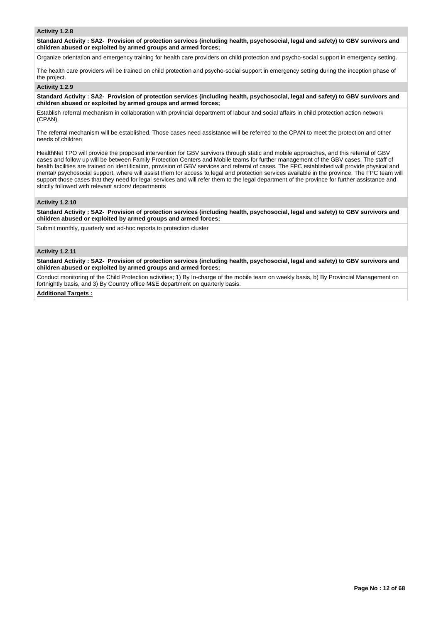### **Activity 1.2.8**

**Standard Activity : SA2- Provision of protection services (including health, psychosocial, legal and safety) to GBV survivors and children abused or exploited by armed groups and armed forces;**

Organize orientation and emergency training for health care providers on child protection and psycho-social support in emergency setting.

The health care providers will be trained on child protection and psycho-social support in emergency setting during the inception phase of the project.

### **Activity 1.2.9**

**Standard Activity : SA2- Provision of protection services (including health, psychosocial, legal and safety) to GBV survivors and children abused or exploited by armed groups and armed forces;**

Establish referral mechanism in collaboration with provincial department of labour and social affairs in child protection action network (CPAN).

The referral mechanism will be established. Those cases need assistance will be referred to the CPAN to meet the protection and other needs of children

HealthNet TPO will provide the proposed intervention for GBV survivors through static and mobile approaches, and this referral of GBV cases and follow up will be between Family Protection Centers and Mobile teams for further management of the GBV cases. The staff of health facilities are trained on identification, provision of GBV services and referral of cases. The FPC established will provide physical and mental/ psychosocial support, where will assist them for access to legal and protection services available in the province. The FPC team will support those cases that they need for legal services and will refer them to the legal department of the province for further assistance and strictly followed with relevant actors/ departments

### **Activity 1.2.10**

**Standard Activity : SA2- Provision of protection services (including health, psychosocial, legal and safety) to GBV survivors and children abused or exploited by armed groups and armed forces;**

Submit monthly, quarterly and ad-hoc reports to protection cluster

## **Activity 1.2.11**

**Standard Activity : SA2- Provision of protection services (including health, psychosocial, legal and safety) to GBV survivors and children abused or exploited by armed groups and armed forces;**

Conduct monitoring of the Child Protection activities; 1) By In-charge of the mobile team on weekly basis, b) By Provincial Management on fortnightly basis, and 3) By Country office M&E department on quarterly basis.

## **Additional Targets :**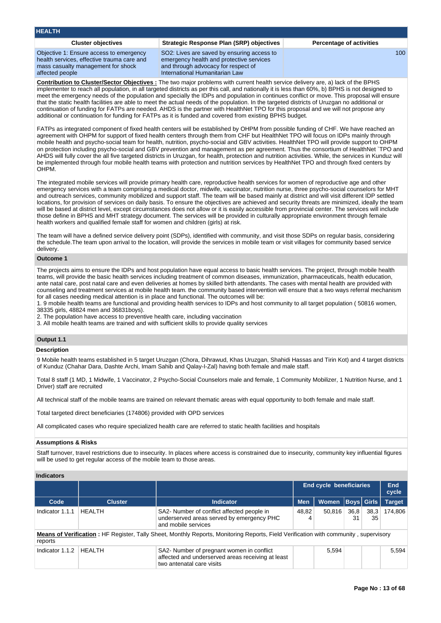| <b>HEALTH</b>                                                                                                                                  |                                                                                                                                                                 |                                 |
|------------------------------------------------------------------------------------------------------------------------------------------------|-----------------------------------------------------------------------------------------------------------------------------------------------------------------|---------------------------------|
| <b>Cluster objectives</b>                                                                                                                      | Strategic Response Plan (SRP) objectives                                                                                                                        | <b>Percentage of activities</b> |
| Objective 1: Ensure access to emergency<br>health services, effective trauma care and<br>mass casualty management for shock<br>affected people | SO2: Lives are saved by ensuring access to<br>emergency health and protective services<br>and through advocacy for respect of<br>International Humanitarian Law | 100 <sup>1</sup>                |

**Contribution to Cluster/Sector Objectives :** The two major problems with current health service delivery are, a) lack of the BPHS implementer to reach all population, in all targeted districts as per this call, and nationally it is less than 60%, b) BPHS is not designed to meet the emergency needs of the population and specially the IDPs and population in continues conflict or move. This proposal will ensure that the static health facilities are able to meet the actual needs of the population. In the targeted districts of Uruzgan no additional or continuation of funding for FATPs are needed. AHDS is the partner with HealthNet TPO for this proposal and we will not propose any additional or continuation for funding for FATPs as it is funded and covered from existing BPHS budget.

FATPs as integrated component of fixed health centers will be established by OHPM from possible funding of CHF. We have reached an agreement with OHPM for support of fixed health centers through them from CHF but HealthNet TPO will focus on IDPs mainly through mobile health and psycho-social team for health, nutrition, psycho-social and GBV activities. HealthNet TPO will provide support to OHPM on protection including psycho-social and GBV prevention and management as per agreement. Thus the consortium of HealthNet `TPO and AHDS will fully cover the all five targeted districts in Uruzgan, for health, protection and nutrition activities. While, the services in Kunduz will be implemented through four mobile health teams with protection and nutrition services by HealthNet TPO and through fixed centers by OHPM.

The integrated mobile services will provide primary health care, reproductive health services for women of reproductive age and other emergency services with a team comprising a medical doctor, midwife, vaccinator, nutrition nurse, three psycho-social counselors for MHT and outreach services, community mobilized and support staff. The team will be based mainly at district and will visit different IDP settled locations, for provision of services on daily basis. To ensure the objectives are achieved and security threats are minimized, ideally the team will be based at district level, except circumstances does not allow or it is easily accessible from provincial center. The services will include those define in BPHS and MHT strategy document. The services will be provided in culturally appropriate environment through female health workers and qualified female staff for women and children (girls) at risk.

The team will have a defined service delivery point (SDPs), identified with community, and visit those SDPs on regular basis, considering the schedule.The team upon arrival to the location, will provide the services in mobile team or visit villages for community based service delivery.

### **Outcome 1**

The projects aims to ensure the IDPs and host population have equal access to basic health services. The project, through mobile health teams, will provide the basic health services including treatment of common diseases, immunization, pharmaceuticals, health education, ante natal care, post natal care and even deliveries at homes by skilled birth attendants. The cases with mental health are provided with counseling and treatment services at mobile health team. the community based intervention will ensure that a two ways referral mechanism for all cases needing medical attention is in place and functional. The outcomes will be:

1. 9 mobile health teams are functional and providing health services to IDPs and host community to all target population ( 50816 women, 38335 girls, 48824 men and 36831boys).

2. The population have access to preventive health care, including vaccination

3. All mobile health teams are trained and with sufficient skills to provide quality services

# **Output 1.1**

## **Description**

9 Mobile health teams established in 5 target Uruzgan (Chora, Dihrawud, Khas Uruzgan, Shahidi Hassas and Tirin Kot) and 4 target districts of Kunduz (Chahar Dara, Dashte Archi, Imam Sahib and Qalay-I-Zal) having both female and male staff.

Total 8 staff (1 MD, 1 Midwife, 1 Vaccinator, 2 Psycho-Social Counselors male and female, 1 Community Mobilizer, 1 Nutrition Nurse, and 1 Driver) staff are recruited

All technical staff of the mobile teams are trained on relevant thematic areas with equal opportunity to both female and male staff.

Total targeted direct beneficiaries (174806) provided with OPD services

All complicated cases who require specialized health care are referred to static health facilities and hospitals

### **Assumptions & Risks**

Staff turnover, travel restrictions due to insecurity. In places where access is constrained due to insecurity, community key influential figures will be used to get regular access of the mobile team to those areas.

## **Indicators**

|                 |                                                                                                                                      | <b>End cycle beneficiaries</b>                                                                                              |            |        |                   |            | End<br>cycle  |
|-----------------|--------------------------------------------------------------------------------------------------------------------------------------|-----------------------------------------------------------------------------------------------------------------------------|------------|--------|-------------------|------------|---------------|
| Code            | <b>Cluster</b>                                                                                                                       | <b>Indicator</b>                                                                                                            | <b>Men</b> | Women  | <b>Boys Girls</b> |            | <b>Target</b> |
| Indicator 1.1.1 | <b>HEALTH</b>                                                                                                                        | SA2- Number of conflict affected people in<br>underserved areas served by emergency PHC<br>and mobile services              | 48,82<br>4 | 50,816 | 36,8<br>31        | 38,3<br>35 | 174.806       |
| reports         | Means of Verification: HF Register, Tally Sheet, Monthly Reports, Monitoring Reports, Field Verification with community, supervisory |                                                                                                                             |            |        |                   |            |               |
| Indicator 1.1.2 | <b>HFAITH</b>                                                                                                                        | SA2- Number of pregnant women in conflict<br>affected and underserved areas receiving at least<br>two antenatal care visits |            | 5,594  |                   |            | 5.594         |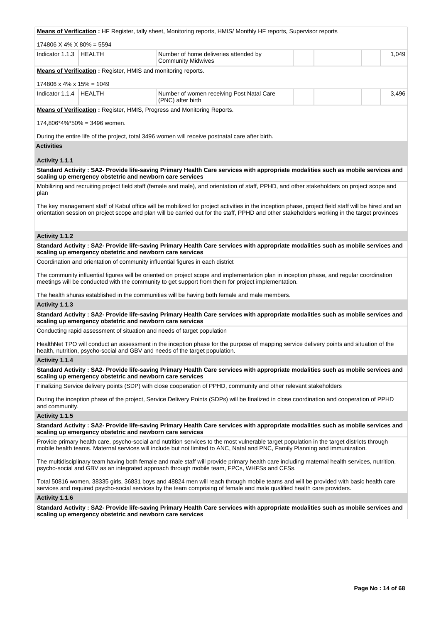|                                        |                                   | <b>Means of Verification</b> : HF Register, tally sheet, Monitoring reports, HMIS/Monthly HF reports, Supervisor reports                                                                                                                                                                           |       |
|----------------------------------------|-----------------------------------|----------------------------------------------------------------------------------------------------------------------------------------------------------------------------------------------------------------------------------------------------------------------------------------------------|-------|
| $174806$ X 4% X 80% = 5594             |                                   |                                                                                                                                                                                                                                                                                                    |       |
| Indicator 1.1.3   HEALTH               |                                   | Number of home deliveries attended by<br><b>Community Midwives</b>                                                                                                                                                                                                                                 | 1,049 |
|                                        |                                   | Means of Verification: Register, HMIS and monitoring reports.                                                                                                                                                                                                                                      |       |
| $174806 \times 4\% \times 15\% = 1049$ |                                   |                                                                                                                                                                                                                                                                                                    |       |
| Indicator 1.1.4   HEALTH               |                                   | Number of women receiving Post Natal Care<br>(PNC) after birth                                                                                                                                                                                                                                     | 3,496 |
|                                        |                                   | Means of Verification: Register, HMIS, Progress and Monitoring Reports.                                                                                                                                                                                                                            |       |
|                                        | $174,806^*4\%$ *50% = 3496 women. |                                                                                                                                                                                                                                                                                                    |       |
|                                        |                                   | During the entire life of the project, total 3496 women will receive postnatal care after birth.                                                                                                                                                                                                   |       |
| <b>Activities</b>                      |                                   |                                                                                                                                                                                                                                                                                                    |       |
| Activity 1.1.1                         |                                   |                                                                                                                                                                                                                                                                                                    |       |
|                                        |                                   | Standard Activity: SA2- Provide life-saving Primary Health Care services with appropriate modalities such as mobile services and<br>scaling up emergency obstetric and newborn care services                                                                                                       |       |
|                                        |                                   | Mobilizing and recruiting project field staff (female and male), and orientation of staff, PPHD, and other stakeholders on project scope and                                                                                                                                                       |       |
| plan                                   |                                   |                                                                                                                                                                                                                                                                                                    |       |
|                                        |                                   | The key management staff of Kabul office will be mobilized for project activities in the inception phase, project field staff will be hired and an<br>orientation session on project scope and plan will be carried out for the staff, PPHD and other stakeholders working in the target provinces |       |
| Activity 1.1.2                         |                                   |                                                                                                                                                                                                                                                                                                    |       |
|                                        |                                   | Standard Activity: SA2- Provide life-saving Primary Health Care services with appropriate modalities such as mobile services and<br>scaling up emergency obstetric and newborn care services                                                                                                       |       |
|                                        |                                   | Coordination and orientation of community influential figures in each district                                                                                                                                                                                                                     |       |
|                                        |                                   | The community influential figures will be oriented on project scope and implementation plan in inception phase, and regular coordination<br>meetings will be conducted with the community to get support from them for project implementation.                                                     |       |
|                                        |                                   | The health shuras established in the communities will be having both female and male members.                                                                                                                                                                                                      |       |
| Activity 1.1.3                         |                                   |                                                                                                                                                                                                                                                                                                    |       |
|                                        |                                   | Standard Activity: SA2- Provide life-saving Primary Health Care services with appropriate modalities such as mobile services and<br>scaling up emergency obstetric and newborn care services                                                                                                       |       |
|                                        |                                   | Conducting rapid assessment of situation and needs of target population                                                                                                                                                                                                                            |       |
|                                        |                                   | HealthNet TPO will conduct an assessment in the inception phase for the purpose of mapping service delivery points and situation of the<br>health, nutrition, psycho-social and GBV and needs of the target population.                                                                            |       |
| Activity 1.1.4                         |                                   |                                                                                                                                                                                                                                                                                                    |       |
|                                        |                                   | Standard Activity: SA2- Provide life-saving Primary Health Care services with appropriate modalities such as mobile services and<br>scaling up emergency obstetric and newborn care services                                                                                                       |       |
|                                        |                                   | Finalizing Service delivery points (SDP) with close cooperation of PPHD, community and other relevant stakeholders                                                                                                                                                                                 |       |
| and community.                         |                                   | During the inception phase of the project, Service Delivery Points (SDPs) will be finalized in close coordination and cooperation of PPHD                                                                                                                                                          |       |
| Activity 1.1.5                         |                                   |                                                                                                                                                                                                                                                                                                    |       |
|                                        |                                   | Standard Activity: SA2- Provide life-saving Primary Health Care services with appropriate modalities such as mobile services and<br>scaling up emergency obstetric and newborn care services                                                                                                       |       |
|                                        |                                   | Provide primary health care, psycho-social and nutrition services to the most vulnerable target population in the target districts through<br>mobile health teams. Maternal services will include but not limited to ANC, Natal and PNC, Family Planning and immunization.                         |       |
|                                        |                                   | The multidisciplinary team having both female and male staff will provide primary health care including maternal health services, nutrition,<br>psycho-social and GBV as an integrated approach through mobile team, FPCs, WHFSs and CFSs.                                                         |       |
|                                        |                                   | Total 50816 women, 38335 girls, 36831 boys and 48824 men will reach through mobile teams and will be provided with basic health care<br>services and required psycho-social services by the team comprising of female and male qualified health care providers.                                    |       |
| Activity 1.1.6                         |                                   |                                                                                                                                                                                                                                                                                                    |       |
|                                        |                                   | Standard Activity: SA2- Provide life-saving Primary Health Care services with appropriate modalities such as mobile services and<br>scaling up emergency obstetric and newborn care services                                                                                                       |       |
|                                        |                                   |                                                                                                                                                                                                                                                                                                    |       |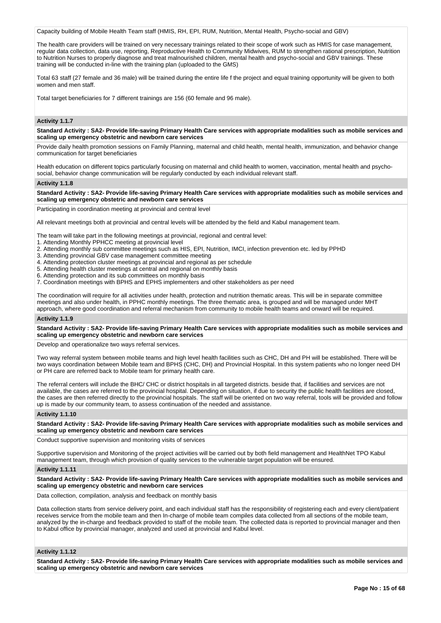Capacity building of Mobile Health Team staff (HMIS, RH, EPI, RUM, Nutrition, Mental Health, Psycho-social and GBV)

The health care providers will be trained on very necessary trainings related to their scope of work such as HMIS for case management, regular data collection, data use, reporting, Reproductive Health to Community Midwives, RUM to strengthen rational prescription, Nutrition to Nutrition Nurses to properly diagnose and treat malnourished children, mental health and psycho-social and GBV trainings. These training will be conducted in-line with the training plan (uploaded to the GMS)

Total 63 staff (27 female and 36 male) will be trained during the entire life f the project and equal training opportunity will be given to both women and men staff.

Total target beneficiaries for 7 different trainings are 156 (60 female and 96 male).

## **Activity 1.1.7**

**Standard Activity : SA2- Provide life-saving Primary Health Care services with appropriate modalities such as mobile services and scaling up emergency obstetric and newborn care services**

Provide daily health promotion sessions on Family Planning, maternal and child health, mental health, immunization, and behavior change communication for target beneficiaries

Health education on different topics particularly focusing on maternal and child health to women, vaccination, mental health and psychosocial, behavior change communication will be regularly conducted by each individual relevant staff.

## **Activity 1.1.8**

**Standard Activity : SA2- Provide life-saving Primary Health Care services with appropriate modalities such as mobile services and scaling up emergency obstetric and newborn care services**

Participating in coordination meeting at provincial and central level

All relevant meetings both at provincial and central levels will be attended by the field and Kabul management team.

The team will take part in the following meetings at provincial, regional and central level:

1. Attending Monthly PPHCC meeting at provincial level

- 2. Attending monthly sub committee meetings such as HIS, EPI, Nutrition, IMCI, infection prevention etc. led by PPHD
- 3. Attending provincial GBV case management committee meeting
- 4. Attending protection cluster meetings at provincial and regional as per schedule

5. Attending health cluster meetings at central and regional on monthly basis

6. Attending protection and its sub committees on monthly basis

7. Coordination meetings with BPHS and EPHS implementers and other stakeholders as per need

The coordination will require for all activities under health, protection and nutrition thematic areas. This will be in separate committee meetings and also under health, in PPHC monthly meetings. The three thematic area, is grouped and will be managed under MHT approach, where good coordination and referral mechanism from community to mobile health teams and onward will be required.

### **Activity 1.1.9**

**Standard Activity : SA2- Provide life-saving Primary Health Care services with appropriate modalities such as mobile services and scaling up emergency obstetric and newborn care services**

Develop and operationalize two ways referral services.

Two way referral system between mobile teams and high level health facilities such as CHC, DH and PH will be established. There will be two ways coordination between Mobile team and BPHS (CHC, DH) and Provincial Hospital. In this system patients who no longer need DH or PH care are referred back to Mobile team for primary health care.

The referral centers will include the BHC/ CHC or district hospitals in all targeted districts. beside that, if facilities and services are not available, the cases are referred to the provincial hospital. Depending on situation, if due to security the public health facilities are closed, the cases are then referred directly to the provincial hospitals. The staff will be oriented on two way referral, tools will be provided and follow up is made by our community team, to assess continuation of the needed and assistance.

#### **Activity 1.1.10**

**Standard Activity : SA2- Provide life-saving Primary Health Care services with appropriate modalities such as mobile services and scaling up emergency obstetric and newborn care services**

Conduct supportive supervision and monitoring visits of services

Supportive supervision and Monitoring of the project activities will be carried out by both field management and HealthNet TPO Kabul management team, through which provision of quality services to the vulnerable target population will be ensured.

### **Activity 1.1.11**

**Standard Activity : SA2- Provide life-saving Primary Health Care services with appropriate modalities such as mobile services and scaling up emergency obstetric and newborn care services**

Data collection, compilation, analysis and feedback on monthly basis

Data collection starts from service delivery point, and each individual staff has the responsibility of registering each and every client/patient receives service from the mobile team and then In-charge of mobile team compiles data collected from all sections of the mobile team, analyzed by the in-charge and feedback provided to staff of the mobile team. The collected data is reported to provincial manager and then to Kabul office by provincial manager, analyzed and used at provincial and Kabul level.

## **Activity 1.1.12**

**Standard Activity : SA2- Provide life-saving Primary Health Care services with appropriate modalities such as mobile services and scaling up emergency obstetric and newborn care services**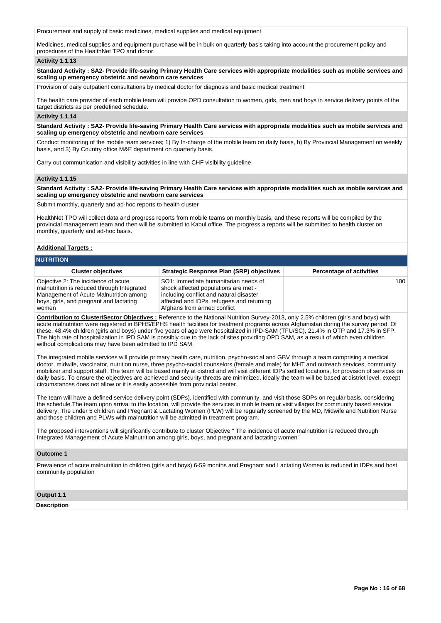Procurement and supply of basic medicines, medical supplies and medical equipment

Medicines, medical supplies and equipment purchase will be in bulk on quarterly basis taking into account the procurement policy and procedures of the HealthNet TPO and donor.

### **Activity 1.1.13**

**Standard Activity : SA2- Provide life-saving Primary Health Care services with appropriate modalities such as mobile services and scaling up emergency obstetric and newborn care services**

Provision of daily outpatient consultations by medical doctor for diagnosis and basic medical treatment

The health care provider of each mobile team will provide OPD consultation to women, girls, men and boys in service delivery points of the target districts as per predefined schedule.

### **Activity 1.1.14**

**Standard Activity : SA2- Provide life-saving Primary Health Care services with appropriate modalities such as mobile services and scaling up emergency obstetric and newborn care services**

Conduct monitoring of the mobile team services; 1) By In-charge of the mobile team on daily basis, b) By Provincial Management on weekly basis, and 3) By Country office M&E department on quarterly basis.

Carry out communication and visibility activities in line with CHF visibility guideline

### **Activity 1.1.15**

**Standard Activity : SA2- Provide life-saving Primary Health Care services with appropriate modalities such as mobile services and scaling up emergency obstetric and newborn care services**

Submit monthly, quarterly and ad-hoc reports to health cluster

HealthNet TPO will collect data and progress reports from mobile teams on monthly basis, and these reports will be compiled by the provincial management team and then will be submitted to Kabul office. The progress a reports will be submitted to health cluster on monthly, quarterly and ad-hoc basis.

## **Additional Targets :**

| <b>NUTRITION</b>                                                                                                                                                                |                                                                                                                                                                                                     |                                 |
|---------------------------------------------------------------------------------------------------------------------------------------------------------------------------------|-----------------------------------------------------------------------------------------------------------------------------------------------------------------------------------------------------|---------------------------------|
| <b>Cluster objectives</b>                                                                                                                                                       | <b>Strategic Response Plan (SRP) objectives</b>                                                                                                                                                     | <b>Percentage of activities</b> |
| Objective 2: The incidence of acute<br>malnutrition is reduced through Integrated<br>Management of Acute Malnutrition among<br>boys, girls, and pregnant and lactating<br>women | SO1: Immediate humanitarian needs of<br>shock affected populations are met -<br>including conflict and natural disaster<br>affected and IDPs, refugees and returning<br>Afghans from armed conflict | 100                             |

**Contribution to Cluster/Sector Objectives :** Reference to the National Nutrition Survey-2013, only 2.5% children (girls and boys) with acute malnutrition were registered in BPHS/EPHS health facilities for treatment programs across Afghanistan during the survey period. Of these, 48.4% children (girls and boys) under five years of age were hospitalized in IPD-SAM (TFU/SC), 21.4% in OTP and 17.3% in SFP. The high rate of hospitalization in IPD SAM is possibly due to the lack of sites providing OPD SAM, as a result of which even children without complications may have been admitted to IPD SAM.

The integrated mobile services will provide primary health care, nutrition, psycho-social and GBV through a team comprising a medical doctor, midwife, vaccinator, nutrition nurse, three psycho-social counselors (female and male) for MHT and outreach services, community mobilizer and support staff. The team will be based mainly at district and will visit different IDPs settled locations, for provision of services on daily basis. To ensure the objectives are achieved and security threats are minimized, ideally the team will be based at district level, except circumstances does not allow or it is easily accessible from provincial center.

The team will have a defined service delivery point (SDPs), identified with community, and visit those SDPs on regular basis, considering the schedule.The team upon arrival to the location, will provide the services in mobile team or visit villages for community based service delivery. The under 5 children and Pregnant & Lactating Women (PLW) will be regularly screened by the MD, Midwife and Nutrition Nurse and those children and PLWs with malnutrition will be admitted in treatment program.

The proposed interventions will significantly contribute to cluster Objective " The incidence of acute malnutrition is reduced through Integrated Management of Acute Malnutrition among girls, boys, and pregnant and lactating women"

### **Outcome 1**

Prevalence of acute malnutrition in children (girls and boys) 6-59 months and Pregnant and Lactating Women is reduced in IDPs and host community population

## **Output 1.1**

**Description**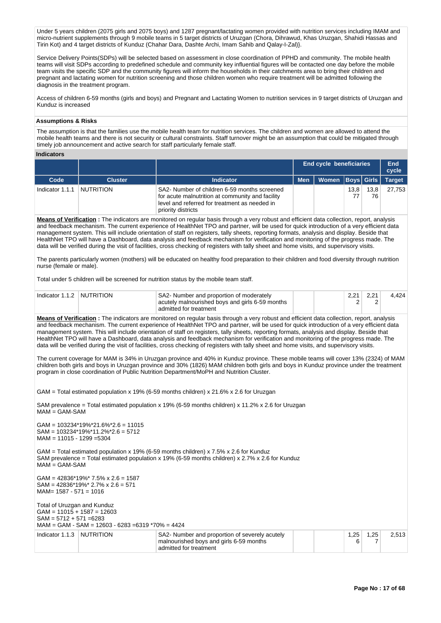Under 5 years children (2075 girls and 2075 boys) and 1287 pregnant/lactating women provided with nutrition services including IMAM and micro-nutrient supplements through 9 mobile teams in 5 target districts of Uruzgan (Chora, Dihrawud, Khas Uruzgan, Shahidi Hassas and Tirin Kot) and 4 target districts of Kunduz (Chahar Dara, Dashte Archi, Imam Sahib and Qalay-I-Zal)}.

Service Delivery Points(SDPs) will be selected based on assessment in close coordination of PPHD and community. The mobile health teams will visit SDPs according to predefined schedule and community key influential figures will be contacted one day before the mobile team visits the specific SDP and the community figures will inform the households in their catchments area to bring their children and pregnant and lactating women for nutrition screening and those children women who require treatment will be admitted following the diagnosis in the treatment program.

Access of children 6-59 months (girls and boys) and Pregnant and Lactating Women to nutrition services in 9 target districts of Uruzgan and Kunduz is increased

### **Assumptions & Risks**

The assumption is that the families use the mobile health team for nutrition services. The children and women are allowed to attend the mobile health teams and there is not security or cultural constraints. Staff turnover might be an assumption that could be mitigated through timely job announcement and active search for staff particularly female staff.

### **Indicators**

| iliuluatul ə    |                  |                                                                                                                                                                         |            | End cycle beneficiaries |            |            | End<br>cycle  |
|-----------------|------------------|-------------------------------------------------------------------------------------------------------------------------------------------------------------------------|------------|-------------------------|------------|------------|---------------|
| Code            | <b>Cluster</b>   | Indicator                                                                                                                                                               | <b>Men</b> | Women   Boys   Girls    |            |            | <b>Target</b> |
| Indicator 1.1.1 | <b>NUTRITION</b> | SA2- Number of children 6-59 months screened<br>for acute malnutrition at community and facility<br>level and referred for treatment as needed in<br>priority districts |            |                         | 13,8<br>77 | 13,8<br>76 | 27.753        |
|                 |                  | Means of Verification · The indicators are monitored on requilar basis through a very robust and efficient data collection report, analysis                             |            |                         |            |            |               |

**Means of Verification :** The indicators are monitored on regular basis through a very robust and efficient data collection, report, analysis and feedback mechanism. The current experience of HealthNet TPO and partner, will be used for quick introduction of a very efficient data management system. This will include orientation of staff on registers, tally sheets, reporting formats, analysis and display. Beside that HealthNet TPO will have a Dashboard, data analysis and feedback mechanism for verification and monitoring of the progress made. The data will be verified during the visit of facilities, cross checking of registers with tally sheet and home visits, and supervisory visits.

The parents particularly women (mothers) will be educated on healthy food preparation to their children and food diversity through nutrition nurse (female or male).

Total under 5 children will be screened for nutrition status by the mobile team staff.

| Indicator 1.1.2 NUTRITION | SA2- Number and proportion of moderately        |  | 4.424 |
|---------------------------|-------------------------------------------------|--|-------|
|                           | acutely malnourished boys and girls 6-59 months |  |       |
|                           | admitted for treatment                          |  |       |

**Means of Verification :** The indicators are monitored on regular basis through a very robust and efficient data collection, report, analysis and feedback mechanism. The current experience of HealthNet TPO and partner, will be used for quick introduction of a very efficient data management system. This will include orientation of staff on registers, tally sheets, reporting formats, analysis and display. Beside that HealthNet TPO will have a Dashboard, data analysis and feedback mechanism for verification and monitoring of the progress made. The data will be verified during the visit of facilities, cross checking of registers with tally sheet and home visits, and supervisory visits.

The current coverage for MAM is 34% in Uruzgan province and 40% in Kunduz province. These mobile teams will cover 13% (2324) of MAM children both girls and boys in Uruzgan province and 30% (1826) MAM children both girls and boys in Kunduz province under the treatment program in close coordination of Public Nutrition Department/MoPH and Nutrition Cluster.

GAM = Total estimated population x 19% (6-59 months children) x 21.6% x 2.6 for Uruzgan

SAM prevalence = Total estimated population x 19% (6-59 months children) x 11.2% x 2.6 for Uruzgan  $M = GAM-SAM$ 

GAM = 103234\*19%\*21.6%\*2.6 = 11015 SAM = 103234\*19%\*11.2%\*2.6 = 5712 MAM = 11015 - 1299 =5304

GAM = Total estimated population x 19% (6-59 months children) x 7.5% x 2.6 for Kunduz SAM prevalence = Total estimated population x 19% (6-59 months children) x  $2.7\%$  x  $2.6$  for Kunduz  $M = GAM-SAM$ 

GAM = 42836\*19%\* 7.5% x 2.6 = 1587  $SAM = 42836*19\%* 2.7\% \times 2.6 = 571$ MAM= 1587 - 571 = 1016 Total of Uruzgan and Kunduz  $GAM = 11015 + 1587 = 12603$  $SAM = 5712 + 571 = 6283$ MAM = GAM - SAM = 12603 - 6283 =6319 \*70% = 4424

| Indicator 1.1.3 NUTRITION |  | SA2- Number and proportion of severely acutely<br>malnourished boys and girls 6-59 months<br>admitted for treatment |  | つに |  | 2.513 |
|---------------------------|--|---------------------------------------------------------------------------------------------------------------------|--|----|--|-------|
|---------------------------|--|---------------------------------------------------------------------------------------------------------------------|--|----|--|-------|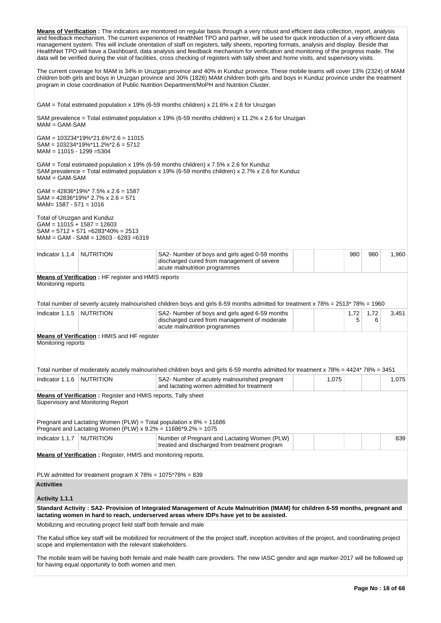|                                                             |                                                                                                                                        | Means of Verification: The indicators are monitored on regular basis through a very robust and efficient data collection, report, analysis<br>and feedback mechanism. The current experience of HealthNet TPO and partner, will be used for quick introduction of a very efficient data<br>management system. This will include orientation of staff on registers, tally sheets, reporting formats, analysis and display. Beside that<br>HealthNet TPO will have a Dashboard, data analysis and feedback mechanism for verification and monitoring of the progress made. The<br>data will be verified during the visit of facilities, cross checking of registers with tally sheet and home visits, and supervisory visits. |       |           |           |       |
|-------------------------------------------------------------|----------------------------------------------------------------------------------------------------------------------------------------|-----------------------------------------------------------------------------------------------------------------------------------------------------------------------------------------------------------------------------------------------------------------------------------------------------------------------------------------------------------------------------------------------------------------------------------------------------------------------------------------------------------------------------------------------------------------------------------------------------------------------------------------------------------------------------------------------------------------------------|-------|-----------|-----------|-------|
|                                                             |                                                                                                                                        | The current coverage for MAM is 34% in Uruzgan province and 40% in Kunduz province. These mobile teams will cover 13% (2324) of MAM<br>children both girls and boys in Uruzgan province and 30% (1826) MAM children both girls and boys in Kunduz province under the treatment<br>program in close coordination of Public Nutrition Department/MoPH and Nutrition Cluster.                                                                                                                                                                                                                                                                                                                                                  |       |           |           |       |
|                                                             |                                                                                                                                        | GAM = Total estimated population x 19% (6-59 months children) x 21.6% x 2.6 for Uruzgan                                                                                                                                                                                                                                                                                                                                                                                                                                                                                                                                                                                                                                     |       |           |           |       |
| $MAM = GAM-SAM$                                             |                                                                                                                                        | SAM prevalence = Total estimated population x 19% (6-59 months children) x 11.2% x 2.6 for Uruzgan                                                                                                                                                                                                                                                                                                                                                                                                                                                                                                                                                                                                                          |       |           |           |       |
| $MAM = 11015 - 1299 = 5304$                                 | $GAM = 103234*19\%*21.6\%*2.6 = 11015$<br>$SAM = 103234*19\%*11.2\%*2.6 = 5712$                                                        |                                                                                                                                                                                                                                                                                                                                                                                                                                                                                                                                                                                                                                                                                                                             |       |           |           |       |
| $MAM = GAM-SAM$                                             |                                                                                                                                        | GAM = Total estimated population x 19% (6-59 months children) x 7.5% x 2.6 for Kunduz<br>SAM prevalence = Total estimated population x 19% (6-59 months children) x 2.7% x 2.6 for Kunduz                                                                                                                                                                                                                                                                                                                                                                                                                                                                                                                                   |       |           |           |       |
| $MAM = 1587 - 571 = 1016$                                   | $GAM = 42836*19\%*7.5\% \times 2.6 = 1587$<br>$SAM = 42836*19\%* 2.7\% \times 2.6 = 571$                                               |                                                                                                                                                                                                                                                                                                                                                                                                                                                                                                                                                                                                                                                                                                                             |       |           |           |       |
| Total of Uruzgan and Kunduz<br>$GAM = 11015 + 1587 = 12603$ | $SAM = 5712 + 571 = 6283*40\% = 2513$<br>$MAM = GAM - SAM = 12603 - 6283 = 6319$                                                       |                                                                                                                                                                                                                                                                                                                                                                                                                                                                                                                                                                                                                                                                                                                             |       |           |           |       |
| Indicator 1.1.4                                             | <b>NUTRITION</b>                                                                                                                       | SA2- Number of boys and girls aged 0-59 months<br>discharged cured from management of severe<br>acute malnutrition programmes                                                                                                                                                                                                                                                                                                                                                                                                                                                                                                                                                                                               |       | 980       | 980       | 1,960 |
| Monitoring reports                                          | <b>Means of Verification:</b> HF register and HMIS reports                                                                             |                                                                                                                                                                                                                                                                                                                                                                                                                                                                                                                                                                                                                                                                                                                             |       |           |           |       |
|                                                             |                                                                                                                                        |                                                                                                                                                                                                                                                                                                                                                                                                                                                                                                                                                                                                                                                                                                                             |       |           |           |       |
|                                                             |                                                                                                                                        | Total number of severly acutely malnourished children boys and girls 6-59 months admitted for treatment x 78% = 2513* 78% = 1960                                                                                                                                                                                                                                                                                                                                                                                                                                                                                                                                                                                            |       |           |           |       |
| Indicator 1.1.5                                             | <b>NUTRITION</b>                                                                                                                       | SA2- Number of boys and girls aged 6-59 months<br>discharged cured from management of moderate<br>acute malnutrition programmes                                                                                                                                                                                                                                                                                                                                                                                                                                                                                                                                                                                             |       | 1,72<br>5 | 1,72<br>6 | 3,451 |
| Monitoring reports                                          | <b>Means of Verification:</b> HMIS and HF register                                                                                     |                                                                                                                                                                                                                                                                                                                                                                                                                                                                                                                                                                                                                                                                                                                             |       |           |           |       |
|                                                             |                                                                                                                                        |                                                                                                                                                                                                                                                                                                                                                                                                                                                                                                                                                                                                                                                                                                                             |       |           |           |       |
|                                                             |                                                                                                                                        | Total number of moderately acutely malnourished children boys and girls 6-59 months admitted for treatment x 78% = 4424* 78% = 3451                                                                                                                                                                                                                                                                                                                                                                                                                                                                                                                                                                                         |       |           |           |       |
| Indicator 1.1.6                                             | <b>NUTRITION</b>                                                                                                                       | SA2- Number of acutely malnourished pregnant<br>and lactating women admitted for treatment                                                                                                                                                                                                                                                                                                                                                                                                                                                                                                                                                                                                                                  | 1,075 |           |           | 1,075 |
|                                                             | <b>Means of Verification:</b> Register and HMIS reports, Tally sheet<br>Supervisory and Monitoring Report                              |                                                                                                                                                                                                                                                                                                                                                                                                                                                                                                                                                                                                                                                                                                                             |       |           |           |       |
|                                                             |                                                                                                                                        |                                                                                                                                                                                                                                                                                                                                                                                                                                                                                                                                                                                                                                                                                                                             |       |           |           |       |
|                                                             | Pregnant and Lactating Women (PLW) = Total population $x 8\% = 11686$<br>Pregnant and Lactating Women (PLW) x 9.2% = 11686*9.2% = 1075 |                                                                                                                                                                                                                                                                                                                                                                                                                                                                                                                                                                                                                                                                                                                             |       |           |           |       |
| Indicator 1.1.7                                             | <b>NUTRITION</b>                                                                                                                       | Number of Pregnant and Lactating Women (PLW)<br>treated and discharged from treatment program                                                                                                                                                                                                                                                                                                                                                                                                                                                                                                                                                                                                                               |       |           |           | 839   |
|                                                             | <b>Means of Verification:</b> Register, HMIS and monitoring reports.                                                                   |                                                                                                                                                                                                                                                                                                                                                                                                                                                                                                                                                                                                                                                                                                                             |       |           |           |       |
|                                                             | PLW admitted for treatment program $X$ 78% = 1075*78% = 839                                                                            |                                                                                                                                                                                                                                                                                                                                                                                                                                                                                                                                                                                                                                                                                                                             |       |           |           |       |
| <b>Activities</b>                                           |                                                                                                                                        |                                                                                                                                                                                                                                                                                                                                                                                                                                                                                                                                                                                                                                                                                                                             |       |           |           |       |
| Activity 1.1.1                                              |                                                                                                                                        | Standard Activity: SA2- Provision of Integrated Management of Acute Malnutrition (IMAM) for children 6-59 months, pregnant and                                                                                                                                                                                                                                                                                                                                                                                                                                                                                                                                                                                              |       |           |           |       |
|                                                             |                                                                                                                                        | lactating women in hard to reach, underserved areas where IDPs have yet to be assisted.                                                                                                                                                                                                                                                                                                                                                                                                                                                                                                                                                                                                                                     |       |           |           |       |
|                                                             | Mobilizing and recruiting project field staff both female and male                                                                     | The Kabul office key staff will be mobilized for recruitment of the the project staff, inception activities of the project, and coordinating project                                                                                                                                                                                                                                                                                                                                                                                                                                                                                                                                                                        |       |           |           |       |
|                                                             | scope and implementation with the relevant stakeholders.                                                                               |                                                                                                                                                                                                                                                                                                                                                                                                                                                                                                                                                                                                                                                                                                                             |       |           |           |       |
|                                                             | for having equal opportunity to both women and men.                                                                                    | The mobile team will be having both female and male health care providers. The new IASC gender and age marker-2017 will be followed up                                                                                                                                                                                                                                                                                                                                                                                                                                                                                                                                                                                      |       |           |           |       |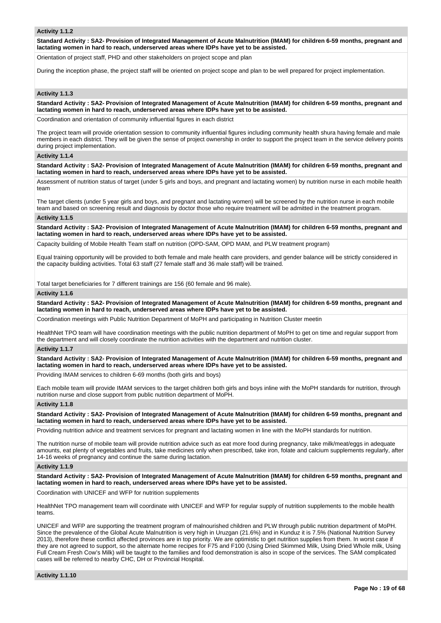### **Activity 1.1.2**

**Standard Activity : SA2- Provision of Integrated Management of Acute Malnutrition (IMAM) for children 6-59 months, pregnant and lactating women in hard to reach, underserved areas where IDPs have yet to be assisted.**

Orientation of project staff, PHD and other stakeholders on project scope and plan

During the inception phase, the project staff will be oriented on project scope and plan to be well prepared for project implementation.

## **Activity 1.1.3**

**Standard Activity : SA2- Provision of Integrated Management of Acute Malnutrition (IMAM) for children 6-59 months, pregnant and lactating women in hard to reach, underserved areas where IDPs have yet to be assisted.**

Coordination and orientation of community influential figures in each district

The project team will provide orientation session to community influential figures including community health shura having female and male members in each district. They will be given the sense of project ownership in order to support the project team in the service delivery points during project implementation.

#### **Activity 1.1.4**

**Standard Activity : SA2- Provision of Integrated Management of Acute Malnutrition (IMAM) for children 6-59 months, pregnant and lactating women in hard to reach, underserved areas where IDPs have yet to be assisted.**

Assessment of nutrition status of target (under 5 girls and boys, and pregnant and lactating women) by nutrition nurse in each mobile health team

The target clients (under 5 year girls and boys, and pregnant and lactating women) will be screened by the nutrition nurse in each mobile team and based on screening result and diagnosis by doctor those who require treatment will be admitted in the treatment program.

#### **Activity 1.1.5**

**Standard Activity : SA2- Provision of Integrated Management of Acute Malnutrition (IMAM) for children 6-59 months, pregnant and lactating women in hard to reach, underserved areas where IDPs have yet to be assisted.**

Capacity building of Mobile Health Team staff on nutrition (OPD-SAM, OPD MAM, and PLW treatment program)

Equal training opportunity will be provided to both female and male health care providers, and gender balance will be strictly considered in the capacity building activities. Total 63 staff (27 female staff and 36 male staff) will be trained.

Total target beneficiaries for 7 different trainings are 156 (60 female and 96 male).

#### **Activity 1.1.6**

**Standard Activity : SA2- Provision of Integrated Management of Acute Malnutrition (IMAM) for children 6-59 months, pregnant and lactating women in hard to reach, underserved areas where IDPs have yet to be assisted.**

Coordination meetings with Public Nutrition Department of MoPH and participating in Nutrition Cluster meetin

HealthNet TPO team will have coordination meetings with the public nutrition department of MoPH to get on time and regular support from the department and will closely coordinate the nutrition activities with the department and nutrition cluster.

#### **Activity 1.1.7**

**Standard Activity : SA2- Provision of Integrated Management of Acute Malnutrition (IMAM) for children 6-59 months, pregnant and lactating women in hard to reach, underserved areas where IDPs have yet to be assisted.**

Providing IMAM services to children 6-69 months (both girls and boys)

Each mobile team will provide IMAM services to the target children both girls and boys inline with the MoPH standards for nutrition, through nutrition nurse and close support from public nutrition department of MoPH.

#### **Activity 1.1.8**

**Standard Activity : SA2- Provision of Integrated Management of Acute Malnutrition (IMAM) for children 6-59 months, pregnant and lactating women in hard to reach, underserved areas where IDPs have yet to be assisted.**

Providing nutrition advice and treatment services for pregnant and lactating women in line with the MoPH standards for nutrition.

The nutrition nurse of mobile team will provide nutrition advice such as eat more food during pregnancy, take milk/meat/eggs in adequate amounts, eat plenty of vegetables and fruits, take medicines only when prescribed, take iron, folate and calcium supplements regularly, after 14-16 weeks of pregnancy and continue the same during lactation.

#### **Activity 1.1.9**

**Standard Activity : SA2- Provision of Integrated Management of Acute Malnutrition (IMAM) for children 6-59 months, pregnant and lactating women in hard to reach, underserved areas where IDPs have yet to be assisted.**

Coordination with UNICEF and WFP for nutrition supplements

HealthNet TPO management team will coordinate with UNICEF and WFP for regular supply of nutrition supplements to the mobile health teams.

UNICEF and WFP are supporting the treatment program of malnourished children and PLW through public nutrition department of MoPH. Since the prevalence of the Global Acute Malnutrition is very high in Uruzgan (21.6%) and in Kunduz it is 7.5% (National Nutrition Survey 2013), therefore these conflict affected provinces are in top priority. We are optimistic to get nutrition supplies from them. In worst case if they are not agreed to support, so the alternate home recipes for F75 and F100 (Using Dried Skimmed Milk, Using Dried Whole milk, Using Full Cream Fresh Cow's Milk) will be taught to the families and food demonstration is also in scope of the services. The SAM complicated cases will be referred to nearby CHC, DH or Provincial Hospital.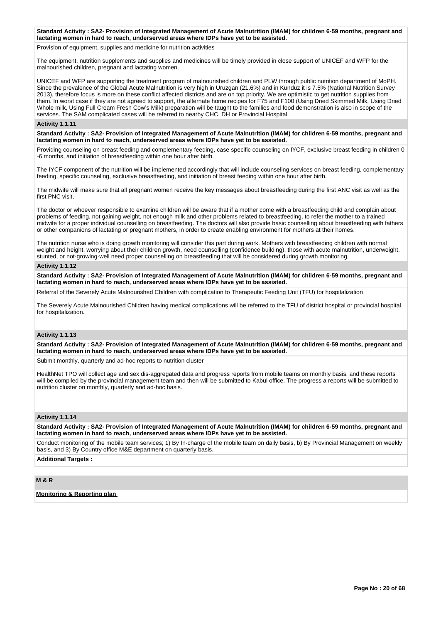#### **Standard Activity : SA2- Provision of Integrated Management of Acute Malnutrition (IMAM) for children 6-59 months, pregnant and lactating women in hard to reach, underserved areas where IDPs have yet to be assisted.**

Provision of equipment, supplies and medicine for nutrition activities

The equipment, nutrition supplements and supplies and medicines will be timely provided in close support of UNICEF and WFP for the malnourished children, pregnant and lactating women.

UNICEF and WFP are supporting the treatment program of malnourished children and PLW through public nutrition department of MoPH. Since the prevalence of the Global Acute Malnutrition is very high in Uruzgan (21.6%) and in Kunduz it is 7.5% (National Nutrition Survey 2013), therefore focus is more on these conflict affected districts and are on top priority. We are optimistic to get nutrition supplies from them. In worst case if they are not agreed to support, the alternate home recipes for F75 and F100 (Using Dried Skimmed Milk, Using Dried Whole milk, Using Full Cream Fresh Cow's Milk) preparation will be taught to the families and food demonstration is also in scope of the services. The SAM complicated cases will be referred to nearby CHC, DH or Provincial Hospital.

#### **Activity 1.1.11**

**Standard Activity : SA2- Provision of Integrated Management of Acute Malnutrition (IMAM) for children 6-59 months, pregnant and lactating women in hard to reach, underserved areas where IDPs have yet to be assisted.**

Providing counseling on breast feeding and complementary feeding, case specific counseling on IYCF, exclusive breast feeding in children 0 -6 months, and initiation of breastfeeding within one hour after birth.

The IYCF component of the nutrition will be implemented accordingly that will include counseling services on breast feeding, complementary feeding, specific counseling, exclusive breastfeeding, and initiation of breast feeding within one hour after birth.

The midwife will make sure that all pregnant women receive the key messages about breastfeeding during the first ANC visit as well as the first PNC visit,

The doctor or whoever responsible to examine children will be aware that if a mother come with a breastfeeding child and complain about problems of feeding, not gaining weight, not enough milk and other problems related to breastfeeding, to refer the mother to a trained midwife for a proper individual counselling on breastfeeding. The doctors will also provide basic counselling about breastfeeding with fathers or other companions of lactating or pregnant mothers, in order to create enabling environment for mothers at their homes.

The nutrition nurse who is doing growth monitoring will consider this part during work. Mothers with breastfeeding children with normal weight and height, worrying about their children growth, need counselling (confidence building), those with acute malnutrition, underweight, stunted, or not-growing-well need proper counselling on breastfeeding that will be considered during growth monitoring.

#### **Activity 1.1.12**

**Standard Activity : SA2- Provision of Integrated Management of Acute Malnutrition (IMAM) for children 6-59 months, pregnant and lactating women in hard to reach, underserved areas where IDPs have yet to be assisted.**

Referral of the Severely Acute Malnourished Children with complication to Therapeutic Feeding Unit (TFU) for hospitalization

The Severely Acute Malnourished Children having medical complications will be referred to the TFU of district hospital or provincial hospital for hospitalization.

## **Activity 1.1.13**

**Standard Activity : SA2- Provision of Integrated Management of Acute Malnutrition (IMAM) for children 6-59 months, pregnant and lactating women in hard to reach, underserved areas where IDPs have yet to be assisted.**

Submit monthly, quarterly and ad-hoc reports to nutrition cluster

HealthNet TPO will collect age and sex dis-aggregated data and progress reports from mobile teams on monthly basis, and these reports will be compiled by the provincial management team and then will be submitted to Kabul office. The progress a reports will be submitted to nutrition cluster on monthly, quarterly and ad-hoc basis.

## **Activity 1.1.14**

**Standard Activity : SA2- Provision of Integrated Management of Acute Malnutrition (IMAM) for children 6-59 months, pregnant and lactating women in hard to reach, underserved areas where IDPs have yet to be assisted.**

Conduct monitoring of the mobile team services; 1) By In-charge of the mobile team on daily basis, b) By Provincial Management on weekly basis, and 3) By Country office M&E department on quarterly basis.

## **Additional Targets :**

## **M & R**

**Monitoring & Reporting plan**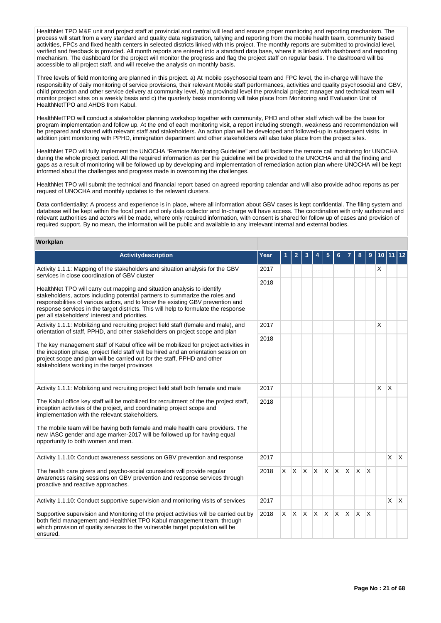HealthNet TPO M&E unit and project staff at provincial and central will lead and ensure proper monitoring and reporting mechanism. The process will start from a very standard and quality data registration, tallying and reporting from the mobile health team, community based activities, FPCs and fixed health centers in selected districts linked with this project. The monthly reports are submitted to provincial level, verified and feedback is provided. All month reports are entered into a standard data base, where it is linked with dashboard and reporting mechanism. The dashboard for the project will monitor the progress and flag the project staff on regular basis. The dashboard will be accessible to all project staff, and will receive the analysis on monthly basis.

Three levels of field monitoring are planned in this project. a) At mobile psychosocial team and FPC level, the in-charge will have the responsibility of daily monitoring of service provisions, their relevant Mobile staff performances, activities and quality psychosocial and GBV, child protection and other service delivery at community level, b) at provincial level the provincial project manager and technical team will monitor project sites on a weekly basis and c) the quarterly basis monitoring will take place from Monitoring and Evaluation Unit of HealthNetTPO and AHDS from Kabul.

HealthNetTPO will conduct a stakeholder planning workshop together with community, PHD and other staff which will be the base for program implementation and follow up. At the end of each monitoring visit, a report including strength, weakness and recommendation will be prepared and shared with relevant staff and stakeholders. An action plan will be developed and followed-up in subsequent visits. In addition joint monitoring with PPHD, immigration department and other stakeholders will also take place from the project sites.

HealthNet TPO will fully implement the UNOCHA "Remote Monitoring Guideline" and will facilitate the remote call monitoring for UNOCHA during the whole project period. All the required information as per the guideline will be provided to the UNOCHA and all the finding and gaps as a result of monitoring will be followed up by developing and implementation of remediation action plan where UNOCHA will be kept informed about the challenges and progress made in overcoming the challenges.

HealthNet TPO will submit the technical and financial report based on agreed reporting calendar and will also provide adhoc reports as per request of UNOCHA and monthly updates to the relevant clusters.

Data confidentiality: A process and experience is in place, where all information about GBV cases is kept confidential. The filing system and database will be kept within the focal point and only data collector and In-charge will have access. The coordination with only authorized and relevant authorities and actors will be made, where only required information, with consent is shared for follow up of cases and provision of required support. By no mean, the information will be public and available to any irrelevant internal and external bodies.

### **Workplan**

| <b>Activitydescription</b>                                                                                                                                                                                                                                                                                                                                                          | Year |              | 2  | 3 |                         |          |              |              | 8        |                         |   |                         |              |
|-------------------------------------------------------------------------------------------------------------------------------------------------------------------------------------------------------------------------------------------------------------------------------------------------------------------------------------------------------------------------------------|------|--------------|----|---|-------------------------|----------|--------------|--------------|----------|-------------------------|---|-------------------------|--------------|
| Activity 1.1.1: Mapping of the stakeholders and situation analysis for the GBV<br>services in close coordination of GBV cluster                                                                                                                                                                                                                                                     | 2017 |              |    |   |                         |          |              |              |          |                         | X |                         |              |
| HealthNet TPO will carry out mapping and situation analysis to identify<br>stakeholders, actors including potential partners to summarize the roles and<br>responsibilities of various actors, and to know the existing GBV prevention and<br>response services in the target districts. This will help to formulate the response<br>per all stakeholders' interest and priorities. | 2018 |              |    |   |                         |          |              |              |          |                         |   |                         |              |
| Activity 1.1.1: Mobilizing and recruiting project field staff (female and male), and<br>orientation of staff, PPHD, and other stakeholders on project scope and plan                                                                                                                                                                                                                | 2017 |              |    |   |                         |          |              |              |          |                         | X |                         |              |
| The key management staff of Kabul office will be mobilized for project activities in<br>the inception phase, project field staff will be hired and an orientation session on<br>project scope and plan will be carried out for the staff, PPHD and other<br>stakeholders working in the target provinces                                                                            | 2018 |              |    |   |                         |          |              |              |          |                         |   |                         |              |
| Activity 1.1.1: Mobilizing and recruiting project field staff both female and male                                                                                                                                                                                                                                                                                                  | 2017 |              |    |   |                         |          |              |              |          |                         | X | $\overline{\mathsf{x}}$ |              |
| The Kabul office key staff will be mobilized for recruitment of the the project staff,<br>inception activities of the project, and coordinating project scope and<br>implementation with the relevant stakeholders.                                                                                                                                                                 | 2018 |              |    |   |                         |          |              |              |          |                         |   |                         |              |
| The mobile team will be having both female and male health care providers. The<br>new IASC gender and age marker-2017 will be followed up for having equal<br>opportunity to both women and men.                                                                                                                                                                                    |      |              |    |   |                         |          |              |              |          |                         |   |                         |              |
| Activity 1.1.10: Conduct awareness sessions on GBV prevention and response                                                                                                                                                                                                                                                                                                          | 2017 |              |    |   |                         |          |              |              |          |                         |   | X                       | $\mathsf{X}$ |
| The health care givers and psycho-social counselors will provide regular<br>awareness raising sessions on GBV prevention and response services through<br>proactive and reactive approaches.                                                                                                                                                                                        | 2018 | $\mathsf{X}$ | X. |   | $\mathsf{X} \mathsf{X}$ | <b>X</b> | $\mathsf{X}$ | IX.          | <b>X</b> | $\overline{\mathsf{x}}$ |   |                         |              |
| Activity 1.1.10: Conduct supportive supervision and monitoring visits of services                                                                                                                                                                                                                                                                                                   | 2017 |              |    |   |                         |          |              |              |          |                         |   | X                       | Ιx.          |
| Supportive supervision and Monitoring of the project activities will be carried out by<br>both field management and HealthNet TPO Kabul management team, through<br>which provision of quality services to the vulnerable target population will be<br>ensured.                                                                                                                     | 2018 | $\times$     |    |   | $X$ $X$ $X$ $X$         |          | <b>X</b>     | $\mathsf{X}$ | X.       | $\overline{\mathsf{x}}$ |   |                         |              |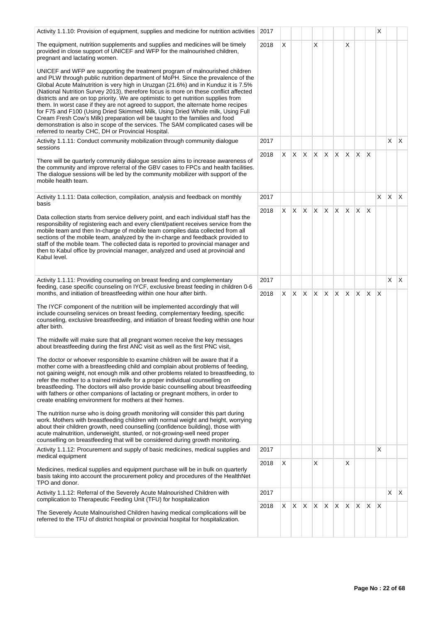| Activity 1.1.10: Provision of equipment, supplies and medicine for nutrition activities                                                                                                                                                                                                                                                                                                                                                                                                                                                                                                                                                                                                                                                                                                                                                | 2017 |    |         |                 |    |              |              |              |              |              | х                       |         |    |
|----------------------------------------------------------------------------------------------------------------------------------------------------------------------------------------------------------------------------------------------------------------------------------------------------------------------------------------------------------------------------------------------------------------------------------------------------------------------------------------------------------------------------------------------------------------------------------------------------------------------------------------------------------------------------------------------------------------------------------------------------------------------------------------------------------------------------------------|------|----|---------|-----------------|----|--------------|--------------|--------------|--------------|--------------|-------------------------|---------|----|
| The equipment, nutrition supplements and supplies and medicines will be timely<br>provided in close support of UNICEF and WFP for the malnourished children,<br>pregnant and lactating women.                                                                                                                                                                                                                                                                                                                                                                                                                                                                                                                                                                                                                                          | 2018 | X  |         |                 | X  |              |              | X            |              |              |                         |         |    |
| UNICEF and WFP are supporting the treatment program of malnourished children<br>and PLW through public nutrition department of MoPH. Since the prevalence of the<br>Global Acute Malnutrition is very high in Uruzgan (21.6%) and in Kunduz it is 7.5%<br>(National Nutrition Survey 2013), therefore focus is more on these conflict affected<br>districts and are on top priority. We are optimistic to get nutrition supplies from<br>them. In worst case if they are not agreed to support, the alternate home recipes<br>for F75 and F100 (Using Dried Skimmed Milk, Using Dried Whole milk, Using Full<br>Cream Fresh Cow's Milk) preparation will be taught to the families and food<br>demonstration is also in scope of the services. The SAM complicated cases will be<br>referred to nearby CHC, DH or Provincial Hospital. |      |    |         |                 |    |              |              |              |              |              |                         |         |    |
| Activity 1.1.11: Conduct community mobilization through community dialogue<br>sessions                                                                                                                                                                                                                                                                                                                                                                                                                                                                                                                                                                                                                                                                                                                                                 | 2017 |    |         |                 |    |              |              |              |              |              |                         | X.      | X  |
| There will be quarterly community dialogue session aims to increase awareness of<br>the community and improve referral of the GBV cases to FPCs and health facilities.<br>The dialogue sessions will be led by the community mobilizer with support of the<br>mobile health team.                                                                                                                                                                                                                                                                                                                                                                                                                                                                                                                                                      | 2018 |    |         | $X$ $X$ $X$ $X$ |    | $\mathsf{X}$ | $\mathsf{X}$ | $\mathsf{X}$ | $\mathsf{X}$ | $\times$     |                         |         |    |
| Activity 1.1.11: Data collection, compilation, analysis and feedback on monthly<br>basis                                                                                                                                                                                                                                                                                                                                                                                                                                                                                                                                                                                                                                                                                                                                               | 2017 |    |         |                 |    |              |              |              |              |              | X                       | $X$ $X$ |    |
| Data collection starts from service delivery point, and each individual staff has the<br>responsibility of registering each and every client/patient receives service from the<br>mobile team and then In-charge of mobile team compiles data collected from all<br>sections of the mobile team, analyzed by the in-charge and feedback provided to<br>staff of the mobile team. The collected data is reported to provincial manager and<br>then to Kabul office by provincial manager, analyzed and used at provincial and<br>Kabul level.                                                                                                                                                                                                                                                                                           | 2018 | X. | XX      |                 | X. | ΙX.          | $\mathsf{X}$ | $\mathsf{X}$ | ΙX.          | ΙX.          |                         |         |    |
| Activity 1.1.11: Providing counseling on breast feeding and complementary<br>feeding, case specific counseling on IYCF, exclusive breast feeding in children 0-6                                                                                                                                                                                                                                                                                                                                                                                                                                                                                                                                                                                                                                                                       | 2017 |    |         |                 |    |              |              |              |              |              |                         | X.      | X. |
| months, and initiation of breastfeeding within one hour after birth.                                                                                                                                                                                                                                                                                                                                                                                                                                                                                                                                                                                                                                                                                                                                                                   | 2018 | X. | X.      | $\mathsf{X}$    | X. | $X$ $X$      |              | $\mathsf{X}$ | $\mathsf{X}$ | ΙX.          | ΙX                      |         |    |
| The IYCF component of the nutrition will be implemented accordingly that will<br>include counseling services on breast feeding, complementary feeding, specific<br>counseling, exclusive breastfeeding, and initiation of breast feeding within one hour<br>after birth.                                                                                                                                                                                                                                                                                                                                                                                                                                                                                                                                                               |      |    |         |                 |    |              |              |              |              |              |                         |         |    |
| The midwife will make sure that all pregnant women receive the key messages<br>about breastfeeding during the first ANC visit as well as the first PNC visit.                                                                                                                                                                                                                                                                                                                                                                                                                                                                                                                                                                                                                                                                          |      |    |         |                 |    |              |              |              |              |              |                         |         |    |
| The doctor or whoever responsible to examine children will be aware that if a<br>mother come with a breastfeeding child and complain about problems of feeding,<br>not gaining weight, not enough milk and other problems related to breastfeeding, to<br>refer the mother to a trained midwife for a proper individual counselling on<br>breastfeeding. The doctors will also provide basic counselling about breastfeeding<br>with fathers or other companions of lactating or pregnant mothers, in order to<br>create enabling environment for mothers at their homes.                                                                                                                                                                                                                                                              |      |    |         |                 |    |              |              |              |              |              |                         |         |    |
| The nutrition nurse who is doing growth monitoring will consider this part during<br>work. Mothers with breastfeeding children with normal weight and height, worrying<br>about their children growth, need counselling (confidence building), those with<br>acute malnutrition, underweight, stunted, or not-growing-well need proper<br>counselling on breastfeeding that will be considered during growth monitoring.                                                                                                                                                                                                                                                                                                                                                                                                               |      |    |         |                 |    |              |              |              |              |              |                         |         |    |
| Activity 1.1.12: Procurement and supply of basic medicines, medical supplies and<br>medical equipment                                                                                                                                                                                                                                                                                                                                                                                                                                                                                                                                                                                                                                                                                                                                  | 2017 |    |         |                 |    |              |              |              |              |              | X                       |         |    |
| Medicines, medical supplies and equipment purchase will be in bulk on quarterly<br>basis taking into account the procurement policy and procedures of the HealthNet<br>TPO and donor.                                                                                                                                                                                                                                                                                                                                                                                                                                                                                                                                                                                                                                                  | 2018 | X  |         |                 | Х  |              |              | X            |              |              |                         |         |    |
| Activity 1.1.12: Referral of the Severely Acute Malnourished Children with<br>complication to Therapeutic Feeding Unit (TFU) for hospitalization                                                                                                                                                                                                                                                                                                                                                                                                                                                                                                                                                                                                                                                                                       | 2017 |    |         |                 |    |              |              |              |              |              |                         | X       | X. |
| The Severely Acute Malnourished Children having medical complications will be<br>referred to the TFU of district hospital or provincial hospital for hospitalization.                                                                                                                                                                                                                                                                                                                                                                                                                                                                                                                                                                                                                                                                  | 2018 |    | $X$ $X$ | $X$ $X$         |    | $\mathsf{X}$ | $\mathsf{X}$ | $X$ $X$      |              | $\mathsf{X}$ | $\mathsf{I} \mathsf{X}$ |         |    |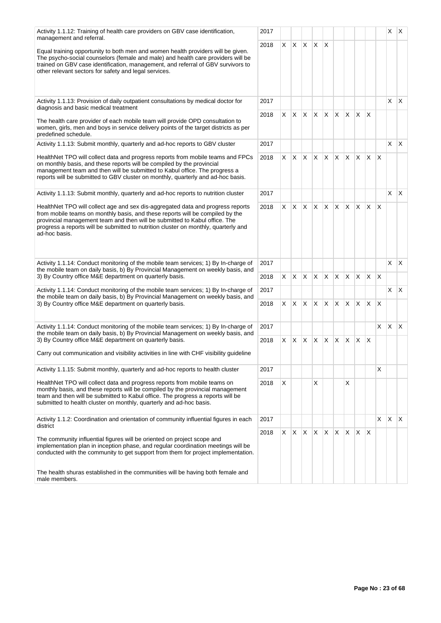| Activity 1.1.12: Training of health care providers on GBV case identification,<br>management and referral.                                                                                                                                                                                                                                             | 2017 |    |              |              |                 |          |          |             |                |              |                        | X            | $\mathsf{X}$ |
|--------------------------------------------------------------------------------------------------------------------------------------------------------------------------------------------------------------------------------------------------------------------------------------------------------------------------------------------------------|------|----|--------------|--------------|-----------------|----------|----------|-------------|----------------|--------------|------------------------|--------------|--------------|
|                                                                                                                                                                                                                                                                                                                                                        | 2018 | X. | X.           | IX.          | X.              | X        |          |             |                |              |                        |              |              |
| Equal training opportunity to both men and women health providers will be given.<br>The psycho-social counselors (female and male) and health care providers will be<br>trained on GBV case identification, management, and referral of GBV survivors to<br>other relevant sectors for safety and legal services.                                      |      |    |              |              |                 |          |          |             |                |              |                        |              |              |
| Activity 1.1.13: Provision of daily outpatient consultations by medical doctor for<br>diagnosis and basic medical treatment                                                                                                                                                                                                                            | 2017 |    |              |              |                 |          |          |             |                |              |                        | X            | $\mathsf{X}$ |
| The health care provider of each mobile team will provide OPD consultation to<br>women, girls, men and boys in service delivery points of the target districts as per<br>predefined schedule.                                                                                                                                                          | 2018 | X. | $\mathsf{X}$ | $\mathsf{X}$ | X.              | $\times$ |          | $X$ $X$ $X$ |                | $\mathsf{X}$ |                        |              |              |
| Activity 1.1.13: Submit monthly, quarterly and ad-hoc reports to GBV cluster                                                                                                                                                                                                                                                                           | 2017 |    |              |              |                 |          |          |             |                |              |                        | X            | $\mathsf{X}$ |
| HealthNet TPO will collect data and progress reports from mobile teams and FPCs<br>on monthly basis, and these reports will be compiled by the provincial<br>management team and then will be submitted to Kabul office. The progress a<br>reports will be submitted to GBV cluster on monthly, quarterly and ad-hoc basis.                            | 2018 |    |              |              | $X$ $X$ $X$ $X$ | X.       | $X$ $X$  |             |                | $X$ $X$      | $\mathsf{X}$           |              |              |
| Activity 1.1.13: Submit monthly, quarterly and ad-hoc reports to nutrition cluster                                                                                                                                                                                                                                                                     | 2017 |    |              |              |                 |          |          |             |                |              |                        | $\mathsf{X}$ | $\mathsf{X}$ |
| HealthNet TPO will collect age and sex dis-aggregated data and progress reports<br>from mobile teams on monthly basis, and these reports will be compiled by the<br>provincial management team and then will be submitted to Kabul office. The<br>progress a reports will be submitted to nutrition cluster on monthly, quarterly and<br>ad-hoc basis. | 2018 | X. | X            | ΙX.          | <b>X</b>        | X.       | $\times$ | IX.         | $\times$       | X.           | X                      |              |              |
| Activity 1.1.14: Conduct monitoring of the mobile team services; 1) By In-charge of                                                                                                                                                                                                                                                                    | 2017 |    |              |              |                 |          |          |             |                |              |                        | X            | $\mathsf{X}$ |
| the mobile team on daily basis, b) By Provincial Management on weekly basis, and<br>3) By Country office M&E department on quarterly basis.                                                                                                                                                                                                            | 2018 | X. | $\mathsf{X}$ | ΙX.          | X.              | X        | X        | IX.         | X.             | X.           | $\mathsf{I}\mathsf{X}$ |              |              |
| Activity 1.1.14: Conduct monitoring of the mobile team services; 1) By In-charge of                                                                                                                                                                                                                                                                    | 2017 |    |              |              |                 |          |          |             |                |              |                        | $\mathsf{X}$ | $\mathsf{X}$ |
| the mobile team on daily basis, b) By Provincial Management on weekly basis, and<br>3) By Country office M&E department on quarterly basis.                                                                                                                                                                                                            | 2018 | X. | X            | X.           | X               | X        | X        | X           | X.             | $\mathsf{X}$ | $\mathsf{X}$           |              |              |
| Activity 1.1.14: Conduct monitoring of the mobile team services; 1) By In-charge of                                                                                                                                                                                                                                                                    | 2017 |    |              |              |                 |          |          |             |                |              | X                      | X.           | $\mathsf{X}$ |
| the mobile team on daily basis, b) By Provincial Management on weekly basis, and<br>3) By Country office M&E department on quarterly basis.                                                                                                                                                                                                            | 2018 | X. | X            | ΙX.          | X.              | X.       | X.       | X.          | X.             | $\times$     |                        |              |              |
| Carry out communication and visibility activities in line with CHF visibility guideline                                                                                                                                                                                                                                                                |      |    |              |              |                 |          |          |             |                |              |                        |              |              |
| Activity 1.1.15: Submit monthly, quarterly and ad-hoc reports to health cluster                                                                                                                                                                                                                                                                        | 2017 |    |              |              |                 |          |          |             |                |              | X                      |              |              |
| HealthNet TPO will collect data and progress reports from mobile teams on<br>monthly basis, and these reports will be compiled by the provincial management<br>team and then will be submitted to Kabul office. The progress a reports will be<br>submitted to health cluster on monthly, quarterly and ad-hoc basis.                                  | 2018 | X  |              |              | X               |          |          | X           |                |              |                        |              |              |
| Activity 1.1.2: Coordination and orientation of community influential figures in each<br>district                                                                                                                                                                                                                                                      | 2017 |    |              |              |                 |          |          |             |                |              | X.                     | X            | IX.          |
| The community influential figures will be oriented on project scope and<br>implementation plan in inception phase, and regular coordination meetings will be<br>conducted with the community to get support from them for project implementation.                                                                                                      | 2018 | X. | X.           | IX.          | X.              | ΙX.      | $X$ $X$  |             | $\mathsf{X}^-$ | ΙX.          |                        |              |              |
| The health shuras established in the communities will be having both female and<br>male members.                                                                                                                                                                                                                                                       |      |    |              |              |                 |          |          |             |                |              |                        |              |              |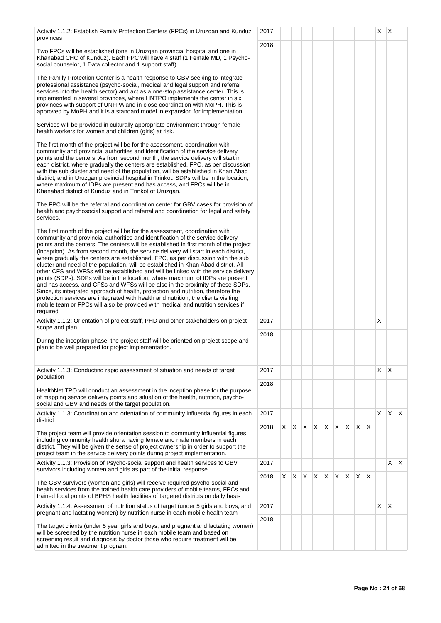| Activity 1.1.2: Establish Family Protection Centers (FPCs) in Uruzgan and Kunduz<br>provinces                                                                                                                                                                                                                                                                                                                                                                                                                                                                                                                                                                                                                                                                                                                                                                                                                                                                                                                                                                    | 2017 |   |    |    |                             |    |    |    |    |              | X | $\times$     |    |
|------------------------------------------------------------------------------------------------------------------------------------------------------------------------------------------------------------------------------------------------------------------------------------------------------------------------------------------------------------------------------------------------------------------------------------------------------------------------------------------------------------------------------------------------------------------------------------------------------------------------------------------------------------------------------------------------------------------------------------------------------------------------------------------------------------------------------------------------------------------------------------------------------------------------------------------------------------------------------------------------------------------------------------------------------------------|------|---|----|----|-----------------------------|----|----|----|----|--------------|---|--------------|----|
| Two FPCs will be established (one in Uruzgan provincial hospital and one in<br>Khanabad CHC of Kunduz). Each FPC will have 4 staff (1 Female MD, 1 Psycho-<br>social counselor, 1 Data collector and 1 support staff).                                                                                                                                                                                                                                                                                                                                                                                                                                                                                                                                                                                                                                                                                                                                                                                                                                           | 2018 |   |    |    |                             |    |    |    |    |              |   |              |    |
| The Family Protection Center is a health response to GBV seeking to integrate<br>professional assistance (psycho-social, medical and legal support and referral<br>services into the health sector) and act as a one-stop assistance center. This is<br>implemented in several provinces, where HNTPO implements the center in six<br>provinces with support of UNFPA and in close coordination with MoPH. This is<br>approved by MoPH and it is a standard model in expansion for implementation.                                                                                                                                                                                                                                                                                                                                                                                                                                                                                                                                                               |      |   |    |    |                             |    |    |    |    |              |   |              |    |
| Services will be provided in culturally appropriate environment through female<br>health workers for women and children (girls) at risk.                                                                                                                                                                                                                                                                                                                                                                                                                                                                                                                                                                                                                                                                                                                                                                                                                                                                                                                         |      |   |    |    |                             |    |    |    |    |              |   |              |    |
| The first month of the project will be for the assessment, coordination with<br>community and provincial authorities and identification of the service delivery<br>points and the centers. As from second month, the service delivery will start in<br>each district, where gradually the centers are established. FPC, as per discussion<br>with the sub cluster and need of the population, will be established in Khan Abad<br>district, and in Uruzgan provincial hospital in Trinkot. SDPs will be in the location,<br>where maximum of IDPs are present and has access, and FPCs will be in<br>Khanabad district of Kunduz and in Trinkot of Uruzgan.                                                                                                                                                                                                                                                                                                                                                                                                      |      |   |    |    |                             |    |    |    |    |              |   |              |    |
| The FPC will be the referral and coordination center for GBV cases for provision of<br>health and psychosocial support and referral and coordination for legal and safety<br>services.                                                                                                                                                                                                                                                                                                                                                                                                                                                                                                                                                                                                                                                                                                                                                                                                                                                                           |      |   |    |    |                             |    |    |    |    |              |   |              |    |
| The first month of the project will be for the assessment, coordination with<br>community and provincial authorities and identification of the service delivery<br>points and the centers. The centers will be established in first month of the project<br>(inception). As from second month, the service delivery will start in each district,<br>where gradually the centers are established. FPC, as per discussion with the sub<br>cluster and need of the population, will be established in Khan Abad district. All<br>other CFS and WFSs will be established and will be linked with the service delivery<br>points (SDPs). SDPs will be in the location, where maximum of IDPs are present<br>and has access, and CFSs and WFSs will be also in the proximity of these SDPs.<br>Since, its integrated approach of health, protection and nutrition, therefore the<br>protection services are integrated with health and nutrition, the clients visiting<br>mobile team or FPCs will also be provided with medical and nutrition services if<br>required |      |   |    |    |                             |    |    |    |    |              |   |              |    |
| Activity 1.1.2: Orientation of project staff, PHD and other stakeholders on project                                                                                                                                                                                                                                                                                                                                                                                                                                                                                                                                                                                                                                                                                                                                                                                                                                                                                                                                                                              | 2017 |   |    |    |                             |    |    |    |    |              | Χ |              |    |
| scope and plan<br>During the inception phase, the project staff will be oriented on project scope and<br>plan to be well prepared for project implementation.                                                                                                                                                                                                                                                                                                                                                                                                                                                                                                                                                                                                                                                                                                                                                                                                                                                                                                    | 2018 |   |    |    |                             |    |    |    |    |              |   |              |    |
| Activity 1.1.3: Conducting rapid assessment of situation and needs of target<br>population                                                                                                                                                                                                                                                                                                                                                                                                                                                                                                                                                                                                                                                                                                                                                                                                                                                                                                                                                                       | 2017 |   |    |    |                             |    |    |    |    |              | X | $\times$     |    |
| HealthNet TPO will conduct an assessment in the inception phase for the purpose<br>of mapping service delivery points and situation of the health, nutrition, psycho-<br>social and GBV and needs of the target population.                                                                                                                                                                                                                                                                                                                                                                                                                                                                                                                                                                                                                                                                                                                                                                                                                                      | 2018 |   |    |    |                             |    |    |    |    |              |   |              |    |
| Activity 1.1.3: Coordination and orientation of community influential figures in each<br>district                                                                                                                                                                                                                                                                                                                                                                                                                                                                                                                                                                                                                                                                                                                                                                                                                                                                                                                                                                | 2017 |   |    |    |                             |    |    |    |    |              | X | IX.          | X. |
| The project team will provide orientation session to community influential figures<br>including community health shura having female and male members in each<br>district. They will be given the sense of project ownership in order to support the<br>project team in the service delivery points during project implementation.                                                                                                                                                                                                                                                                                                                                                                                                                                                                                                                                                                                                                                                                                                                               | 2018 |   |    |    | $X$ $X$ $X$ $X$ $X$ $X$ $X$ |    |    |    |    | $\mathsf{X}$ |   |              |    |
| Activity 1.1.3: Provision of Psycho-social support and health services to GBV<br>survivors including women and girls as part of the initial response                                                                                                                                                                                                                                                                                                                                                                                                                                                                                                                                                                                                                                                                                                                                                                                                                                                                                                             | 2017 |   |    |    |                             |    |    |    |    |              |   | X            | X. |
| The GBV survivors (women and girls) will receive required psycho-social and<br>health services from the trained health care providers of mobile teams, FPCs and<br>trained focal points of BPHS health facilities of targeted districts on daily basis                                                                                                                                                                                                                                                                                                                                                                                                                                                                                                                                                                                                                                                                                                                                                                                                           | 2018 | X | X. | X. | X.                          | X. | X. | X. | X. | ΙX           |   |              |    |
| Activity 1.1.4: Assessment of nutrition status of target (under 5 girls and boys, and<br>pregnant and lactating women) by nutrition nurse in each mobile health team                                                                                                                                                                                                                                                                                                                                                                                                                                                                                                                                                                                                                                                                                                                                                                                                                                                                                             | 2017 |   |    |    |                             |    |    |    |    |              | X | $\mathsf{X}$ |    |
| The target clients (under 5 year girls and boys, and pregnant and lactating women)<br>will be screened by the nutrition nurse in each mobile team and based on<br>screening result and diagnosis by doctor those who require treatment will be<br>admitted in the treatment program.                                                                                                                                                                                                                                                                                                                                                                                                                                                                                                                                                                                                                                                                                                                                                                             | 2018 |   |    |    |                             |    |    |    |    |              |   |              |    |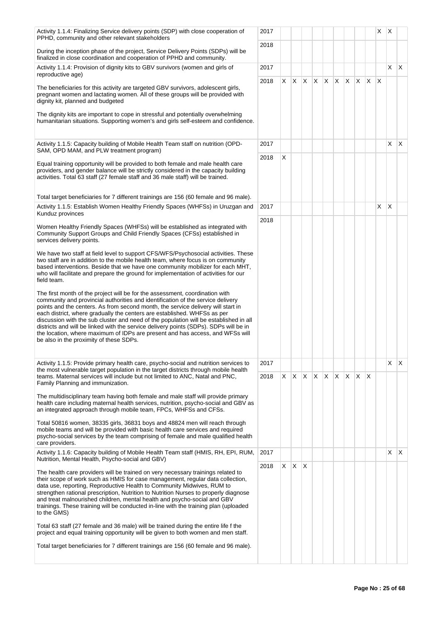| Activity 1.1.4: Finalizing Service delivery points (SDP) with close cooperation of<br>PPHD, community and other relevant stakeholders                                                                                                                                                                                                                                                                                                                                                                                                                                                                                                         | 2017 |    |                          |              |   |    |         |    |    |     | X            | X            |              |
|-----------------------------------------------------------------------------------------------------------------------------------------------------------------------------------------------------------------------------------------------------------------------------------------------------------------------------------------------------------------------------------------------------------------------------------------------------------------------------------------------------------------------------------------------------------------------------------------------------------------------------------------------|------|----|--------------------------|--------------|---|----|---------|----|----|-----|--------------|--------------|--------------|
| During the inception phase of the project, Service Delivery Points (SDPs) will be<br>finalized in close coordination and cooperation of PPHD and community.                                                                                                                                                                                                                                                                                                                                                                                                                                                                                   | 2018 |    |                          |              |   |    |         |    |    |     |              |              |              |
| Activity 1.1.4: Provision of dignity kits to GBV survivors (women and girls of<br>reproductive age)                                                                                                                                                                                                                                                                                                                                                                                                                                                                                                                                           | 2017 |    |                          |              |   |    |         |    |    |     |              | $\times$     | $\mathsf{X}$ |
| The beneficiaries for this activity are targeted GBV survivors, adolescent girls,<br>pregnant women and lactating women. All of these groups will be provided with<br>dignity kit, planned and budgeted                                                                                                                                                                                                                                                                                                                                                                                                                                       | 2018 |    | $x \mid x \mid x \mid x$ |              |   | X. | $X$ $X$ |    | X. | ΙX. | $\mathsf{X}$ |              |              |
| The dignity kits are important to cope in stressful and potentially overwhelming<br>humanitarian situations. Supporting women's and girls self-esteem and confidence.                                                                                                                                                                                                                                                                                                                                                                                                                                                                         |      |    |                          |              |   |    |         |    |    |     |              |              |              |
| Activity 1.1.5: Capacity building of Mobile Health Team staff on nutrition (OPD-<br>SAM, OPD MAM, and PLW treatment program)                                                                                                                                                                                                                                                                                                                                                                                                                                                                                                                  | 2017 |    |                          |              |   |    |         |    |    |     |              | $\times$     | $\mathsf{X}$ |
| Equal training opportunity will be provided to both female and male health care<br>providers, and gender balance will be strictly considered in the capacity building<br>activities. Total 63 staff (27 female staff and 36 male staff) will be trained.                                                                                                                                                                                                                                                                                                                                                                                      | 2018 | X  |                          |              |   |    |         |    |    |     |              |              |              |
| Total target beneficiaries for 7 different trainings are 156 (60 female and 96 male).                                                                                                                                                                                                                                                                                                                                                                                                                                                                                                                                                         |      |    |                          |              |   |    |         |    |    |     |              |              |              |
| Activity 1.1.5: Establish Women Healthy Friendly Spaces (WHFSs) in Uruzgan and<br>Kunduz provinces                                                                                                                                                                                                                                                                                                                                                                                                                                                                                                                                            | 2017 |    |                          |              |   |    |         |    |    |     | X.           | $\mathsf{X}$ |              |
| Women Healthy Friendly Spaces (WHFSs) will be established as integrated with<br>Community Support Groups and Child Friendly Spaces (CFSs) established in<br>services delivery points.                                                                                                                                                                                                                                                                                                                                                                                                                                                         | 2018 |    |                          |              |   |    |         |    |    |     |              |              |              |
| We have two staff at field level to support CFS/WFS/Psychosocial activities. These<br>two staff are in addition to the mobile health team, where focus is on community<br>based interventions. Beside that we have one community mobilizer for each MHT,<br>who will facilitate and prepare the ground for implementation of activities for our<br>field team.                                                                                                                                                                                                                                                                                |      |    |                          |              |   |    |         |    |    |     |              |              |              |
| The first month of the project will be for the assessment, coordination with<br>community and provincial authorities and identification of the service delivery<br>points and the centers. As from second month, the service delivery will start in<br>each district, where gradually the centers are established. WHFSs as per<br>discussion with the sub cluster and need of the population will be established in all<br>districts and will be linked with the service delivery points (SDPs). SDPs will be in<br>the location, where maximum of IDPs are present and has access, and WFSs will<br>be also in the proximity of these SDPs. |      |    |                          |              |   |    |         |    |    |     |              |              |              |
| Activity 1.1.5: Provide primary health care, psycho-social and nutrition services to<br>the most vulnerable target population in the target districts through mobile health                                                                                                                                                                                                                                                                                                                                                                                                                                                                   | 2017 |    |                          |              |   |    |         |    |    |     |              | X            | $\mathsf{X}$ |
| teams. Maternal services will include but not limited to ANC, Natal and PNC,<br>Family Planning and immunization.                                                                                                                                                                                                                                                                                                                                                                                                                                                                                                                             | 2018 | X. | IX.                      | $\mathsf{X}$ | X | X  | X       | X. | X  | X   |              |              |              |
| The multidisciplinary team having both female and male staff will provide primary<br>health care including maternal health services, nutrition, psycho-social and GBV as<br>an integrated approach through mobile team, FPCs, WHFSs and CFSs.                                                                                                                                                                                                                                                                                                                                                                                                 |      |    |                          |              |   |    |         |    |    |     |              |              |              |
| Total 50816 women, 38335 girls, 36831 boys and 48824 men will reach through<br>mobile teams and will be provided with basic health care services and required<br>psycho-social services by the team comprising of female and male qualified health<br>care providers.                                                                                                                                                                                                                                                                                                                                                                         |      |    |                          |              |   |    |         |    |    |     |              |              |              |
| Activity 1.1.6: Capacity building of Mobile Health Team staff (HMIS, RH, EPI, RUM,<br>Nutrition, Mental Health, Psycho-social and GBV)                                                                                                                                                                                                                                                                                                                                                                                                                                                                                                        | 2017 |    |                          |              |   |    |         |    |    |     |              | X            | $\mathsf{X}$ |
| The health care providers will be trained on very necessary trainings related to<br>their scope of work such as HMIS for case management, regular data collection,<br>data use, reporting, Reproductive Health to Community Midwives, RUM to<br>strengthen rational prescription, Nutrition to Nutrition Nurses to properly diagnose<br>and treat malnourished children, mental health and psycho-social and GBV<br>trainings. These training will be conducted in-line with the training plan (uploaded<br>to the GMS)                                                                                                                       | 2018 |    | $X \mid X$               | $\mathsf{X}$ |   |    |         |    |    |     |              |              |              |
| Total 63 staff (27 female and 36 male) will be trained during the entire life f the<br>project and equal training opportunity will be given to both women and men staff.                                                                                                                                                                                                                                                                                                                                                                                                                                                                      |      |    |                          |              |   |    |         |    |    |     |              |              |              |
| Total target beneficiaries for 7 different trainings are 156 (60 female and 96 male).                                                                                                                                                                                                                                                                                                                                                                                                                                                                                                                                                         |      |    |                          |              |   |    |         |    |    |     |              |              |              |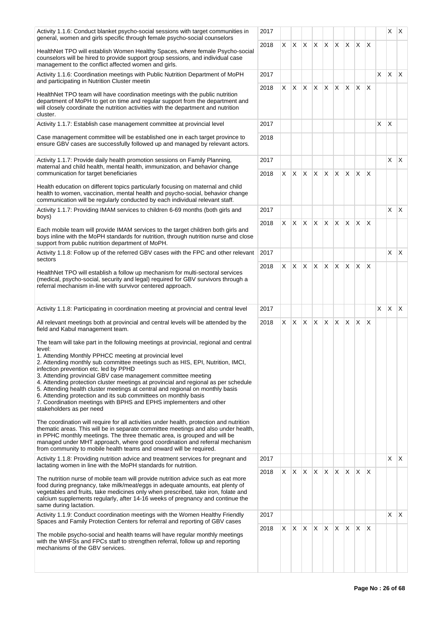| Activity 1.1.6: Conduct blanket psycho-social sessions with target communities in<br>general, women and girls specific through female psycho-social counselors                                                                                                                                                                                                                                                                                                                                                                                                                                                                                                                                                                                                                                                                                                                                                                                                                                                                                                                                                       | 2017         |    |              |                 |          |    |              |    |              |                         |    |              | $X \mid X$ |
|----------------------------------------------------------------------------------------------------------------------------------------------------------------------------------------------------------------------------------------------------------------------------------------------------------------------------------------------------------------------------------------------------------------------------------------------------------------------------------------------------------------------------------------------------------------------------------------------------------------------------------------------------------------------------------------------------------------------------------------------------------------------------------------------------------------------------------------------------------------------------------------------------------------------------------------------------------------------------------------------------------------------------------------------------------------------------------------------------------------------|--------------|----|--------------|-----------------|----------|----|--------------|----|--------------|-------------------------|----|--------------|------------|
| HealthNet TPO will establish Women Healthy Spaces, where female Psycho-social<br>counselors will be hired to provide support group sessions, and individual case<br>management to the conflict affected women and girls.                                                                                                                                                                                                                                                                                                                                                                                                                                                                                                                                                                                                                                                                                                                                                                                                                                                                                             | 2018         |    | $X \times$   | X.              | X.       |    | X X          | X. | ΙX.          | $\mathsf{I} \mathsf{X}$ |    |              |            |
| Activity 1.1.6: Coordination meetings with Public Nutrition Department of MoPH<br>and participating in Nutrition Cluster meetin                                                                                                                                                                                                                                                                                                                                                                                                                                                                                                                                                                                                                                                                                                                                                                                                                                                                                                                                                                                      | 2017         |    |              |                 |          |    |              |    |              |                         | X. | X            | ΙX.        |
| HealthNet TPO team will have coordination meetings with the public nutrition<br>department of MoPH to get on time and regular support from the department and<br>will closely coordinate the nutrition activities with the department and nutrition<br>cluster.                                                                                                                                                                                                                                                                                                                                                                                                                                                                                                                                                                                                                                                                                                                                                                                                                                                      | 2018         | X  | X.           | X               | X        | X  | X.           | X. | X.           | X                       |    |              |            |
| Activity 1.1.7: Establish case management committee at provincial level                                                                                                                                                                                                                                                                                                                                                                                                                                                                                                                                                                                                                                                                                                                                                                                                                                                                                                                                                                                                                                              | 2017         |    |              |                 |          |    |              |    |              |                         | X  | $\mathsf{X}$ |            |
| Case management committee will be established one in each target province to<br>ensure GBV cases are successfully followed up and managed by relevant actors.                                                                                                                                                                                                                                                                                                                                                                                                                                                                                                                                                                                                                                                                                                                                                                                                                                                                                                                                                        | 2018         |    |              |                 |          |    |              |    |              |                         |    |              |            |
| Activity 1.1.7: Provide daily health promotion sessions on Family Planning,<br>maternal and child health, mental health, immunization, and behavior change<br>communication for target beneficiaries                                                                                                                                                                                                                                                                                                                                                                                                                                                                                                                                                                                                                                                                                                                                                                                                                                                                                                                 | 2017<br>2018 |    |              | $X$ $X$ $X$ $X$ |          |    | X X          | X. | $\mathsf{X}$ | $\mathsf{X}$            |    | X            | X.         |
| Health education on different topics particularly focusing on maternal and child<br>health to women, vaccination, mental health and psycho-social, behavior change<br>communication will be regularly conducted by each individual relevant staff.                                                                                                                                                                                                                                                                                                                                                                                                                                                                                                                                                                                                                                                                                                                                                                                                                                                                   |              |    |              |                 |          |    |              |    |              |                         |    |              |            |
| Activity 1.1.7: Providing IMAM services to children 6-69 months (both girls and<br>boys)                                                                                                                                                                                                                                                                                                                                                                                                                                                                                                                                                                                                                                                                                                                                                                                                                                                                                                                                                                                                                             | 2017         |    |              |                 |          |    |              |    |              |                         |    | X.           | X.         |
| Each mobile team will provide IMAM services to the target children both girls and<br>boys inline with the MoPH standards for nutrition, through nutrition nurse and close<br>support from public nutrition department of MoPH.                                                                                                                                                                                                                                                                                                                                                                                                                                                                                                                                                                                                                                                                                                                                                                                                                                                                                       | 2018         | X  | <b>X</b>     | X               | X        | X. | X.           | X. | X.           | X                       |    |              |            |
| Activity 1.1.8: Follow up of the referred GBV cases with the FPC and other relevant<br>sectors                                                                                                                                                                                                                                                                                                                                                                                                                                                                                                                                                                                                                                                                                                                                                                                                                                                                                                                                                                                                                       | 2017         |    |              |                 |          |    |              |    |              |                         |    | X.           | X.         |
| HealthNet TPO will establish a follow up mechanism for multi-sectoral services<br>(medical, psycho-social, security and legal) required for GBV survivors through a<br>referral mechanism in-line with survivor centered approach.                                                                                                                                                                                                                                                                                                                                                                                                                                                                                                                                                                                                                                                                                                                                                                                                                                                                                   | 2018         | X. | $\mathsf{X}$ | X               | X        | X. | X.           | X. | <b>X</b>     | X                       |    |              |            |
|                                                                                                                                                                                                                                                                                                                                                                                                                                                                                                                                                                                                                                                                                                                                                                                                                                                                                                                                                                                                                                                                                                                      |              |    |              |                 |          |    |              |    |              |                         |    |              |            |
| Activity 1.1.8: Participating in coordination meeting at provincial and central level                                                                                                                                                                                                                                                                                                                                                                                                                                                                                                                                                                                                                                                                                                                                                                                                                                                                                                                                                                                                                                | 2017         |    |              |                 |          |    |              |    |              |                         | X. | $\mathsf{X}$ | ΙX.        |
| All relevant meetings both at provincial and central levels will be attended by the<br>field and Kabul management team.                                                                                                                                                                                                                                                                                                                                                                                                                                                                                                                                                                                                                                                                                                                                                                                                                                                                                                                                                                                              | 2018         | X. | X            | <b>X</b>        | X.       |    | $ X $ $ X $  |    | ΙX.          | $\mathsf{X}$            |    |              |            |
| The team will take part in the following meetings at provincial, regional and central<br>level:<br>1. Attending Monthly PPHCC meeting at provincial level<br>2. Attending monthly sub committee meetings such as HIS, EPI, Nutrition, IMCI,<br>infection prevention etc. led by PPHD<br>3. Attending provincial GBV case management committee meeting<br>4. Attending protection cluster meetings at provincial and regional as per schedule<br>5. Attending health cluster meetings at central and regional on monthly basis<br>6. Attending protection and its sub committees on monthly basis<br>7. Coordination meetings with BPHS and EPHS implementers and other<br>stakeholders as per need<br>The coordination will require for all activities under health, protection and nutrition<br>thematic areas. This will be in separate committee meetings and also under health,<br>in PPHC monthly meetings. The three thematic area, is grouped and will be<br>managed under MHT approach, where good coordination and referral mechanism<br>from community to mobile health teams and onward will be required. |              |    |              |                 |          |    |              |    |              |                         |    |              |            |
| Activity 1.1.8: Providing nutrition advice and treatment services for pregnant and<br>lactating women in line with the MoPH standards for nutrition.                                                                                                                                                                                                                                                                                                                                                                                                                                                                                                                                                                                                                                                                                                                                                                                                                                                                                                                                                                 | 2017         |    |              |                 |          |    |              |    |              |                         |    | X.           | X.         |
| The nutrition nurse of mobile team will provide nutrition advice such as eat more<br>food during pregnancy, take milk/meat/eggs in adequate amounts, eat plenty of<br>vegetables and fruits, take medicines only when prescribed, take iron, folate and<br>calcium supplements regularly, after 14-16 weeks of pregnancy and continue the<br>same during lactation.                                                                                                                                                                                                                                                                                                                                                                                                                                                                                                                                                                                                                                                                                                                                                  | 2018         | X  | X.           | X.              | <b>X</b> | X. | X.           | X. | ΙX.          | $\mathsf{X}$            |    |              |            |
| Activity 1.1.9: Conduct coordination meetings with the Women Healthy Friendly                                                                                                                                                                                                                                                                                                                                                                                                                                                                                                                                                                                                                                                                                                                                                                                                                                                                                                                                                                                                                                        | 2017         |    |              |                 |          |    |              |    |              |                         |    | X            | X.         |
| Spaces and Family Protection Centers for referral and reporting of GBV cases<br>The mobile psycho-social and health teams will have regular monthly meetings<br>with the WHFSs and FPCs staff to strengthen referral, follow up and reporting<br>mechanisms of the GBV services.                                                                                                                                                                                                                                                                                                                                                                                                                                                                                                                                                                                                                                                                                                                                                                                                                                     | 2018         |    | XX           | X               | X.       | X. | $\mathsf{X}$ | X. | X.           | ΙX.                     |    |              |            |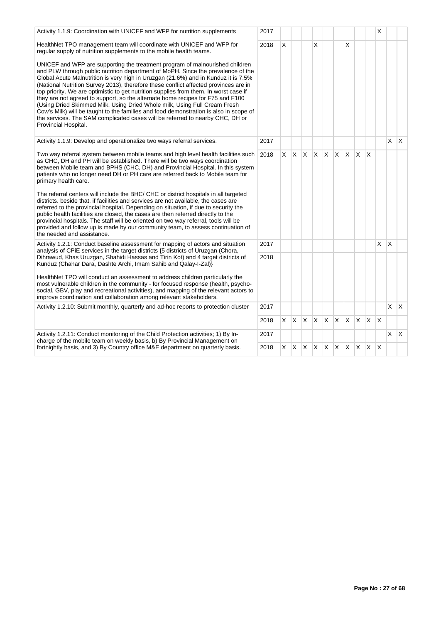| Activity 1.1.9: Coordination with UNICEF and WFP for nutrition supplements                                                                                                                                                                                                                                                                                                                                                                                                                                                                                                                                                                                                                                                                                                                               | 2017 |    |         |          |              |              |                         |          |              |              | X            |            |              |
|----------------------------------------------------------------------------------------------------------------------------------------------------------------------------------------------------------------------------------------------------------------------------------------------------------------------------------------------------------------------------------------------------------------------------------------------------------------------------------------------------------------------------------------------------------------------------------------------------------------------------------------------------------------------------------------------------------------------------------------------------------------------------------------------------------|------|----|---------|----------|--------------|--------------|-------------------------|----------|--------------|--------------|--------------|------------|--------------|
| HealthNet TPO management team will coordinate with UNICEF and WFP for<br>regular supply of nutrition supplements to the mobile health teams.                                                                                                                                                                                                                                                                                                                                                                                                                                                                                                                                                                                                                                                             | 2018 | X  |         |          | X            |              |                         | X        |              |              |              |            |              |
| UNICEF and WFP are supporting the treatment program of malnourished children<br>and PLW through public nutrition department of MoPH. Since the prevalence of the<br>Global Acute Malnutrition is very high in Uruzgan (21.6%) and in Kunduz it is 7.5%<br>(National Nutrition Survey 2013), therefore these conflict affected provinces are in<br>top priority. We are optimistic to get nutrition supplies from them. In worst case if<br>they are not agreed to support, so the alternate home recipes for F75 and F100<br>(Using Dried Skimmed Milk, Using Dried Whole milk, Using Full Cream Fresh<br>Cow's Milk) will be taught to the families and food demonstration is also in scope of<br>the services. The SAM complicated cases will be referred to nearby CHC, DH or<br>Provincial Hospital. |      |    |         |          |              |              |                         |          |              |              |              |            |              |
| Activity 1.1.9: Develop and operationalize two ways referral services.                                                                                                                                                                                                                                                                                                                                                                                                                                                                                                                                                                                                                                                                                                                                   | 2017 |    |         |          |              |              |                         |          |              |              |              | X          | $\mathsf{X}$ |
| Two way referral system between mobile teams and high level health facilities such<br>as CHC, DH and PH will be established. There will be two ways coordination<br>between Mobile team and BPHS (CHC, DH) and Provincial Hospital. In this system<br>patients who no longer need DH or PH care are referred back to Mobile team for<br>primary health care.                                                                                                                                                                                                                                                                                                                                                                                                                                             | 2018 |    | $X$ $X$ | X.       | $\mathsf{X}$ | $\mathsf{X}$ | $\mathsf{X}$            | IX.      | $\mathsf{X}$ | $\mathsf{X}$ |              |            |              |
| The referral centers will include the BHC/CHC or district hospitals in all targeted<br>districts. beside that, if facilities and services are not available, the cases are<br>referred to the provincial hospital. Depending on situation, if due to security the<br>public health facilities are closed, the cases are then referred directly to the<br>provincial hospitals. The staff will be oriented on two way referral, tools will be<br>provided and follow up is made by our community team, to assess continuation of<br>the needed and assistance.                                                                                                                                                                                                                                            |      |    |         |          |              |              |                         |          |              |              |              |            |              |
| Activity 1.2.1: Conduct baseline assessment for mapping of actors and situation<br>analysis of CPiE services in the target districts {5 districts of Uruzgan (Chora,                                                                                                                                                                                                                                                                                                                                                                                                                                                                                                                                                                                                                                     | 2017 |    |         |          |              |              |                         |          |              |              | X.           | $\times$   |              |
| Dihrawud, Khas Uruzgan, Shahidi Hassas and Tirin Kot) and 4 target districts of<br>Kunduz (Chahar Dara, Dashte Archi, Imam Sahib and Qalay-I-Zal)}                                                                                                                                                                                                                                                                                                                                                                                                                                                                                                                                                                                                                                                       | 2018 |    |         |          |              |              |                         |          |              |              |              |            |              |
| HealthNet TPO will conduct an assessment to address children particularly the<br>most vulnerable children in the community - for focused response (health, psycho-<br>social, GBV, play and recreational activities), and mapping of the relevant actors to<br>improve coordination and collaboration among relevant stakeholders.                                                                                                                                                                                                                                                                                                                                                                                                                                                                       |      |    |         |          |              |              |                         |          |              |              |              |            |              |
| Activity 1.2.10: Submit monthly, quarterly and ad-hoc reports to protection cluster                                                                                                                                                                                                                                                                                                                                                                                                                                                                                                                                                                                                                                                                                                                      | 2017 |    |         |          |              |              |                         |          |              |              |              | $x \mid x$ |              |
|                                                                                                                                                                                                                                                                                                                                                                                                                                                                                                                                                                                                                                                                                                                                                                                                          | 2018 | X. | IX.     | $\times$ | <b>X</b>     | $\mathsf{X}$ | $\mathsf{X} \mathsf{X}$ |          | $X$ $X$      |              | $\mathsf{X}$ |            |              |
| Activity 1.2.11: Conduct monitoring of the Child Protection activities; 1) By In-<br>charge of the mobile team on weekly basis, b) By Provincial Management on                                                                                                                                                                                                                                                                                                                                                                                                                                                                                                                                                                                                                                           | 2017 |    |         |          |              |              |                         |          |              |              |              | X.         | $\mathsf{X}$ |
| fortnightly basis, and 3) By Country office M&E department on quarterly basis.                                                                                                                                                                                                                                                                                                                                                                                                                                                                                                                                                                                                                                                                                                                           | 2018 | X. | IX.     | X        | X.           | X.           | X.                      | <b>X</b> | ΙX.          | $\mathsf{X}$ | $\mathsf{X}$ |            |              |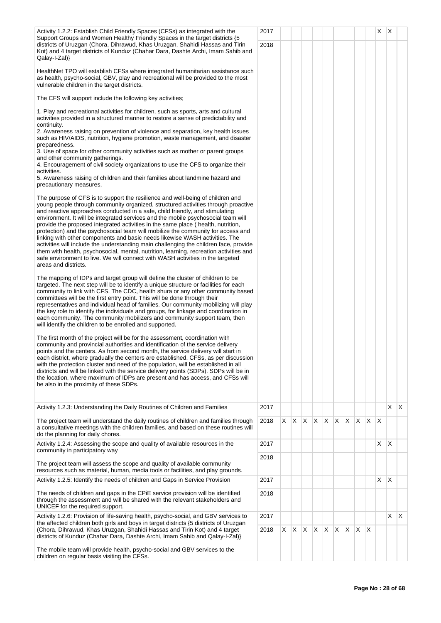| Activity 1.2.2: Establish Child Friendly Spaces (CFSs) as integrated with the                                                                                                                                                                                                                                                                                                                                                                                                                                                                                                                                                                                                                                                                                                                                                                                                                | 2017 |    |              |              |    |          |    |     |    |              | X            | $\mathsf{X}$ |              |
|----------------------------------------------------------------------------------------------------------------------------------------------------------------------------------------------------------------------------------------------------------------------------------------------------------------------------------------------------------------------------------------------------------------------------------------------------------------------------------------------------------------------------------------------------------------------------------------------------------------------------------------------------------------------------------------------------------------------------------------------------------------------------------------------------------------------------------------------------------------------------------------------|------|----|--------------|--------------|----|----------|----|-----|----|--------------|--------------|--------------|--------------|
| Support Groups and Women Healthy Friendly Spaces in the target districts {5}<br>districts of Uruzgan (Chora, Dihrawud, Khas Uruzgan, Shahidi Hassas and Tirin<br>Kot) and 4 target districts of Kunduz (Chahar Dara, Dashte Archi, Imam Sahib and<br>$Qalay-I-Zal$                                                                                                                                                                                                                                                                                                                                                                                                                                                                                                                                                                                                                           | 2018 |    |              |              |    |          |    |     |    |              |              |              |              |
| HealthNet TPO will establish CFSs where integrated humanitarian assistance such<br>as health, psycho-social, GBV, play and recreational will be provided to the most<br>vulnerable children in the target districts.                                                                                                                                                                                                                                                                                                                                                                                                                                                                                                                                                                                                                                                                         |      |    |              |              |    |          |    |     |    |              |              |              |              |
| The CFS will support include the following key activities;                                                                                                                                                                                                                                                                                                                                                                                                                                                                                                                                                                                                                                                                                                                                                                                                                                   |      |    |              |              |    |          |    |     |    |              |              |              |              |
| 1. Play and recreational activities for children, such as sports, arts and cultural<br>activities provided in a structured manner to restore a sense of predictability and<br>continuity.                                                                                                                                                                                                                                                                                                                                                                                                                                                                                                                                                                                                                                                                                                    |      |    |              |              |    |          |    |     |    |              |              |              |              |
| 2. Awareness raising on prevention of violence and separation, key health issues<br>such as HIV/AIDS, nutrition, hygiene promotion, waste management, and disaster<br>preparedness.                                                                                                                                                                                                                                                                                                                                                                                                                                                                                                                                                                                                                                                                                                          |      |    |              |              |    |          |    |     |    |              |              |              |              |
| 3. Use of space for other community activities such as mother or parent groups<br>and other community gatherings.                                                                                                                                                                                                                                                                                                                                                                                                                                                                                                                                                                                                                                                                                                                                                                            |      |    |              |              |    |          |    |     |    |              |              |              |              |
| 4. Encouragement of civil society organizations to use the CFS to organize their<br>activities.                                                                                                                                                                                                                                                                                                                                                                                                                                                                                                                                                                                                                                                                                                                                                                                              |      |    |              |              |    |          |    |     |    |              |              |              |              |
| 5. Awareness raising of children and their families about landmine hazard and<br>precautionary measures,                                                                                                                                                                                                                                                                                                                                                                                                                                                                                                                                                                                                                                                                                                                                                                                     |      |    |              |              |    |          |    |     |    |              |              |              |              |
| The purpose of CFS is to support the resilience and well-being of children and<br>young people through community organized, structured activities through proactive<br>and reactive approaches conducted in a safe, child friendly, and stimulating<br>environment. It will be integrated services and the mobile psychosocial team will<br>provide the proposed integrated activities in the same place (health, nutrition,<br>protection) and the psychosocial team will mobilize the community for access and<br>linking with other components and basic needs likewise WASH activities. The<br>activities will include the understanding main challenging the children face, provide<br>them with health, psychosocial, mental, nutrition, learning, recreation activities and<br>safe environment to live. We will connect with WASH activities in the targeted<br>areas and districts. |      |    |              |              |    |          |    |     |    |              |              |              |              |
| The mapping of IDPs and target group will define the cluster of children to be<br>targeted. The next step will be to identify a unique structure or facilities for each<br>community to link with CFS. The CDC, health shura or any other community based<br>committees will be the first entry point. This will be done through their<br>representatives and individual head of families. Our community mobilizing will play<br>the key role to identify the individuals and groups, for linkage and coordination in<br>each community. The community mobilizers and community support team, then<br>will identify the children to be enrolled and supported.                                                                                                                                                                                                                               |      |    |              |              |    |          |    |     |    |              |              |              |              |
| The first month of the project will be for the assessment, coordination with<br>community and provincial authorities and identification of the service delivery<br>points and the centers. As from second month, the service delivery will start in<br>each district, where gradually the centers are established. CFSs, as per discussion<br>with the protection cluster and need of the population, will be established in all<br>districts and will be linked with the service delivery points (SDPs). SDPs will be in<br>the location, where maximum of IDPs are present and has access, and CFSs will<br>be also in the proximity of these SDPs.                                                                                                                                                                                                                                        |      |    |              |              |    |          |    |     |    |              |              |              |              |
| Activity 1.2.3: Understanding the Daily Routines of Children and Families                                                                                                                                                                                                                                                                                                                                                                                                                                                                                                                                                                                                                                                                                                                                                                                                                    | 2017 |    |              |              |    |          |    |     |    |              |              | X.           | $\mathsf{X}$ |
| The project team will understand the daily routines of children and families through<br>a consultative meetings with the children families, and based on these routines will<br>do the planning for daily chores.                                                                                                                                                                                                                                                                                                                                                                                                                                                                                                                                                                                                                                                                            | 2018 | X  | ΙX.          | $\mathsf{X}$ | X  | $\times$ | X  | X.  | X. | $\mathsf{X}$ | $\mathsf{X}$ |              |              |
| Activity 1.2.4: Assessing the scope and quality of available resources in the<br>community in participatory way                                                                                                                                                                                                                                                                                                                                                                                                                                                                                                                                                                                                                                                                                                                                                                              | 2017 |    |              |              |    |          |    |     |    |              | X            | X.           |              |
| The project team will assess the scope and quality of available community                                                                                                                                                                                                                                                                                                                                                                                                                                                                                                                                                                                                                                                                                                                                                                                                                    | 2018 |    |              |              |    |          |    |     |    |              |              |              |              |
| resources such as material, human, media tools or facilities, and play grounds.<br>Activity 1.2.5: Identify the needs of children and Gaps in Service Provision                                                                                                                                                                                                                                                                                                                                                                                                                                                                                                                                                                                                                                                                                                                              | 2017 |    |              |              |    |          |    |     |    |              | X            | $\mathsf{X}$ |              |
| The needs of children and gaps in the CPIE service provision will be identified<br>through the assessment and will be shared with the relevant stakeholders and<br>UNICEF for the required support.                                                                                                                                                                                                                                                                                                                                                                                                                                                                                                                                                                                                                                                                                          | 2018 |    |              |              |    |          |    |     |    |              |              |              |              |
| Activity 1.2.6: Provision of life-saving health, psycho-social, and GBV services to                                                                                                                                                                                                                                                                                                                                                                                                                                                                                                                                                                                                                                                                                                                                                                                                          | 2017 |    |              |              |    |          |    |     |    |              |              | X.           | X.           |
| the affected children both girls and boys in target districts {5 districts of Uruzgan<br>(Chora, Dihrawud, Khas Uruzgan, Shahidi Hassas and Tirin Kot) and 4 target<br>districts of Kunduz (Chahar Dara, Dashte Archi, Imam Sahib and Qalay-I-Zal)}                                                                                                                                                                                                                                                                                                                                                                                                                                                                                                                                                                                                                                          | 2018 | X. | $\mathsf{X}$ | $\mathsf{X}$ | X. | X.       | X. | IX. | X. | ΙX           |              |              |              |
| The mobile team will provide health, psycho-social and GBV services to the<br>children on regular basis visiting the CFSs.                                                                                                                                                                                                                                                                                                                                                                                                                                                                                                                                                                                                                                                                                                                                                                   |      |    |              |              |    |          |    |     |    |              |              |              |              |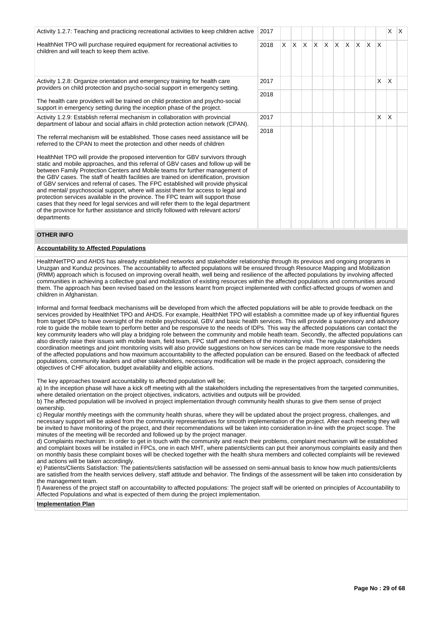| Activity 1.2.7: Teaching and practicing recreational activities to keep children active                                                                                                                                                                                                                                                                                                                                                                                                                                                                                                                                                                                                                                                                                                                                                                                                                                                                            | 2017 |   |     |              |     |              |          |     |              |                         |   | X   | $\mathsf{I}\mathsf{X}$ |
|--------------------------------------------------------------------------------------------------------------------------------------------------------------------------------------------------------------------------------------------------------------------------------------------------------------------------------------------------------------------------------------------------------------------------------------------------------------------------------------------------------------------------------------------------------------------------------------------------------------------------------------------------------------------------------------------------------------------------------------------------------------------------------------------------------------------------------------------------------------------------------------------------------------------------------------------------------------------|------|---|-----|--------------|-----|--------------|----------|-----|--------------|-------------------------|---|-----|------------------------|
| HealthNet TPO will purchase required equipment for recreational activities to<br>children and will teach to keep them active.                                                                                                                                                                                                                                                                                                                                                                                                                                                                                                                                                                                                                                                                                                                                                                                                                                      | 2018 | X | IX. | $\mathsf{X}$ | IX. | $\mathsf{X}$ | $\times$ | ΙX. | <sup>X</sup> | $\mathbb{I} \mathsf{X}$ | X |     |                        |
| Activity 1.2.8: Organize orientation and emergency training for health care<br>providers on child protection and psycho-social support in emergency setting.                                                                                                                                                                                                                                                                                                                                                                                                                                                                                                                                                                                                                                                                                                                                                                                                       | 2017 |   |     |              |     |              |          |     |              |                         | X | X.  |                        |
| The health care providers will be trained on child protection and psycho-social<br>support in emergency setting during the inception phase of the project.                                                                                                                                                                                                                                                                                                                                                                                                                                                                                                                                                                                                                                                                                                                                                                                                         | 2018 |   |     |              |     |              |          |     |              |                         |   |     |                        |
| Activity 1.2.9: Establish referral mechanism in collaboration with provincial<br>department of labour and social affairs in child protection action network (CPAN).                                                                                                                                                                                                                                                                                                                                                                                                                                                                                                                                                                                                                                                                                                                                                                                                | 2017 |   |     |              |     |              |          |     |              |                         | X | ΙX. |                        |
| The referral mechanism will be established. Those cases need assistance will be<br>referred to the CPAN to meet the protection and other needs of children<br>HealthNet TPO will provide the proposed intervention for GBV survivors through<br>static and mobile approaches, and this referral of GBV cases and follow up will be<br>between Family Protection Centers and Mobile teams for further management of<br>the GBV cases. The staff of health facilities are trained on identification, provision<br>of GBV services and referral of cases. The FPC established will provide physical<br>and mental/ psychosocial support, where will assist them for access to legal and<br>protection services available in the province. The FPC team will support those<br>cases that they need for legal services and will refer them to the legal department<br>of the province for further assistance and strictly followed with relevant actors/<br>departments | 2018 |   |     |              |     |              |          |     |              |                         |   |     |                        |

### **OTHER INFO**

### **Accountability to Affected Populations**

HealthNetTPO and AHDS has already established networks and stakeholder relationship through its previous and ongoing programs in Uruzgan and Kunduz provinces. The accountability to affected populations will be ensured through Resource Mapping and Mobilization (RMM) approach which is focused on improving overall health, well being and resilience of the affected populations by involving affected communities in achieving a collective goal and mobilization of existing resources within the affected populations and communities around them. The approach has been revised based on the lessons learnt from project implemented with conflict-affected groups of women and children in Afghanistan.

Informal and formal feedback mechanisms will be developed from which the affected populations will be able to provide feedback on the services provided by HealthNet TPO and AHDS. For example, HealthNet TPO will establish a committee made up of key influential figures from target IDPs to have oversight of the mobile psychosocial, GBV and basic health services. This will provide a supervisory and advisory role to guide the mobile team to perform better and be responsive to the needs of IDPs. This way the affected populations can contact the key community leaders who will play a bridging role between the community and mobile heath team. Secondly, the affected populations can also directly raise their issues with mobile team, field team, FPC staff and members of the monitoring visit. The regular stakeholders coordination meetings and joint monitoring visits will also provide suggestions on how services can be made more responsive to the needs of the affected populations and how maximum accountability to the affected population can be ensured. Based on the feedback of affected populations, community leaders and other stakeholders, necessary modification will be made in the project approach, considering the objectives of CHF allocation, budget availability and eligible actions.

The key approaches toward accountability to affected population will be;

a) In the inception phase will have a kick off meeting with all the stakeholders including the representatives from the targeted communities, where detailed orientation on the project objectives, indicators, activities and outputs will be provided.

b) The affected population will be involved in project implementation through community health shuras to give them sense of project ownership.

c) Regular monthly meetings with the community health shuras, where they will be updated about the project progress, challenges, and necessary support will be asked from the community representatives for smooth implementation of the project. After each meeting they will be invited to have monitoring of the project, and their recommendations will be taken into consideration in-line with the project scope. The minutes of the meeting will be recorded and followed up by the project manager.

d) Complaints mechanism: In order to get in touch with the community and reach their problems, complaint mechanism will be established and complaint boxes will be installed in FPCs, one in each MHT, where patients/clients can put their anonymous complaints easily and then on monthly basis these complaint boxes will be checked together with the health shura members and collected complaints will be reviewed and actions will be taken accordingly.

e) Patients/Clients Satisfaction: The patients/clients satisfaction will be assessed on semi-annual basis to know how much patients/clients are satisfied from the health services delivery, staff attitude and behavior. The findings of the assessment will be taken into consideration by the management team.

f) Awareness of the project staff on accountability to affected populations: The project staff will be oriented on principles of Accountability to Affected Populations and what is expected of them during the project implementation.

**Implementation Plan**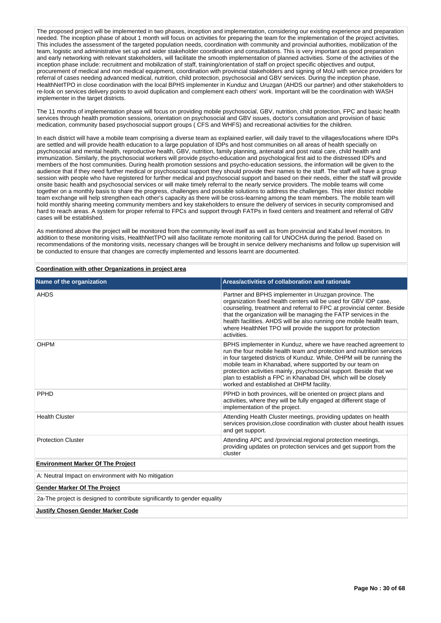The proposed project will be implemented in two phases, inception and implementation, considering our existing experience and preparation needed. The inception phase of about 1 month will focus on activities for preparing the team for the implementation of the project activities. This includes the assessment of the targeted population needs, coordination with community and provincial authorities, mobilization of the team, logistic and administrative set up and wider stakeholder coordination and consultations. This is very important as good preparation and early networking with relevant stakeholders, will facilitate the smooth implementation of planned activities. Some of the activities of the inception phase include: recruitment and mobilization of staff, training/orientation of staff on project specific objectives and output, procurement of medical and non medical equipment, coordination with provincial stakeholders and signing of MoU with service providers for referral of cases needing advanced medical, nutrition, child protection, psychosocial and GBV services. During the inception phase, HealthNetTPO in close coordination with the local BPHS implementer in Kunduz and Uruzgan (AHDS our partner) and other stakeholders to re-look on services delivery points to avoid duplication and complement each others' work. Important will be the coordination with WASH implementer in the target districts.

The 11 months of implementation phase will focus on providing mobile psychosocial, GBV, nutrition, child protection, FPC and basic health services through health promotion sessions, orientation on psychosocial and GBV issues, doctor's consultation and provision of basic medication, community based psychosocial support groups ( CFS and WHFS) and recreational activities for the children.

In each district will have a mobile team comprising a diverse team as explained earlier, will daily travel to the villages/locations where IDPs are settled and will provide health education to a large population of IDPs and host communities on all areas of health specially on psychosocial and mental health, reproductive health, GBV, nutrition, family planning, antenatal and post natal care, child health and immunization. Similarly, the psychosocial workers will provide psycho-education and psychological first aid to the distressed IDPs and members of the host communities. During health promotion sessions and psycho-education sessions, the information will be given to the audience that if they need further medical or psychosocial support they should provide their names to the staff. The staff will have a group session with people who have registered for further medical and psychosocial support and based on their needs, either the staff will provide onsite basic health and psychosocial services or will make timely referral to the nearly service providers. The mobile teams will come together on a monthly basis to share the progress, challenges and possible solutions to address the challenges. This inter district mobile team exchange will help strengthen each other's capacity as there will be cross-learning among the team members. The mobile team will hold monthly sharing meeting community members and key stakeholders to ensure the delivery of services in security compromised and hard to reach areas. A system for proper referral to FPCs and support through FATPs in fixed centers and treatment and referral of GBV cases will be established.

As mentioned above the project will be monitored from the community level itself as well as from provincial and Kabul level monitors. In addition to these monitoring visits, HealthNetTPO will also facilitate remote monitoring call for UNOCHA during the period. Based on recommendations of the monitoring visits, necessary changes will be brought in service delivery mechanisms and follow up supervision will be conducted to ensure that changes are correctly implemented and lessons learnt are documented.

**Coordination with other Organizations in project area**

| Name of the organization                                                  | Areas/activities of collaboration and rationale                                                                                                                                                                                                                                                                                                                                                                                                                |
|---------------------------------------------------------------------------|----------------------------------------------------------------------------------------------------------------------------------------------------------------------------------------------------------------------------------------------------------------------------------------------------------------------------------------------------------------------------------------------------------------------------------------------------------------|
| AHDS                                                                      | Partner and BPHS implementer in Uruzgan province. The<br>organization fixed health centers will be used for GBV IDP case,<br>counseling, treatment and referral to FPC at provincial center. Beside<br>that the organization will be managing the FATP services in the<br>health facilities. AHDS will be also running one mobile health team,<br>where HealthNet TPO will provide the support for protection<br>activities.                                   |
| <b>OHPM</b>                                                               | BPHS implementer in Kunduz, where we have reached agreement to<br>run the four mobile health team and protection and nutrition services<br>in four targeted districts of Kunduz. While, OHPM will be running the<br>mobile team in Khanabad, where supported by our team on<br>protection activities mainly, psychosocial support. Beside that we<br>plan to establish a FPC in Khanabad DH, which will be closely<br>worked and established at OHPM facility. |
| PPHD                                                                      | PPHD in both provinces, will be oriented on project plans and<br>activities, where they will be fully engaged at different stage of<br>implementation of the project.                                                                                                                                                                                                                                                                                          |
| <b>Health Cluster</b>                                                     | Attending Health Cluster meetings, providing updates on health<br>services provision, close coordination with cluster about health issues<br>and get support.                                                                                                                                                                                                                                                                                                  |
| <b>Protection Cluster</b>                                                 | Attending APC and /provincial.regional protection meetings,<br>providing updates on protection services and get support from the<br>cluster                                                                                                                                                                                                                                                                                                                    |
| <b>Environment Marker Of The Project</b>                                  |                                                                                                                                                                                                                                                                                                                                                                                                                                                                |
| A: Neutral Impact on environment with No mitigation                       |                                                                                                                                                                                                                                                                                                                                                                                                                                                                |
| <b>Gender Marker Of The Project</b>                                       |                                                                                                                                                                                                                                                                                                                                                                                                                                                                |
| 2a-The project is designed to contribute significantly to gender equality |                                                                                                                                                                                                                                                                                                                                                                                                                                                                |
| <b>Justify Chosen Gender Marker Code</b>                                  |                                                                                                                                                                                                                                                                                                                                                                                                                                                                |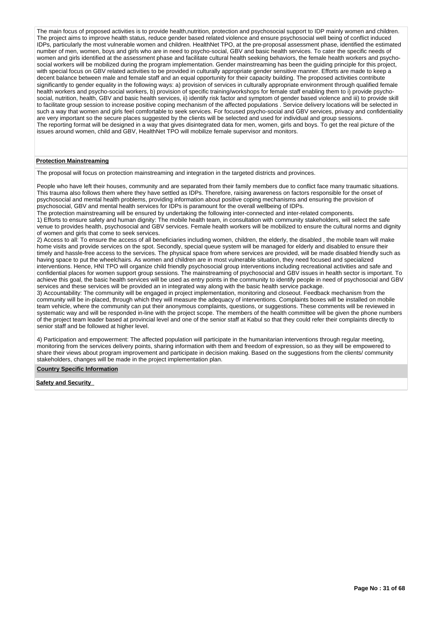The main focus of proposed activities is to provide health,nutrition, protection and psychosocial support to IDP mainly women and children. The project aims to improve health status, reduce gender based related violence and ensure psychosocial well being of conflict induced IDPs, particularly the most vulnerable women and children. HealthNet TPO, at the pre-proposal assessment phase, identified the estimated number of men, women, boys and girls who are in need to psycho-social, GBV and basic health services. To cater the specific needs of women and girls identified at the assessment phase and facilitate cultural health seeking behaviors, the female health workers and psychosocial workers will be mobilized during the program implementation. Gender mainstreaming has been the guiding principle for this project. with special focus on GBV related activities to be provided in culturally appropriate gender sensitive manner. Efforts are made to keep a decent balance between male and female staff and an equal opportunity for their capacity building. The proposed activities contribute significantly to gender equality in the following ways: a) provision of services in culturally appropriate environment through qualified female health workers and psycho-social workers, b) provision of specific training/workshops for female staff enabling them to i) provide psychosocial, nutrition, health, GBV and basic health services, ii) identify risk factor and symptom of gender based violence and iii) to provide skill to facilitate group session to increase positive coping mechanism of the affected populations . Service delivery locations will be selected in such a way that women and girls feel comfortable to seek services. For focused psycho-social and GBV services, privacy and confidentiality are very important so the secure places suggested by the clients will be selected and used for individual and group sessions. The reporting format will be designed in a way that gives disintegrated data for men, women, girls and boys. To get the real picture of the issues around women, child and GBV, HealthNet TPO will mobilize female supervisor and monitors.

### **Protection Mainstreaming**

The proposal will focus on protection mainstreaming and integration in the targeted districts and provinces.

People who have left their houses, community and are separated from their family members due to conflict face many traumatic situations. This trauma also follows them where they have settled as IDPs. Therefore, raising awareness on factors responsible for the onset of psychosocial and mental health problems, providing information about positive coping mechanisms and ensuring the provision of psychosocial, GBV and mental health services for IDPs is paramount for the overall wellbeing of IDPs.

The protection mainstreaming will be ensured by undertaking the following inter-connected and inter-related components. 1) Efforts to ensure safety and human dignity: The mobile health team, in consultation with community stakeholders, will select the safe venue to provides health, psychosocial and GBV services. Female health workers will be mobilized to ensure the cultural norms and dignity of women and girls that come to seek services.

2) Access to all: To ensure the access of all beneficiaries including women, children, the elderly, the disabled , the mobile team will make home visits and provide services on the spot. Secondly, special queue system will be managed for elderly and disabled to ensure their timely and hassle-free access to the services. The physical space from where services are provided, will be made disabled friendly such as having space to put the wheelchairs. As women and children are in most vulnerable situation, they need focused and specialized interventions. Hence, HNI TPO will organize child friendly psychosocial group interventions including recreational activities and safe and confidential places for women support group sessions. The mainstreaming of psychosocial and GBV issues in health sector is important. To achieve this goal, the basic health services will be used as entry points in the community to identify people in need of psychosocial and GBV services and these services will be provided an in integrated way along with the basic health service package.

3) Accountability: The community will be engaged in project implementation, monitoring and closeout. Feedback mechanism from the community will be in-placed, through which they will measure the adequacy of interventions. Complaints boxes will be installed on mobile team vehicle, where the community can put their anonymous complaints, questions, or suggestions. These comments will be reviewed in systematic way and will be responded in-line with the project scope. The members of the health committee will be given the phone numbers of the project team leader based at provincial level and one of the senior staff at Kabul so that they could refer their complaints directly to senior staff and be followed at higher level.

4) Participation and empowerment: The affected population will participate in the humanitarian interventions through regular meeting, monitoring from the services delivery points, sharing information with them and freedom of expression, so as they will be empowered to share their views about program improvement and participate in decision making. Based on the suggestions from the clients/ community stakeholders, changes will be made in the project implementation plan.

## **Country Specific Information**

**Safety and Security**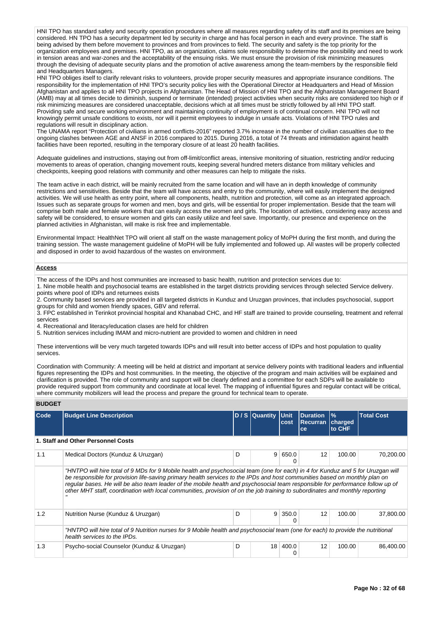HNI TPO has standard safety and security operation procedures where all measures regarding safety of its staff and its premises are being considered. HN TPO has a security department led by security in charge and has focal person in each and every province. The staff is being advised by them before movement to provinces and from provinces to field. The security and safety is the top priority for the organization employees and premises. HNI TPO, as an organization, claims sole responsibility to determine the possibility and need to work in tension areas and war-zones and the acceptability of the ensuing risks. We must ensure the provision of risk minimizing measures through the devising of adequate security plans and the promotion of active awareness among the team-members by the responsible field and Headquarters Managers.

HNI TPO obliges itself to clarify relevant risks to volunteers, provide proper security measures and appropriate insurance conditions. The responsibility for the implementation of HNI TPO's security policy lies with the Operational Director at Headquarters and Head of Mission Afghanistan and applies to all HNI TPO projects in Afghanistan. The Head of Mission of HNI TPO and the Afghanistan Management Board (AMB) may at all times decide to diminish, suspend or terminate (intended) project activities when security risks are considered too high or if risk minimizing measures are considered unacceptable, decisions which at all times must be strictly followed by all HNI TPO staff. Providing safe and secure working environment and maintaining continuity of employment is of continual concern. HNI TPO will not knowingly permit unsafe conditions to exists, nor will it permit employees to indulge in unsafe acts. Violations of HNI TPO rules and regulations will result in disciplinary action.

The UNAMA report "Protection of civilians in armed conflicts-2016" reported 3.7% increase in the number of civilian casualties due to the ongoing clashes between AGE and ANSF in 2016 compared to 2015. During 2016, a total of 74 threats and intimidation against health facilities have been reported, resulting in the temporary closure of at least 20 health facilities.

Adequate guidelines and instructions, staying out from off-limit/conflict areas, intensive monitoring of situation, restricting and/or reducing movements to areas of operation, changing movement routs, keeping several hundred meters distance from military vehicles and checkpoints, keeping good relations with community and other measures can help to mitigate the risks.

The team active in each district, will be mainly recruited from the same location and will have an in depth knowledge of community restrictions and sensitivities. Beside that the team will have access and entry to the community, where will easily implement the designed activities. We will use health as entry point, where all components, health, nutrition and protection, will come as an integrated approach. Issues such as separate groups for women and men, boys and girls, will be essential for proper implementation. Beside that the team will comprise both male and female workers that can easily access the women and girls. The location of activities, considering easy access and safety will be considered, to ensure women and girls can easily utilize and feel save. Importantly, our presence and experience on the planned activities in Afghanistan, will make is risk free and implementable.

Environmental Impact: HealthNet TPO will orient all staff on the waste management policy of MoPH during the first month, and during the training session. The waste management guideline of MoPH will be fully implemented and followed up. All wastes will be properly collected and disposed in order to avoid hazardous of the wastes on environment.

### **Access**

The access of the IDPs and host communities are increased to basic health, nutrition and protection services due to:

1. Nine mobile health and psychosocial teams are established in the target districts providing services through selected Service delivery. points where pool of IDPs and returnees exists

2. Community based services are provided in all targeted districts in Kunduz and Uruzgan provinces, that includes psychosocial, support groups for child and women friendly spaces, GBV and referral.

3. FPC established in Terinkot provincial hospital and Khanabad CHC, and HF staff are trained to provide counseling, treatment and referral services

4. Recreational and literacy/education clases are held for children

5. Nutrition services including IMAM and micro-nutrient are provided to women and children in need

These interventions will be very much targeted towards IDPs and will result into better access of IDPs and host population to quality services.

Coordination with Community: A meeting will be held at district and important at service delivery points with traditional leaders and influential figures representing the IDPs and host communities. In the meeting, the objective of the program and main activities will be explained and clarification is provided. The role of community and support will be clearly defined and a committee for each SDPs will be available to provide required support from community and coordinate at local level. The mapping of influential figures and regular contact will be critical, where community mobilizers will lead the process and prepare the ground for technical team to operate.

### **BUDGET**

| Code | <b>Budget Line Description</b>                                                                                                                                                                                                                                                                                                                                                                                                                                                                                                  |   | D / S Quantity | Unit<br>cost | <b>Duration</b><br><b>Recurran</b><br>ce | $\frac{9}{6}$<br>charged<br>to CHF | <b>Total Cost</b> |  |  |  |  |
|------|---------------------------------------------------------------------------------------------------------------------------------------------------------------------------------------------------------------------------------------------------------------------------------------------------------------------------------------------------------------------------------------------------------------------------------------------------------------------------------------------------------------------------------|---|----------------|--------------|------------------------------------------|------------------------------------|-------------------|--|--|--|--|
|      | 1. Staff and Other Personnel Costs                                                                                                                                                                                                                                                                                                                                                                                                                                                                                              |   |                |              |                                          |                                    |                   |  |  |  |  |
| 1.1  | Medical Doctors (Kunduz & Uruzgan)                                                                                                                                                                                                                                                                                                                                                                                                                                                                                              | D | 9              | 650.0        | 12                                       | 100.00                             | 70,200.00         |  |  |  |  |
|      | "HNTPO will hire total of 9 MDs for 9 Mobile health and psychosocial team (one for each) in 4 for Kunduz and 5 for Uruzgan will<br>be responsible for provision life-saving primary health services to the IPDs and host communities based on monthly plan on<br>reqular bases. He will be also team leader of the mobile health and psychosocial team responsible for performance follow up of<br>other MHT staff, coordination with local communities, provision of on the job training to subordinates and monthly reporting |   |                |              |                                          |                                    |                   |  |  |  |  |
| 1.2  | Nutrition Nurse (Kunduz & Uruzgan)                                                                                                                                                                                                                                                                                                                                                                                                                                                                                              | D | 9              | 350.0        | 12                                       | 100.00                             | 37,800.00         |  |  |  |  |
|      | "HNTPO will hire total of 9 Nutrition nurses for 9 Mobile health and psychosocial team (one for each) to provide the nutritional<br>health services to the IPDs.                                                                                                                                                                                                                                                                                                                                                                |   |                |              |                                          |                                    |                   |  |  |  |  |
| 1.3  | Psycho-social Counselor (Kunduz & Uruzgan)                                                                                                                                                                                                                                                                                                                                                                                                                                                                                      | D | 18             | 400.0        | 12                                       | 100.00                             | 86,400.00         |  |  |  |  |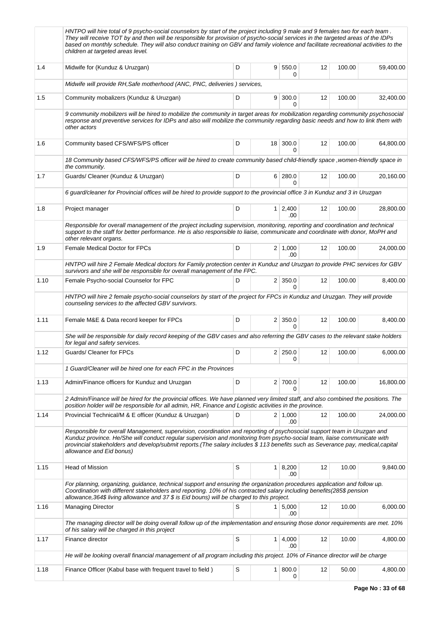|      | HNTPO will hire total of 9 psycho-social counselors by start of the project including 9 male and 9 females two for each team.<br>They will receive TOT by and then will be responsible for provision of psycho-social services in the targeted areas of the IDPs<br>based on monthly schedule. They will also conduct training on GBV and family violence and facilitate recreational activities to the<br>children at targeted areas level. |   |                        |    |        |           |
|------|----------------------------------------------------------------------------------------------------------------------------------------------------------------------------------------------------------------------------------------------------------------------------------------------------------------------------------------------------------------------------------------------------------------------------------------------|---|------------------------|----|--------|-----------|
| 1.4  | Midwife for (Kunduz & Uruzgan)                                                                                                                                                                                                                                                                                                                                                                                                               | D | 9   550.0<br>0         | 12 | 100.00 | 59,400.00 |
|      | Midwife will provide RH, Safe motherhood (ANC, PNC, deliveries) services,                                                                                                                                                                                                                                                                                                                                                                    |   |                        |    |        |           |
| 1.5  | Community mobalizers (Kunduz & Uruzgan)                                                                                                                                                                                                                                                                                                                                                                                                      | D | 9   300.0<br>0         | 12 | 100.00 | 32,400.00 |
|      | 9 community mobilizers will be hired to mobilize the community in target areas for mobilization regarding community psychosocial<br>response and preventive services for IDPs and also will mobilize the community regarding basic needs and how to link them with<br>other actors                                                                                                                                                           |   |                        |    |        |           |
| 1.6  | Community based CFS/WFS/PS officer                                                                                                                                                                                                                                                                                                                                                                                                           | D | $18$ 300.0<br>$\Omega$ | 12 | 100.00 | 64,800.00 |
|      | 18 Community based CFS/WFS/PS officer will be hired to create community based child-friendly space, women-friendly space in<br>the community.                                                                                                                                                                                                                                                                                                |   |                        |    |        |           |
| 1.7  | Guards/ Cleaner (Kunduz & Uruzgan)                                                                                                                                                                                                                                                                                                                                                                                                           | D | 6 280.0<br>0           | 12 | 100.00 | 20,160.00 |
|      | 6 guard/cleaner for Provincial offices will be hired to provide support to the provincial office 3 in Kunduz and 3 in Uruzgan                                                                                                                                                                                                                                                                                                                |   |                        |    |        |           |
| 1.8  | Project manager                                                                                                                                                                                                                                                                                                                                                                                                                              | D | $1 \mid 2,400$<br>.00  | 12 | 100.00 | 28,800.00 |
|      | Responsible for overall management of the project including supervision, monitoring, reporting and coordination and technical<br>support to the staff for better performance. He is also responsible to liaise, communicate and coordinate with donor, MoPH and<br>other relevant organs.                                                                                                                                                    |   |                        |    |        |           |
| 1.9  | Female Medical Doctor for FPCs                                                                                                                                                                                                                                                                                                                                                                                                               | D | $2 \mid 1,000$<br>.00  | 12 | 100.00 | 24,000.00 |
|      | HNTPO will hire 2 Female Medical doctors for Family protection center in Kunduz and Uruzgan to provide PHC services for GBV<br>survivors and she will be responsible for overall management of the FPC.                                                                                                                                                                                                                                      |   |                        |    |        |           |
| 1.10 | Female Psycho-social Counselor for FPC                                                                                                                                                                                                                                                                                                                                                                                                       | D | $2 \mid 350.0$<br>0    | 12 | 100.00 | 8,400.00  |
|      | HNTPO will hire 2 female psycho-social counselors by start of the project for FPCs in Kunduz and Uruzgan. They will provide<br>counseling services to the affected GBV survivors.                                                                                                                                                                                                                                                            |   |                        |    |        |           |
| 1.11 | Female M&E & Data record keeper for FPCs                                                                                                                                                                                                                                                                                                                                                                                                     | D | $2 \mid 350.0$<br>0    | 12 | 100.00 | 8,400.00  |
|      | She will be responsible for daily record keeping of the GBV cases and also referring the GBV cases to the relevant stake holders<br>for legal and safety services.                                                                                                                                                                                                                                                                           |   |                        |    |        |           |
| 1.12 | Guards/ Cleaner for FPCs                                                                                                                                                                                                                                                                                                                                                                                                                     | D | $2 \mid 250.0$<br>0    | 12 | 100.00 | 6,000.00  |
|      | 1 Guard/Cleaner will be hired one for each FPC in the Provinces                                                                                                                                                                                                                                                                                                                                                                              |   |                        |    |        |           |
| 1.13 | Admin/Finance officers for Kunduz and Uruzgan                                                                                                                                                                                                                                                                                                                                                                                                | D | 2 700.0<br>0           | 12 | 100.00 | 16,800.00 |
|      | 2 Admin/Finance will be hired for the provincial offices. We have planned very limited staff, and also combined the positions. The<br>position holder will be responsible for all admin, HR, Finance and Logistic activities in the province.                                                                                                                                                                                                |   |                        |    |        |           |
| 1.14 | Provincial Technical/M & E officer (Kunduz & Uruzgan)                                                                                                                                                                                                                                                                                                                                                                                        | D | 2 1,000<br>.00         | 12 | 100.00 | 24,000.00 |
|      | Responsible for overall Management, supervision, coordination and reporting of psychosocial support team in Uruzgan and<br>Kunduz province. He/She will conduct regular supervision and monitoring from psycho-social team, liaise communicate with<br>provincial stakeholders and develop/submit reports.(The salary includes \$113 benefits such as Severance pay, medical,capital<br>allowance and Eid bonus)                             |   |                        |    |        |           |
| 1.15 | <b>Head of Mission</b>                                                                                                                                                                                                                                                                                                                                                                                                                       | S | 1   8,200<br>.00       | 12 | 10.00  | 9,840.00  |
|      | For planning, organizing, guidance, technical support and ensuring the organization procedures application and follow up.<br>Coordination with different stakeholders and reporting. 10% of his contracted salary including benefits(285\$ pension<br>allowance, 364\$ living allowance and 37 \$ is Eid bouns) will be charged to this project.                                                                                             |   |                        |    |        |           |
| 1.16 | <b>Managing Director</b>                                                                                                                                                                                                                                                                                                                                                                                                                     | S | $1 \mid 5,000$<br>.00  | 12 | 10.00  | 6,000.00  |
|      | The managing director will be doing overall follow up of the implementation and ensuring those donor requirements are met. 10%<br>of his salary will be charged in this project                                                                                                                                                                                                                                                              |   |                        |    |        |           |
| 1.17 | Finance director                                                                                                                                                                                                                                                                                                                                                                                                                             | S | 1   4,000<br>.00       | 12 | 10.00  | 4,800.00  |
|      | He will be looking overall financial management of all program including this project. 10% of Finance director will be charge                                                                                                                                                                                                                                                                                                                |   |                        |    |        |           |
| 1.18 | Finance Officer (Kabul base with frequent travel to field)                                                                                                                                                                                                                                                                                                                                                                                   | S | 1   800.0<br>0         | 12 | 50.00  | 4,800.00  |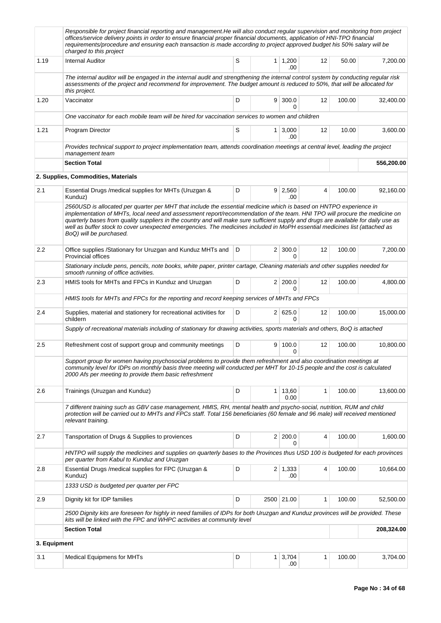|              | Responsible for project financial reporting and management. He will also conduct regular supervision and monitoring from project<br>offices/service delivery points in order to ensure financial proper financial documents, application of HNI-TPO financial<br>requirements/procedure and ensuring each transaction is made according to project approved budget his 50% salary will be<br>charged to this project                                                                                                                            |   |   |                              |                |        |            |
|--------------|-------------------------------------------------------------------------------------------------------------------------------------------------------------------------------------------------------------------------------------------------------------------------------------------------------------------------------------------------------------------------------------------------------------------------------------------------------------------------------------------------------------------------------------------------|---|---|------------------------------|----------------|--------|------------|
| 1.19         | <b>Internal Auditor</b>                                                                                                                                                                                                                                                                                                                                                                                                                                                                                                                         | S |   | $1 \mid 1,200$<br>.00        | 12             | 50.00  | 7,200.00   |
|              | The internal auditor will be engaged in the internal audit and strengthening the internal control system by conducting regular risk<br>assessments of the project and recommend for improvement. The budget amount is reduced to 50%, that will be allocated for<br>this project.                                                                                                                                                                                                                                                               |   |   |                              |                |        |            |
| 1.20         | Vaccinator                                                                                                                                                                                                                                                                                                                                                                                                                                                                                                                                      | D |   | 9   300.0<br>$\Omega$        | 12             | 100.00 | 32,400.00  |
|              | One vaccinator for each mobile team will be hired for vaccination services to women and children                                                                                                                                                                                                                                                                                                                                                                                                                                                |   |   |                              |                |        |            |
| 1.21         | Program Director                                                                                                                                                                                                                                                                                                                                                                                                                                                                                                                                | S |   | 1 3,000<br>.00               | 12             | 10.00  | 3,600.00   |
|              | Provides technical support to project implementation team, attends coordination meetings at central level, leading the project<br>management team                                                                                                                                                                                                                                                                                                                                                                                               |   |   |                              |                |        |            |
|              | <b>Section Total</b>                                                                                                                                                                                                                                                                                                                                                                                                                                                                                                                            |   |   |                              |                |        | 556,200.00 |
|              | 2. Supplies, Commodities, Materials                                                                                                                                                                                                                                                                                                                                                                                                                                                                                                             |   |   |                              |                |        |            |
| 2.1          | Essential Drugs /medical supplies for MHTs (Uruzgan &<br>Kunduz)                                                                                                                                                                                                                                                                                                                                                                                                                                                                                | D |   | $9 \mid 2,560$<br>.00        | $\overline{4}$ | 100.00 | 92,160.00  |
|              | 2560USD is allocated per quarter per MHT that include the essential medicine which is based on HNTPO experience in<br>implementation of MHTs, local need and assessment report/recommendation of the team. HNI TPO will procure the medicine on<br>quarterly bases from quality suppliers in the country and will make sure sufficient supply and drugs are available for daily use as<br>well as buffer stock to cover unexpected emergencies. The medicines included in MoPH essential medicines list (attached as<br>BoQ) will be purchased. |   |   |                              |                |        |            |
| 2.2          | Office supplies /Stationary for Uruzgan and Kunduz MHTs and<br><b>Provincial offices</b>                                                                                                                                                                                                                                                                                                                                                                                                                                                        | D |   | $2 \mid 300.0$<br>$\Omega$   | 12             | 100.00 | 7,200.00   |
|              | Stationary include pens, pencils, note books, white paper, printer cartage, Cleaning materials and other supplies needed for<br>smooth running of office activities.                                                                                                                                                                                                                                                                                                                                                                            |   |   |                              |                |        |            |
| 2.3          | HMIS tools for MHTs and FPCs in Kunduz and Uruzgan                                                                                                                                                                                                                                                                                                                                                                                                                                                                                              | D |   | 2 200.0<br>$\Omega$          | 12             | 100.00 | 4,800.00   |
|              | HMIS tools for MHTs and FPCs for the reporting and record keeping services of MHTs and FPCs                                                                                                                                                                                                                                                                                                                                                                                                                                                     |   |   |                              |                |        |            |
| 2.4          | Supplies, material and stationery for recreational activities for<br>childern                                                                                                                                                                                                                                                                                                                                                                                                                                                                   | D |   | 2 625.0<br>$\Omega$          | 12             | 100.00 | 15,000.00  |
|              | Supply of recreational materials including of stationary for drawing activities, sports materials and others, BoQ is attached                                                                                                                                                                                                                                                                                                                                                                                                                   |   |   |                              |                |        |            |
| 2.5          | Refreshment cost of support group and community meetings                                                                                                                                                                                                                                                                                                                                                                                                                                                                                        | D | 9 | 100.0<br>0                   | 12             | 100.00 | 10,800.00  |
|              | Support group for women having psychosocial problems to provide them refreshment and also coordination meetings at<br>community level for IDPs on monthly basis three meeting will conducted per MHT for 10-15 people and the cost is calculated<br>2000 Afs per meeting to provide them basic refreshment                                                                                                                                                                                                                                      |   |   |                              |                |        |            |
| 2.6          | Trainings (Uruzgan and Kunduz)                                                                                                                                                                                                                                                                                                                                                                                                                                                                                                                  | D |   | 1 13,60<br>0.00              | 1              | 100.00 | 13,600.00  |
|              | 7 different training such as GBV case management, HMIS, RH, mental health and psycho-social, nutrition, RUM and child<br>protection will be carried out to MHTs and FPCs staff. Total 156 beneficiaries (60 female and 96 male) will received mentioned<br>relevant training.                                                                                                                                                                                                                                                                   |   |   |                              |                |        |            |
| 2.7          | Tansportation of Drugs & Supplies to proviences                                                                                                                                                                                                                                                                                                                                                                                                                                                                                                 | D |   | 2 200.0<br>0                 | 4              | 100.00 | 1,600.00   |
|              | HNTPO will supply the medicines and supplies on quarterly bases to the Provinces thus USD 100 is budgeted for each provinces<br>per quarter from Kabul to Kunduz and Uruzgan                                                                                                                                                                                                                                                                                                                                                                    |   |   |                              |                |        |            |
| 2.8          | Essential Drugs / medical supplies for FPC (Uruzgan &<br>Kunduz)                                                                                                                                                                                                                                                                                                                                                                                                                                                                                | D |   | $2 \mid 1,333$<br>.00        | 4              | 100.00 | 10,664.00  |
|              | 1333 USD is budgeted per quarter per FPC                                                                                                                                                                                                                                                                                                                                                                                                                                                                                                        |   |   |                              |                |        |            |
| 2.9          | Dignity kit for IDP families                                                                                                                                                                                                                                                                                                                                                                                                                                                                                                                    | D |   | 2500 21.00                   | 1              | 100.00 | 52,500.00  |
|              | 2500 Dignity kits are foreseen for highly in need families of IDPs for both Uruzgan and Kunduz provinces will be provided. These<br>kits will be linked with the FPC and WHPC activities at community level                                                                                                                                                                                                                                                                                                                                     |   |   |                              |                |        |            |
|              | <b>Section Total</b>                                                                                                                                                                                                                                                                                                                                                                                                                                                                                                                            |   |   |                              |                |        | 208,324.00 |
| 3. Equipment |                                                                                                                                                                                                                                                                                                                                                                                                                                                                                                                                                 |   |   |                              |                |        |            |
| 3.1          | Medical Equipmens for MHTs                                                                                                                                                                                                                                                                                                                                                                                                                                                                                                                      | D |   | $1 \overline{)3,704}$<br>.00 | 1              | 100.00 | 3,704.00   |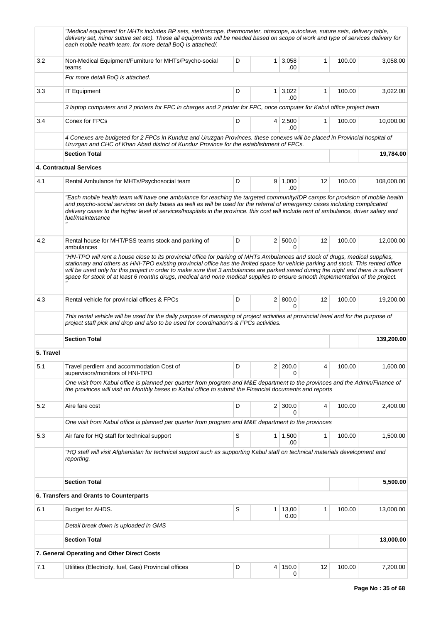|           | "Medical equipment for MHTs includes BP sets, stethoscope, thermometer, otoscope, autoclave, suture sets, delivery table,<br>delivery set, minor suture set etc). These all equipments will be needed based on scope of work and type of services delivery for<br>each mobile health team. for more detail BoQ is attached/.                                                                                                                                                                                                                  |   |                |                       |    |        |            |
|-----------|-----------------------------------------------------------------------------------------------------------------------------------------------------------------------------------------------------------------------------------------------------------------------------------------------------------------------------------------------------------------------------------------------------------------------------------------------------------------------------------------------------------------------------------------------|---|----------------|-----------------------|----|--------|------------|
| 3.2       | Non-Medical Equipment/Furniture for MHTs/Psycho-social<br>teams                                                                                                                                                                                                                                                                                                                                                                                                                                                                               | D | 1 <sup>1</sup> | 3,058<br>.00          | 1  | 100.00 | 3,058.00   |
|           | For more detail BoQ is attached.                                                                                                                                                                                                                                                                                                                                                                                                                                                                                                              |   |                |                       |    |        |            |
| 3.3       | <b>IT Equipment</b>                                                                                                                                                                                                                                                                                                                                                                                                                                                                                                                           | D | 1 <sup>1</sup> | 3,022<br>.00          | 1  | 100.00 | 3,022.00   |
|           | 3 laptop computers and 2 printers for FPC in charges and 2 printer for FPC, once computer for Kabul office project team                                                                                                                                                                                                                                                                                                                                                                                                                       |   |                |                       |    |        |            |
| 3.4       | Conex for FPCs                                                                                                                                                                                                                                                                                                                                                                                                                                                                                                                                | D |                | 4 2,500<br>.00        | 1  | 100.00 | 10,000.00  |
|           | 4 Conexes are budgeted for 2 FPCs in Kunduz and Uruzgan Provinces. these conexes will be placed in Provincial hospital of<br>Uruzgan and CHC of Khan Abad district of Kunduz Province for the establishment of FPCs.                                                                                                                                                                                                                                                                                                                          |   |                |                       |    |        |            |
|           | <b>Section Total</b>                                                                                                                                                                                                                                                                                                                                                                                                                                                                                                                          |   |                |                       |    |        | 19,784.00  |
|           | 4. Contractual Services                                                                                                                                                                                                                                                                                                                                                                                                                                                                                                                       |   |                |                       |    |        |            |
| 4.1       | Rental Ambulance for MHTs/Psychosocial team                                                                                                                                                                                                                                                                                                                                                                                                                                                                                                   | D |                | 9   1,000<br>.00      | 12 | 100.00 | 108,000.00 |
|           | "Each mobile health team will have one ambulance for reaching the targeted community/IDP camps for provision of mobile health<br>and psycho-social services on daily bases as well as will be used for the referral of emergency cases including complicated<br>delivery cases to the higher level of services/hospitals in the province, this cost will include rent of ambulance, driver salary and<br>fuel/maintenance                                                                                                                     |   |                |                       |    |        |            |
| 4.2       | Rental house for MHT/PSS teams stock and parking of<br>ambulances                                                                                                                                                                                                                                                                                                                                                                                                                                                                             | D |                | 2   500.0<br>$\Omega$ | 12 | 100.00 | 12,000.00  |
|           | "HN-TPO will rent a house close to its provincial office for parking of MHTs Ambulances and stock of drugs, medical supplies,<br>stationary and others as HNI-TPO existing provincial office has the limited space for vehicle parking and stock. This rented office<br>will be used only for this project in order to make sure that 3 ambulances are parked saved during the night and there is sufficient<br>space for stock of at least 6 months drugs, medical and none medical supplies to ensure smooth implementation of the project. |   |                |                       |    |        |            |
| 4.3       | Rental vehicle for provincial offices & FPCs                                                                                                                                                                                                                                                                                                                                                                                                                                                                                                  | D |                | 2   800.0<br>0        | 12 | 100.00 | 19,200.00  |
|           | This rental vehicle will be used for the daily purpose of managing of project activities at provincial level and for the purpose of<br>project staff pick and drop and also to be used for coordination's & FPCs activities.                                                                                                                                                                                                                                                                                                                  |   |                |                       |    |        |            |
|           | <b>Section Total</b>                                                                                                                                                                                                                                                                                                                                                                                                                                                                                                                          |   |                |                       |    |        | 139,200.00 |
| 5. Travel |                                                                                                                                                                                                                                                                                                                                                                                                                                                                                                                                               |   |                |                       |    |        |            |
| 5.1       | Travel perdiem and accommodation Cost of<br>supervisors/monitors of HNI-TPO                                                                                                                                                                                                                                                                                                                                                                                                                                                                   | D | 2 <sup>1</sup> | 200.0                 | 4  | 100.00 | 1,600.00   |
|           | One visit from Kabul office is planned per quarter from program and M&E department to the provinces and the Admin/Finance of<br>the provinces will visit on Monthly bases to Kabul office to submit the Financial documents and reports                                                                                                                                                                                                                                                                                                       |   |                |                       |    |        |            |
| 5.2       | Aire fare cost                                                                                                                                                                                                                                                                                                                                                                                                                                                                                                                                | D |                | $2 \mid 300.0$<br>0   | 4  | 100.00 | 2,400.00   |
|           | One visit from Kabul office is planned per quarter from program and M&E department to the provinces                                                                                                                                                                                                                                                                                                                                                                                                                                           |   |                |                       |    |        |            |
| 5.3       | Air fare for HQ staff for technical support                                                                                                                                                                                                                                                                                                                                                                                                                                                                                                   | S |                | $1 \mid 1,500$<br>.00 | 1  | 100.00 | 1,500.00   |
|           | "HQ staff will visit Afghanistan for technical support such as supporting Kabul staff on technical materials development and<br>reporting.                                                                                                                                                                                                                                                                                                                                                                                                    |   |                |                       |    |        |            |
|           | <b>Section Total</b>                                                                                                                                                                                                                                                                                                                                                                                                                                                                                                                          |   |                |                       |    |        | 5,500.00   |
|           | 6. Transfers and Grants to Counterparts                                                                                                                                                                                                                                                                                                                                                                                                                                                                                                       |   |                |                       |    |        |            |
| 6.1       | Budget for AHDS.                                                                                                                                                                                                                                                                                                                                                                                                                                                                                                                              | S | 1 <sup>1</sup> | 13,00<br>0.00         | 1  | 100.00 | 13,000.00  |
|           | Detail break down is uploaded in GMS                                                                                                                                                                                                                                                                                                                                                                                                                                                                                                          |   |                |                       |    |        |            |
|           | <b>Section Total</b>                                                                                                                                                                                                                                                                                                                                                                                                                                                                                                                          |   |                |                       |    |        | 13,000.00  |
|           | 7. General Operating and Other Direct Costs                                                                                                                                                                                                                                                                                                                                                                                                                                                                                                   |   |                |                       |    |        |            |
| 7.1       | Utilities (Electricity, fuel, Gas) Provincial offices                                                                                                                                                                                                                                                                                                                                                                                                                                                                                         | D | 4              | 150.0<br>0            | 12 | 100.00 | 7,200.00   |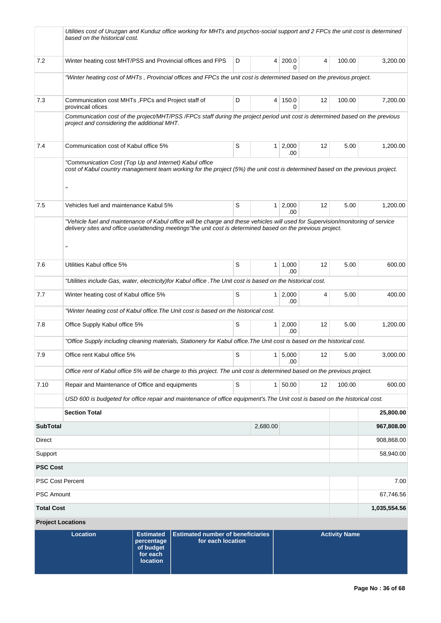|                          | Utilities cost of Uruzgan and Kunduz office working for MHTs and psychos-social support and 2 FPCs the unit cost is determined<br>based on the historical cost.                                                                                                                                          |   |                |                       |    |                      |                         |  |  |  |  |  |
|--------------------------|----------------------------------------------------------------------------------------------------------------------------------------------------------------------------------------------------------------------------------------------------------------------------------------------------------|---|----------------|-----------------------|----|----------------------|-------------------------|--|--|--|--|--|
| 7.2                      | Winter heating cost MHT/PSS and Provincial offices and FPS                                                                                                                                                                                                                                               | D | 4              | 200.0<br>n            | 4  | 100.00               | 3,200.00                |  |  |  |  |  |
|                          | "Winter heating cost of MHTs, Provincial offices and FPCs the unit cost is determined based on the previous project.                                                                                                                                                                                     |   |                |                       |    |                      |                         |  |  |  |  |  |
| 7.3                      | Communication cost MHTs, FPCs and Project staff of<br>provincail ofices                                                                                                                                                                                                                                  | D | 4              | 150.0<br>0            | 12 | 100.00               | 7.200.00                |  |  |  |  |  |
|                          | Communication cost of the project/MHT/PSS/FPCs staff during the project period unit cost is determined based on the previous<br>project and considering the additional MHT.                                                                                                                              |   |                |                       |    |                      |                         |  |  |  |  |  |
| 7.4                      | Communication cost of Kabul office 5%                                                                                                                                                                                                                                                                    | S | 1 <sup>1</sup> | 2,000<br>.00          | 12 | 5.00                 | 1,200.00                |  |  |  |  |  |
|                          | "Communication Cost (Top Up and Internet) Kabul office<br>cost of Kabul country management team working for the project (5%) the unit cost is determined based on the previous project.<br>$\boldsymbol{\mathsf{u}}$                                                                                     |   |                |                       |    |                      |                         |  |  |  |  |  |
| 7.5                      | Vehicles fuel and maintenance Kabul 5%                                                                                                                                                                                                                                                                   | S | 1 <sup>1</sup> | 2,000<br>.00          | 12 | 5.00                 | 1,200.00                |  |  |  |  |  |
| 7.6                      | "Vehicle fuel and maintenance of Kabul office will be charge and these vehicles will used for Supervision/monitoring of service<br>delivery sites and office use/attending meetings"the unit cost is determined based on the previous project.<br>$\boldsymbol{\mathsf{u}}$<br>Utilities Kabul office 5% | S | $\mathbf{1}$   | 1,000                 | 12 | 5.00                 | 600.00                  |  |  |  |  |  |
|                          | .00<br>"Utilities include Gas, water, electricity)for Kabul office . The Unit cost is based on the historical cost.                                                                                                                                                                                      |   |                |                       |    |                      |                         |  |  |  |  |  |
| 7.7                      | Winter heating cost of Kabul office 5%                                                                                                                                                                                                                                                                   | S | 1 <sup>1</sup> | 2,000                 | 4  | 5.00                 | 400.00                  |  |  |  |  |  |
|                          | "Winter heating cost of Kabul office. The Unit cost is based on the historical cost.                                                                                                                                                                                                                     |   |                | .00                   |    |                      |                         |  |  |  |  |  |
| 7.8                      | Office Supply Kabul office 5%                                                                                                                                                                                                                                                                            | S | 1 <sup>1</sup> | 2,000<br>.00          | 12 | 5.00                 | 1,200.00                |  |  |  |  |  |
|                          | "Office Supply including cleaning materials, Stationery for Kabul office. The Unit cost is based on the historical cost.                                                                                                                                                                                 |   |                |                       |    |                      |                         |  |  |  |  |  |
| 7.9                      | Office rent Kabul office 5%                                                                                                                                                                                                                                                                              | S |                | $1 \mid 5,000$<br>.00 | 12 | 5.00                 | 3,000.00                |  |  |  |  |  |
|                          | Office rent of Kabul office 5% will be charge to this project. The unit cost is determined based on the previous project.                                                                                                                                                                                |   |                |                       |    |                      |                         |  |  |  |  |  |
| 7.10                     | Repair and Maintenance of Office and equipments                                                                                                                                                                                                                                                          | S | 1 <sup>1</sup> | 50.00                 | 12 | 100.00               | 600.00                  |  |  |  |  |  |
|                          | USD 600 is budgeted for office repair and maintenance of office equipment's. The Unit cost is based on the historical cost.                                                                                                                                                                              |   |                |                       |    |                      |                         |  |  |  |  |  |
| <b>SubTotal</b>          | <b>Section Total</b>                                                                                                                                                                                                                                                                                     |   |                |                       |    |                      | 25,800.00<br>967,808.00 |  |  |  |  |  |
| Direct                   |                                                                                                                                                                                                                                                                                                          |   | 2,680.00       |                       |    |                      | 908,868.00              |  |  |  |  |  |
| Support                  |                                                                                                                                                                                                                                                                                                          |   |                |                       |    |                      | 58,940.00               |  |  |  |  |  |
| <b>PSC Cost</b>          |                                                                                                                                                                                                                                                                                                          |   |                |                       |    |                      |                         |  |  |  |  |  |
| <b>PSC Cost Percent</b>  |                                                                                                                                                                                                                                                                                                          |   |                |                       |    |                      | 7.00                    |  |  |  |  |  |
| <b>PSC Amount</b>        |                                                                                                                                                                                                                                                                                                          |   |                |                       |    |                      | 67,746.56               |  |  |  |  |  |
| <b>Total Cost</b>        |                                                                                                                                                                                                                                                                                                          |   |                |                       |    |                      | 1,035,554.56            |  |  |  |  |  |
| <b>Project Locations</b> |                                                                                                                                                                                                                                                                                                          |   |                |                       |    |                      |                         |  |  |  |  |  |
|                          | <b>Location</b><br><b>Estimated</b><br><b>Estimated number of beneficiaries</b><br>for each location<br>percentage<br>of budget<br>for each<br><b>location</b>                                                                                                                                           |   |                |                       |    | <b>Activity Name</b> |                         |  |  |  |  |  |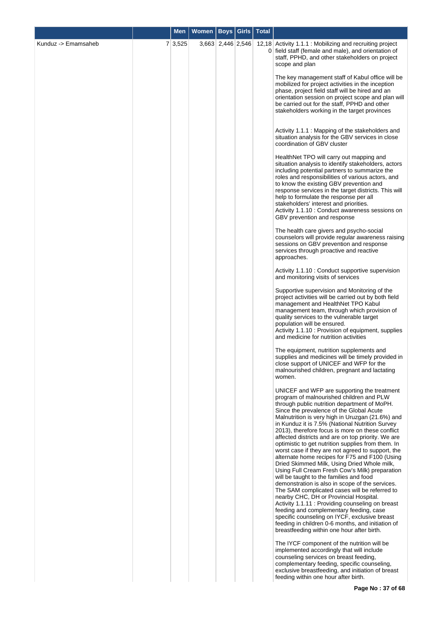|                     | <b>Men</b> | <b>Women</b> | Boys   Girls      | <b>Total</b>   |                                                                                                                                                                                                                                                                                                                                                                                                                                                                                                                                                                                                                                                                                                                                                                                                                                                                                                                                                                                                                                                                                                               |
|---------------------|------------|--------------|-------------------|----------------|---------------------------------------------------------------------------------------------------------------------------------------------------------------------------------------------------------------------------------------------------------------------------------------------------------------------------------------------------------------------------------------------------------------------------------------------------------------------------------------------------------------------------------------------------------------------------------------------------------------------------------------------------------------------------------------------------------------------------------------------------------------------------------------------------------------------------------------------------------------------------------------------------------------------------------------------------------------------------------------------------------------------------------------------------------------------------------------------------------------|
| Kunduz -> Emamsaheb | 7 3,525    |              | 3,663 2,446 2,546 | 0 <sup>1</sup> | 12,18 Activity 1.1.1 : Mobilizing and recruiting project<br>field staff (female and male), and orientation of<br>staff, PPHD, and other stakeholders on project<br>scope and plan                                                                                                                                                                                                                                                                                                                                                                                                                                                                                                                                                                                                                                                                                                                                                                                                                                                                                                                             |
|                     |            |              |                   |                | The key management staff of Kabul office will be<br>mobilized for project activities in the inception<br>phase, project field staff will be hired and an<br>orientation session on project scope and plan will<br>be carried out for the staff, PPHD and other<br>stakeholders working in the target provinces                                                                                                                                                                                                                                                                                                                                                                                                                                                                                                                                                                                                                                                                                                                                                                                                |
|                     |            |              |                   |                | Activity 1.1.1 : Mapping of the stakeholders and<br>situation analysis for the GBV services in close<br>coordination of GBV cluster                                                                                                                                                                                                                                                                                                                                                                                                                                                                                                                                                                                                                                                                                                                                                                                                                                                                                                                                                                           |
|                     |            |              |                   |                | HealthNet TPO will carry out mapping and<br>situation analysis to identify stakeholders, actors<br>including potential partners to summarize the<br>roles and responsibilities of various actors, and<br>to know the existing GBV prevention and<br>response services in the target districts. This will<br>help to formulate the response per all<br>stakeholders' interest and priorities.<br>Activity 1.1.10 : Conduct awareness sessions on<br>GBV prevention and response                                                                                                                                                                                                                                                                                                                                                                                                                                                                                                                                                                                                                                |
|                     |            |              |                   |                | The health care givers and psycho-social<br>counselors will provide regular awareness raising<br>sessions on GBV prevention and response<br>services through proactive and reactive<br>approaches.                                                                                                                                                                                                                                                                                                                                                                                                                                                                                                                                                                                                                                                                                                                                                                                                                                                                                                            |
|                     |            |              |                   |                | Activity 1.1.10 : Conduct supportive supervision<br>and monitoring visits of services                                                                                                                                                                                                                                                                                                                                                                                                                                                                                                                                                                                                                                                                                                                                                                                                                                                                                                                                                                                                                         |
|                     |            |              |                   |                | Supportive supervision and Monitoring of the<br>project activities will be carried out by both field<br>management and HealthNet TPO Kabul<br>management team, through which provision of<br>quality services to the vulnerable target<br>population will be ensured.<br>Activity 1.1.10 : Provision of equipment, supplies<br>and medicine for nutrition activities                                                                                                                                                                                                                                                                                                                                                                                                                                                                                                                                                                                                                                                                                                                                          |
|                     |            |              |                   |                | The equipment, nutrition supplements and<br>supplies and medicines will be timely provided in<br>close support of UNICEF and WFP for the<br>malnourished children, pregnant and lactating<br>women.                                                                                                                                                                                                                                                                                                                                                                                                                                                                                                                                                                                                                                                                                                                                                                                                                                                                                                           |
|                     |            |              |                   |                | UNICEF and WFP are supporting the treatment<br>program of malnourished children and PLW<br>through public nutrition department of MoPH.<br>Since the prevalence of the Global Acute<br>Malnutrition is very high in Uruzgan (21.6%) and<br>in Kunduz it is 7.5% (National Nutrition Survey<br>2013), therefore focus is more on these conflict<br>affected districts and are on top priority. We are<br>optimistic to get nutrition supplies from them. In<br>worst case if they are not agreed to support, the<br>alternate home recipes for F75 and F100 (Using<br>Dried Skimmed Milk, Using Dried Whole milk,<br>Using Full Cream Fresh Cow's Milk) preparation<br>will be taught to the families and food<br>demonstration is also in scope of the services.<br>The SAM complicated cases will be referred to<br>nearby CHC, DH or Provincial Hospital.<br>Activity 1.1.11: Providing counseling on breast<br>feeding and complementary feeding, case<br>specific counseling on IYCF, exclusive breast<br>feeding in children 0-6 months, and initiation of<br>breastfeeding within one hour after birth. |
|                     |            |              |                   |                | The IYCF component of the nutrition will be<br>implemented accordingly that will include<br>counseling services on breast feeding,<br>complementary feeding, specific counseling,<br>exclusive breastfeeding, and initiation of breast<br>feeding within one hour after birth.                                                                                                                                                                                                                                                                                                                                                                                                                                                                                                                                                                                                                                                                                                                                                                                                                                |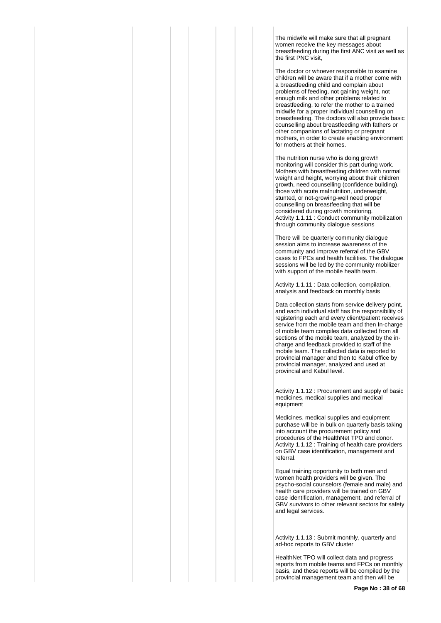The midwife will make sure that all pregnant women receive the key messages about breastfeeding during the first ANC visit as well as the first PNC visit,

The doctor or whoever responsible to examine children will be aware that if a mother come with a breastfeeding child and complain about problems of feeding, not gaining weight, not enough milk and other problems related to breastfeeding, to refer the mother to a trained midwife for a proper individual counselling on breastfeeding. The doctors will also provide basic counselling about breastfeeding with fathers or other companions of lactating or pregnant mothers, in order to create enabling environment for mothers at their homes.

The nutrition nurse who is doing growth monitoring will consider this part during work. Mothers with breastfeeding children with normal weight and height, worrying about their children growth, need counselling (confidence building), those with acute malnutrition, underweight, stunted, or not-growing-well need proper counselling on breastfeeding that will be considered during growth monitoring. Activity 1.1.11 : Conduct community mobilization through community dialogue sessions

There will be quarterly community dialogue session aims to increase awareness of the community and improve referral of the GBV cases to FPCs and health facilities. The dialogue sessions will be led by the community mobilizer with support of the mobile health team.

Activity 1.1.11 : Data collection, compilation, analysis and feedback on monthly basis

Data collection starts from service delivery point, and each individual staff has the responsibility of registering each and every client/patient receives service from the mobile team and then In-charge of mobile team compiles data collected from all sections of the mobile team, analyzed by the incharge and feedback provided to staff of the mobile team. The collected data is reported to provincial manager and then to Kabul office by provincial manager, analyzed and used at provincial and Kabul level.

Activity 1.1.12 : Procurement and supply of basic medicines, medical supplies and medical equipment

Medicines, medical supplies and equipment purchase will be in bulk on quarterly basis taking into account the procurement policy and procedures of the HealthNet TPO and donor. Activity 1.1.12 : Training of health care providers on GBV case identification, management and referral.

Equal training opportunity to both men and women health providers will be given. The psycho-social counselors (female and male) and health care providers will be trained on GBV case identification, management, and referral of GBV survivors to other relevant sectors for safety and legal services.

Activity 1.1.13 : Submit monthly, quarterly and ad-hoc reports to GBV cluster

HealthNet TPO will collect data and progress reports from mobile teams and FPCs on monthly basis, and these reports will be compiled by the provincial management team and then will be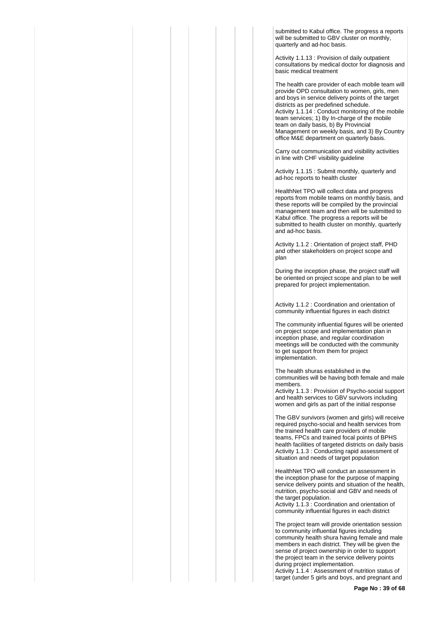submitted to Kabul office. The progress a reports will be submitted to GBV cluster on monthly quarterly and ad-hoc basis.

Activity 1.1.13 : Provision of daily outpatient consultations by medical doctor for diagnosis and basic medical treatment

The health care provider of each mobile team will provide OPD consultation to women, girls, men and boys in service delivery points of the target districts as per predefined schedule. Activity 1.1.14 : Conduct monitoring of the mobile team services; 1) By In-charge of the mobile team on daily basis, b) By Provincial Management on weekly basis, and 3) By Country office M&E department on quarterly basis.

Carry out communication and visibility activities in line with CHF visibility guideline

Activity 1.1.15 : Submit monthly, quarterly and ad-hoc reports to health cluster

HealthNet TPO will collect data and progress reports from mobile teams on monthly basis, and these reports will be compiled by the provincial management team and then will be submitted to Kabul office. The progress a reports will be submitted to health cluster on monthly, quarterly and ad-hoc basis.

Activity 1.1.2 : Orientation of project staff, PHD and other stakeholders on project scope and plan

During the inception phase, the project staff will be oriented on project scope and plan to be well prepared for project implementation.

Activity 1.1.2 : Coordination and orientation of community influential figures in each district

The community influential figures will be oriented on project scope and implementation plan in inception phase, and regular coordination meetings will be conducted with the community to get support from them for project implementation.

The health shuras established in the communities will be having both female and male members.

Activity 1.1.3 : Provision of Psycho-social support and health services to GBV survivors including women and girls as part of the initial response

The GBV survivors (women and girls) will receive required psycho-social and health services from the trained health care providers of mobile teams, FPCs and trained focal points of BPHS health facilities of targeted districts on daily basis Activity 1.1.3 : Conducting rapid assessment of situation and needs of target population

HealthNet TPO will conduct an assessment in the inception phase for the purpose of mapping service delivery points and situation of the health, nutrition, psycho-social and GBV and needs of the target population.

Activity 1.1.3 : Coordination and orientation of community influential figures in each district

The project team will provide orientation session to community influential figures including community health shura having female and male members in each district. They will be given the sense of project ownership in order to support the project team in the service delivery points during project implementation.

Activity 1.1.4 : Assessment of nutrition status of target (under 5 girls and boys, and pregnant and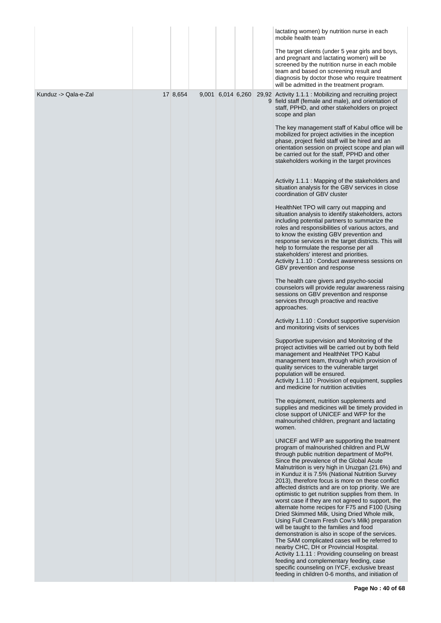|                      |          |                   |  | lactating women) by nutrition nurse in each<br>mobile health team                                                                                                                                                                                                                                                                                                                                                                                                                                                                                                                                                                                                                                                                                                                                                                                                                                                                                                                                                                                               |
|----------------------|----------|-------------------|--|-----------------------------------------------------------------------------------------------------------------------------------------------------------------------------------------------------------------------------------------------------------------------------------------------------------------------------------------------------------------------------------------------------------------------------------------------------------------------------------------------------------------------------------------------------------------------------------------------------------------------------------------------------------------------------------------------------------------------------------------------------------------------------------------------------------------------------------------------------------------------------------------------------------------------------------------------------------------------------------------------------------------------------------------------------------------|
|                      |          |                   |  | The target clients (under 5 year girls and boys,<br>and pregnant and lactating women) will be<br>screened by the nutrition nurse in each mobile<br>team and based on screening result and<br>diagnosis by doctor those who require treatment<br>will be admitted in the treatment program.                                                                                                                                                                                                                                                                                                                                                                                                                                                                                                                                                                                                                                                                                                                                                                      |
| Kunduz -> Qala-e-Zal | 17 8,654 | 9,001 6,014 6,260 |  | 29,92 Activity 1.1.1 : Mobilizing and recruiting project<br>9 field staff (female and male), and orientation of<br>staff, PPHD, and other stakeholders on project<br>scope and plan                                                                                                                                                                                                                                                                                                                                                                                                                                                                                                                                                                                                                                                                                                                                                                                                                                                                             |
|                      |          |                   |  | The key management staff of Kabul office will be<br>mobilized for project activities in the inception<br>phase, project field staff will be hired and an<br>orientation session on project scope and plan will<br>be carried out for the staff, PPHD and other<br>stakeholders working in the target provinces                                                                                                                                                                                                                                                                                                                                                                                                                                                                                                                                                                                                                                                                                                                                                  |
|                      |          |                   |  | Activity 1.1.1 : Mapping of the stakeholders and<br>situation analysis for the GBV services in close<br>coordination of GBV cluster                                                                                                                                                                                                                                                                                                                                                                                                                                                                                                                                                                                                                                                                                                                                                                                                                                                                                                                             |
|                      |          |                   |  | HealthNet TPO will carry out mapping and<br>situation analysis to identify stakeholders, actors<br>including potential partners to summarize the<br>roles and responsibilities of various actors, and<br>to know the existing GBV prevention and<br>response services in the target districts. This will<br>help to formulate the response per all<br>stakeholders' interest and priorities.<br>Activity 1.1.10 : Conduct awareness sessions on<br>GBV prevention and response                                                                                                                                                                                                                                                                                                                                                                                                                                                                                                                                                                                  |
|                      |          |                   |  | The health care givers and psycho-social<br>counselors will provide regular awareness raising<br>sessions on GBV prevention and response<br>services through proactive and reactive<br>approaches.                                                                                                                                                                                                                                                                                                                                                                                                                                                                                                                                                                                                                                                                                                                                                                                                                                                              |
|                      |          |                   |  | Activity 1.1.10 : Conduct supportive supervision<br>and monitoring visits of services                                                                                                                                                                                                                                                                                                                                                                                                                                                                                                                                                                                                                                                                                                                                                                                                                                                                                                                                                                           |
|                      |          |                   |  | Supportive supervision and Monitoring of the<br>project activities will be carried out by both field<br>management and HealthNet TPO Kabul<br>management team, through which provision of<br>quality services to the vulnerable target<br>population will be ensured.<br>Activity 1.1.10 : Provision of equipment, supplies<br>and medicine for nutrition activities                                                                                                                                                                                                                                                                                                                                                                                                                                                                                                                                                                                                                                                                                            |
|                      |          |                   |  | The equipment, nutrition supplements and<br>supplies and medicines will be timely provided in<br>close support of UNICEF and WFP for the<br>malnourished children, pregnant and lactating<br>women.                                                                                                                                                                                                                                                                                                                                                                                                                                                                                                                                                                                                                                                                                                                                                                                                                                                             |
|                      |          |                   |  | UNICEF and WFP are supporting the treatment<br>program of malnourished children and PLW<br>through public nutrition department of MoPH.<br>Since the prevalence of the Global Acute<br>Malnutrition is very high in Uruzgan (21.6%) and<br>in Kunduz it is 7.5% (National Nutrition Survey<br>2013), therefore focus is more on these conflict<br>affected districts and are on top priority. We are<br>optimistic to get nutrition supplies from them. In<br>worst case if they are not agreed to support, the<br>alternate home recipes for F75 and F100 (Using<br>Dried Skimmed Milk, Using Dried Whole milk,<br>Using Full Cream Fresh Cow's Milk) preparation<br>will be taught to the families and food<br>demonstration is also in scope of the services.<br>The SAM complicated cases will be referred to<br>nearby CHC, DH or Provincial Hospital.<br>Activity 1.1.11: Providing counseling on breast<br>feeding and complementary feeding, case<br>specific counseling on IYCF, exclusive breast<br>feeding in children 0-6 months, and initiation of |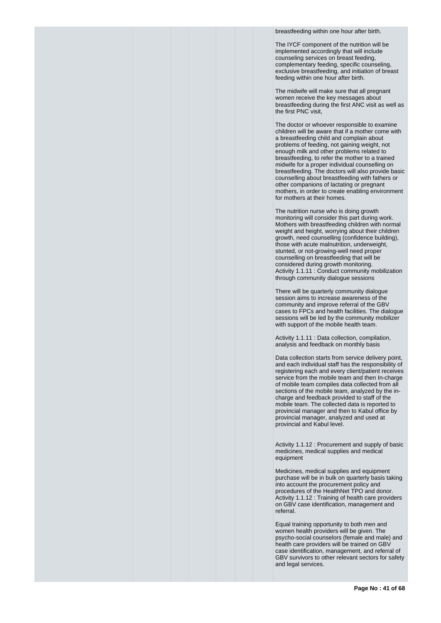breastfeeding within one hour after birth.

The IYCF component of the nutrition will be implemented accordingly that will include counseling services on breast feeding, complementary feeding, specific counseling, exclusive breastfeeding, and initiation of breast feeding within one hour after birth.

The midwife will make sure that all pregnant women receive the key messages about breastfeeding during the first ANC visit as well as the first PNC visit,

The doctor or whoever responsible to examine children will be aware that if a mother come with a breastfeeding child and complain about problems of feeding, not gaining weight, not enough milk and other problems related to breastfeeding, to refer the mother to a trained midwife for a proper individual counselling on breastfeeding. The doctors will also provide basic counselling about breastfeeding with fathers or other companions of lactating or pregnant mothers, in order to create enabling environment for mothers at their homes.

The nutrition nurse who is doing growth monitoring will consider this part during work. Mothers with breastfeeding children with normal weight and height, worrying about their children growth, need counselling (confidence building), those with acute malnutrition, underweight, stunted, or not-growing-well need proper counselling on breastfeeding that will be considered during growth monitoring. Activity 1.1.11 : Conduct community mobilization through community dialogue sessions

There will be quarterly community dialogue session aims to increase awareness of the community and improve referral of the GBV cases to FPCs and health facilities. The dialogue sessions will be led by the community mobilizer with support of the mobile health team.

Activity 1.1.11 : Data collection, compilation, analysis and feedback on monthly basis

Data collection starts from service delivery point, and each individual staff has the responsibility of registering each and every client/patient receives service from the mobile team and then In-charge of mobile team compiles data collected from all sections of the mobile team, analyzed by the incharge and feedback provided to staff of the mobile team. The collected data is reported to provincial manager and then to Kabul office by provincial manager, analyzed and used at provincial and Kabul level.

Activity 1.1.12 : Procurement and supply of basic medicines, medical supplies and medical equipment

Medicines, medical supplies and equipment purchase will be in bulk on quarterly basis taking into account the procurement policy and procedures of the HealthNet TPO and donor. Activity 1.1.12 : Training of health care providers on GBV case identification, management and referral.

Equal training opportunity to both men and women health providers will be given. The psycho-social counselors (female and male) and health care providers will be trained on GBV case identification, management, and referral of GBV survivors to other relevant sectors for safety and legal services.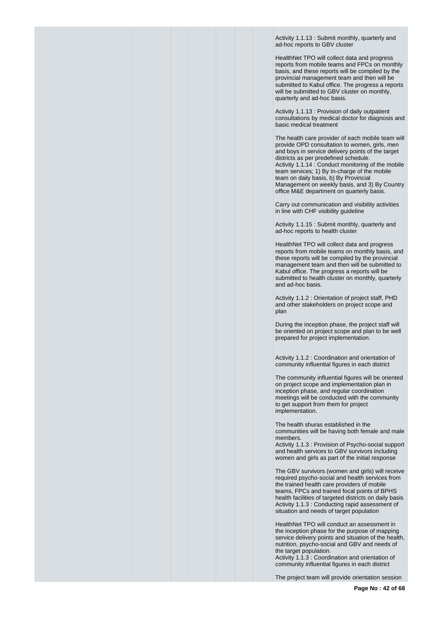Activity 1.1.13 : Submit monthly, quarterly and ad-hoc reports to GBV cluster

HealthNet TPO will collect data and progress reports from mobile teams and FPCs on monthly basis, and these reports will be compiled by the provincial management team and then will be submitted to Kabul office. The progress a reports will be submitted to GBV cluster on monthly, quarterly and ad-hoc basis.

Activity 1.1.13 : Provision of daily outpatient consultations by medical doctor for diagnosis and basic medical treatment

The health care provider of each mobile team will provide OPD consultation to women, girls, men and boys in service delivery points of the target districts as per predefined schedule. Activity 1.1.14 : Conduct monitoring of the mobile team services; 1) By In-charge of the mobile team on daily basis, b) By Provincial Management on weekly basis, and 3) By Country office M&E department on quarterly basis.

Carry out communication and visibility activities in line with CHF visibility guideline

Activity 1.1.15 : Submit monthly, quarterly and ad-hoc reports to health cluster

HealthNet TPO will collect data and progress reports from mobile teams on monthly basis, and these reports will be compiled by the provincial management team and then will be submitted to Kabul office. The progress a reports will be submitted to health cluster on monthly, quarterly and ad-hoc basis.

Activity 1.1.2 : Orientation of project staff, PHD and other stakeholders on project scope and plan

During the inception phase, the project staff will be oriented on project scope and plan to be well prepared for project implementation.

Activity 1.1.2 : Coordination and orientation of community influential figures in each district

The community influential figures will be oriented on project scope and implementation plan in inception phase, and regular coordination meetings will be conducted with the community to get support from them for project implementation.

The health shuras established in the communities will be having both female and male members.

Activity 1.1.3 : Provision of Psycho-social support and health services to GBV survivors including women and girls as part of the initial response

The GBV survivors (women and girls) will receive required psycho-social and health services from the trained health care providers of mobile teams, FPCs and trained focal points of BPHS health facilities of targeted districts on daily basis Activity 1.1.3 : Conducting rapid assessment of situation and needs of target population

HealthNet TPO will conduct an assessment in the inception phase for the purpose of mapping service delivery points and situation of the health, nutrition, psycho-social and GBV and needs of the target population.

Activity 1.1.3 : Coordination and orientation of community influential figures in each district

The project team will provide orientation session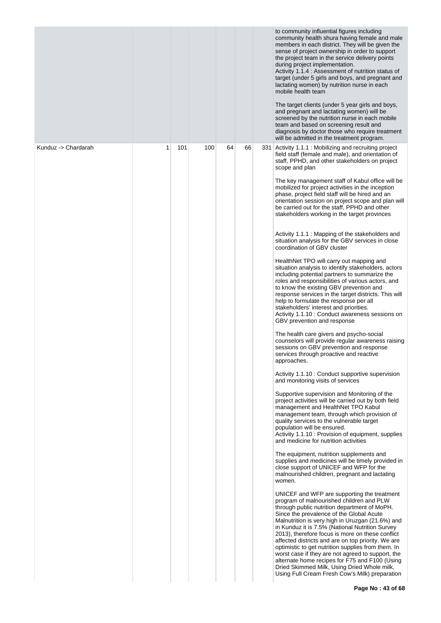|                     |   |     |     |    |    | to community influential figures including<br>community health shura having female and male<br>members in each district. They will be given the<br>sense of project ownership in order to support<br>the project team in the service delivery points<br>during project implementation.<br>Activity 1.1.4 : Assessment of nutrition status of<br>target (under 5 girls and boys, and pregnant and<br>lactating women) by nutrition nurse in each<br>mobile health team<br>The target clients (under 5 year girls and boys,<br>and pregnant and lactating women) will be<br>screened by the nutrition nurse in each mobile<br>team and based on screening result and<br>diagnosis by doctor those who require treatment<br>will be admitted in the treatment program.                                                                                                                                                                                                                                                                                                                                                                                                                                                                                                                                                                                                                                                                                                                                                                                                                                                                                                                                                                                                                                                                                                                                                                                                                                                                                                                                                                                                                                                                                                                                                                                                                                                                                                                                                                                                                                                          |
|---------------------|---|-----|-----|----|----|------------------------------------------------------------------------------------------------------------------------------------------------------------------------------------------------------------------------------------------------------------------------------------------------------------------------------------------------------------------------------------------------------------------------------------------------------------------------------------------------------------------------------------------------------------------------------------------------------------------------------------------------------------------------------------------------------------------------------------------------------------------------------------------------------------------------------------------------------------------------------------------------------------------------------------------------------------------------------------------------------------------------------------------------------------------------------------------------------------------------------------------------------------------------------------------------------------------------------------------------------------------------------------------------------------------------------------------------------------------------------------------------------------------------------------------------------------------------------------------------------------------------------------------------------------------------------------------------------------------------------------------------------------------------------------------------------------------------------------------------------------------------------------------------------------------------------------------------------------------------------------------------------------------------------------------------------------------------------------------------------------------------------------------------------------------------------------------------------------------------------------------------------------------------------------------------------------------------------------------------------------------------------------------------------------------------------------------------------------------------------------------------------------------------------------------------------------------------------------------------------------------------------------------------------------------------------------------------------------------------------|
| Kunduz -> Chardarah | 1 | 101 | 100 | 64 | 66 | 331 Activity 1.1.1 : Mobilizing and recruiting project<br>field staff (female and male), and orientation of<br>staff, PPHD, and other stakeholders on project<br>scope and plan<br>The key management staff of Kabul office will be<br>mobilized for project activities in the inception<br>phase, project field staff will be hired and an<br>orientation session on project scope and plan will<br>be carried out for the staff, PPHD and other<br>stakeholders working in the target provinces<br>Activity 1.1.1 : Mapping of the stakeholders and<br>situation analysis for the GBV services in close<br>coordination of GBV cluster<br>HealthNet TPO will carry out mapping and<br>situation analysis to identify stakeholders, actors<br>including potential partners to summarize the<br>roles and responsibilities of various actors, and<br>to know the existing GBV prevention and<br>response services in the target districts. This will<br>help to formulate the response per all<br>stakeholders' interest and priorities.<br>Activity 1.1.10 : Conduct awareness sessions on<br>GBV prevention and response<br>The health care givers and psycho-social<br>counselors will provide regular awareness raising<br>sessions on GBV prevention and response<br>services through proactive and reactive<br>approaches.<br>Activity 1.1.10 : Conduct supportive supervision<br>and monitoring visits of services<br>Supportive supervision and Monitoring of the<br>project activities will be carried out by both field<br>management and HealthNet TPO Kabul<br>management team, through which provision of<br>quality services to the vulnerable target<br>population will be ensured.<br>Activity 1.1.10 : Provision of equipment, supplies<br>and medicine for nutrition activities<br>The equipment, nutrition supplements and<br>supplies and medicines will be timely provided in<br>close support of UNICEF and WFP for the<br>malnourished children, pregnant and lactating<br>women.<br>UNICEF and WFP are supporting the treatment<br>program of malnourished children and PLW<br>through public nutrition department of MoPH.<br>Since the prevalence of the Global Acute<br>Malnutrition is very high in Uruzgan (21.6%) and<br>in Kunduz it is 7.5% (National Nutrition Survey<br>2013), therefore focus is more on these conflict<br>affected districts and are on top priority. We are<br>optimistic to get nutrition supplies from them. In<br>worst case if they are not agreed to support, the<br>alternate home recipes for F75 and F100 (Using<br>Dried Skimmed Milk, Using Dried Whole milk, |
|                     |   |     |     |    |    | Using Full Cream Fresh Cow's Milk) preparation                                                                                                                                                                                                                                                                                                                                                                                                                                                                                                                                                                                                                                                                                                                                                                                                                                                                                                                                                                                                                                                                                                                                                                                                                                                                                                                                                                                                                                                                                                                                                                                                                                                                                                                                                                                                                                                                                                                                                                                                                                                                                                                                                                                                                                                                                                                                                                                                                                                                                                                                                                               |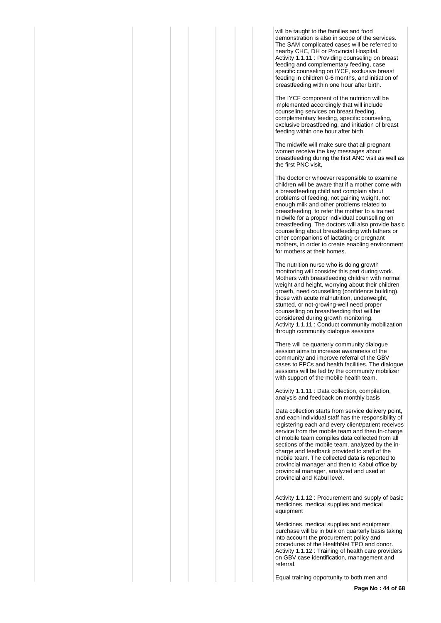will be taught to the families and food demonstration is also in scope of the services. The SAM complicated cases will be referred to nearby CHC, DH or Provincial Hospital. Activity 1.1.11 : Providing counseling on breast feeding and complementary feeding, case specific counseling on IYCF, exclusive breast feeding in children 0-6 months, and initiation of breastfeeding within one hour after birth.

The IYCF component of the nutrition will be implemented accordingly that will include counseling services on breast feeding, complementary feeding, specific counseling, exclusive breastfeeding, and initiation of breast feeding within one hour after birth.

The midwife will make sure that all pregnant women receive the key messages about breastfeeding during the first ANC visit as well as the first PNC visit,

The doctor or whoever responsible to examine children will be aware that if a mother come with a breastfeeding child and complain about problems of feeding, not gaining weight, not enough milk and other problems related to breastfeeding, to refer the mother to a trained midwife for a proper individual counselling on breastfeeding. The doctors will also provide basic counselling about breastfeeding with fathers or other companions of lactating or pregnant mothers, in order to create enabling environment for mothers at their homes.

The nutrition nurse who is doing growth monitoring will consider this part during work. Mothers with breastfeeding children with normal weight and height, worrying about their children growth, need counselling (confidence building), those with acute malnutrition, underweight, stunted, or not-growing-well need proper counselling on breastfeeding that will be considered during growth monitoring. Activity 1.1.11 : Conduct community mobilization through community dialogue sessions

There will be quarterly community dialogue session aims to increase awareness of the community and improve referral of the GBV cases to FPCs and health facilities. The dialogue sessions will be led by the community mobilizer with support of the mobile health team.

Activity 1.1.11 : Data collection, compilation, analysis and feedback on monthly basis

Data collection starts from service delivery point, and each individual staff has the responsibility of registering each and every client/patient receives service from the mobile team and then In-charge of mobile team compiles data collected from all sections of the mobile team, analyzed by the incharge and feedback provided to staff of the mobile team. The collected data is reported to provincial manager and then to Kabul office by provincial manager, analyzed and used at provincial and Kabul level.

Activity 1.1.12 : Procurement and supply of basic medicines, medical supplies and medical equipment

Medicines, medical supplies and equipment purchase will be in bulk on quarterly basis taking into account the procurement policy and procedures of the HealthNet TPO and donor. Activity 1.1.12 : Training of health care providers on GBV case identification, management and referral.

Equal training opportunity to both men and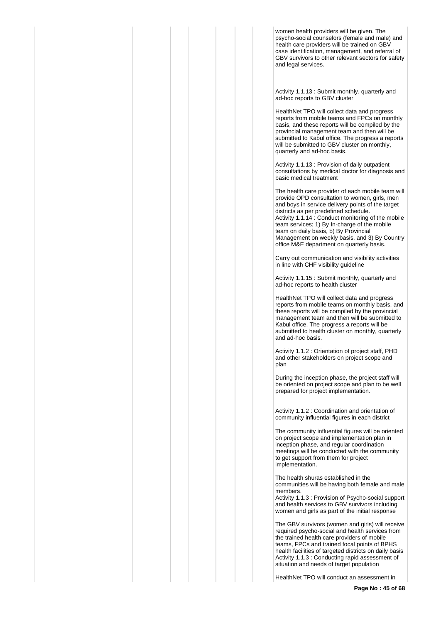women health providers will be given. The psycho-social counselors (female and male) and health care providers will be trained on GBV case identification, management, and referral of GBV survivors to other relevant sectors for safety and legal services.

Activity 1.1.13 : Submit monthly, quarterly and ad-hoc reports to GBV cluster

HealthNet TPO will collect data and progress reports from mobile teams and FPCs on monthly basis, and these reports will be compiled by the provincial management team and then will be submitted to Kabul office. The progress a reports will be submitted to GBV cluster on monthly, quarterly and ad-hoc basis.

Activity 1.1.13 : Provision of daily outpatient consultations by medical doctor for diagnosis and basic medical treatment

The health care provider of each mobile team will provide OPD consultation to women, girls, men and boys in service delivery points of the target districts as per predefined schedule. Activity 1.1.14 : Conduct monitoring of the mobile team services; 1) By In-charge of the mobile team on daily basis, b) By Provincial Management on weekly basis, and 3) By Country office M&E department on quarterly basis.

Carry out communication and visibility activities in line with CHF visibility guideline

Activity 1.1.15 : Submit monthly, quarterly and ad-hoc reports to health cluster

HealthNet TPO will collect data and progress reports from mobile teams on monthly basis, and these reports will be compiled by the provincial management team and then will be submitted to Kabul office. The progress a reports will be submitted to health cluster on monthly, quarterly and ad-hoc basis.

Activity 1.1.2 : Orientation of project staff, PHD and other stakeholders on project scope and plan

During the inception phase, the project staff will be oriented on project scope and plan to be well prepared for project implementation.

Activity 1.1.2 : Coordination and orientation of community influential figures in each district

The community influential figures will be oriented on project scope and implementation plan in inception phase, and regular coordination meetings will be conducted with the community to get support from them for project implementation.

The health shuras established in the communities will be having both female and male members.

Activity 1.1.3 : Provision of Psycho-social support and health services to GBV survivors including women and girls as part of the initial response

The GBV survivors (women and girls) will receive required psycho-social and health services from the trained health care providers of mobile teams, FPCs and trained focal points of BPHS health facilities of targeted districts on daily basis Activity 1.1.3 : Conducting rapid assessment of situation and needs of target population

HealthNet TPO will conduct an assessment in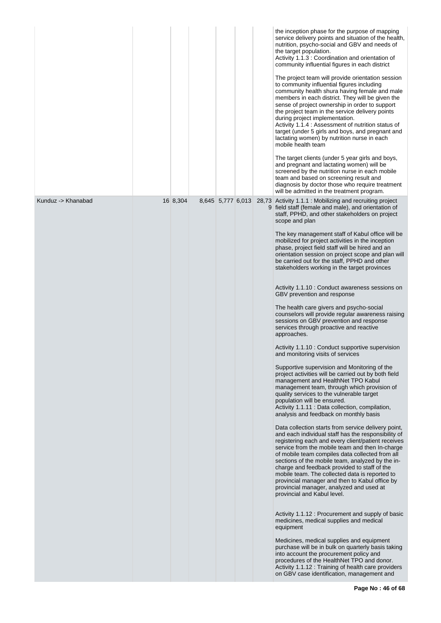|                    |          |  |                   | the inception phase for the purpose of mapping<br>service delivery points and situation of the health,<br>nutrition, psycho-social and GBV and needs of<br>the target population.<br>Activity 1.1.3 : Coordination and orientation of<br>community influential figures in each district<br>The project team will provide orientation session<br>to community influential figures including<br>community health shura having female and male<br>members in each district. They will be given the<br>sense of project ownership in order to support<br>the project team in the service delivery points<br>during project implementation.<br>Activity 1.1.4 : Assessment of nutrition status of<br>target (under 5 girls and boys, and pregnant and<br>lactating women) by nutrition nurse in each<br>mobile health team<br>The target clients (under 5 year girls and boys,<br>and pregnant and lactating women) will be<br>screened by the nutrition nurse in each mobile<br>team and based on screening result and<br>diagnosis by doctor those who require treatment<br>will be admitted in the treatment program.                                                                                                                                                                                                                                                                                                                                                                                                                                                                                                                                                                                                                                                                                                                                                                                                                                                                                                                                                                                                                                                                                                                    |
|--------------------|----------|--|-------------------|----------------------------------------------------------------------------------------------------------------------------------------------------------------------------------------------------------------------------------------------------------------------------------------------------------------------------------------------------------------------------------------------------------------------------------------------------------------------------------------------------------------------------------------------------------------------------------------------------------------------------------------------------------------------------------------------------------------------------------------------------------------------------------------------------------------------------------------------------------------------------------------------------------------------------------------------------------------------------------------------------------------------------------------------------------------------------------------------------------------------------------------------------------------------------------------------------------------------------------------------------------------------------------------------------------------------------------------------------------------------------------------------------------------------------------------------------------------------------------------------------------------------------------------------------------------------------------------------------------------------------------------------------------------------------------------------------------------------------------------------------------------------------------------------------------------------------------------------------------------------------------------------------------------------------------------------------------------------------------------------------------------------------------------------------------------------------------------------------------------------------------------------------------------------------------------------------------------------------------------|
| Kunduz -> Khanabad | 16 8,304 |  | 8,645 5,777 6,013 | 28,73 Activity 1.1.1 : Mobilizing and recruiting project<br>9 field staff (female and male), and orientation of<br>staff, PPHD, and other stakeholders on project<br>scope and plan<br>The key management staff of Kabul office will be<br>mobilized for project activities in the inception<br>phase, project field staff will be hired and an<br>orientation session on project scope and plan will<br>be carried out for the staff, PPHD and other<br>stakeholders working in the target provinces<br>Activity 1.1.10 : Conduct awareness sessions on<br>GBV prevention and response<br>The health care givers and psycho-social<br>counselors will provide regular awareness raising<br>sessions on GBV prevention and response<br>services through proactive and reactive<br>approaches.<br>Activity 1.1.10 : Conduct supportive supervision<br>and monitoring visits of services<br>Supportive supervision and Monitoring of the<br>project activities will be carried out by both field<br>management and HealthNet TPO Kabul<br>management team, through which provision of<br>quality services to the vulnerable target<br>population will be ensured.<br>Activity 1.1.11 : Data collection, compilation,<br>analysis and feedback on monthly basis<br>Data collection starts from service delivery point,<br>and each individual staff has the responsibility of<br>registering each and every client/patient receives<br>service from the mobile team and then In-charge<br>of mobile team compiles data collected from all<br>sections of the mobile team, analyzed by the in-<br>charge and feedback provided to staff of the<br>mobile team. The collected data is reported to<br>provincial manager and then to Kabul office by<br>provincial manager, analyzed and used at<br>provincial and Kabul level.<br>Activity 1.1.12: Procurement and supply of basic<br>medicines, medical supplies and medical<br>equipment<br>Medicines, medical supplies and equipment<br>purchase will be in bulk on quarterly basis taking<br>into account the procurement policy and<br>procedures of the HealthNet TPO and donor.<br>Activity 1.1.12 : Training of health care providers<br>on GBV case identification, management and |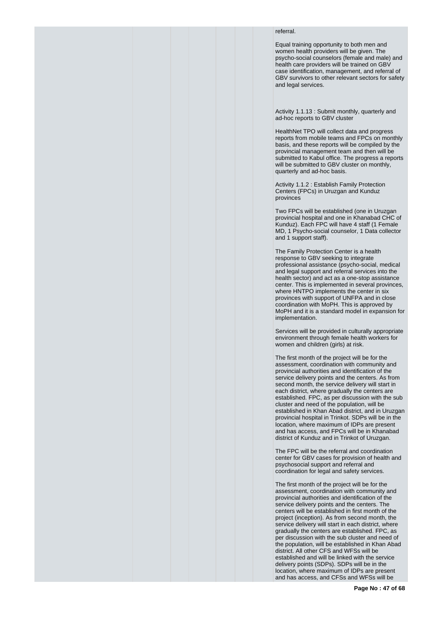## referral.

Equal training opportunity to both men and women health providers will be given. The psycho-social counselors (female and male) and health care providers will be trained on GBV case identification, management, and referral of GBV survivors to other relevant sectors for safety and legal services.

Activity 1.1.13 : Submit monthly, quarterly and ad-hoc reports to GBV cluster

HealthNet TPO will collect data and progress reports from mobile teams and FPCs on monthly basis, and these reports will be compiled by the provincial management team and then will be submitted to Kabul office. The progress a reports will be submitted to GBV cluster on monthly, quarterly and ad-hoc basis.

Activity 1.1.2 : Establish Family Protection Centers (FPCs) in Uruzgan and Kunduz provinces

Two FPCs will be established (one in Uruzgan provincial hospital and one in Khanabad CHC of Kunduz). Each FPC will have 4 staff (1 Female MD, 1 Psycho-social counselor, 1 Data collector and 1 support staff).

The Family Protection Center is a health response to GBV seeking to integrate professional assistance (psycho-social, medical and legal support and referral services into the health sector) and act as a one-stop assistance center. This is implemented in several provinces, where HNTPO implements the center in six provinces with support of UNFPA and in close coordination with MoPH. This is approved by MoPH and it is a standard model in expansion for implementation.

Services will be provided in culturally appropriate environment through female health workers for women and children (girls) at risk.

The first month of the project will be for the assessment, coordination with community and provincial authorities and identification of the service delivery points and the centers. As from second month, the service delivery will start in each district, where gradually the centers are established. FPC, as per discussion with the sub cluster and need of the population, will be established in Khan Abad district, and in Uruzgan provincial hospital in Trinkot. SDPs will be in the location, where maximum of IDPs are present and has access, and FPCs will be in Khanabad district of Kunduz and in Trinkot of Uruzgan.

The FPC will be the referral and coordination center for GBV cases for provision of health and psychosocial support and referral and coordination for legal and safety services.

The first month of the project will be for the assessment, coordination with community and provincial authorities and identification of the service delivery points and the centers. The centers will be established in first month of the project (inception). As from second month, the service delivery will start in each district, where gradually the centers are established. FPC, as per discussion with the sub cluster and need of the population, will be established in Khan Abad district. All other CFS and WFSs will be established and will be linked with the service delivery points (SDPs). SDPs will be in the location, where maximum of IDPs are present and has access, and CFSs and WFSs will be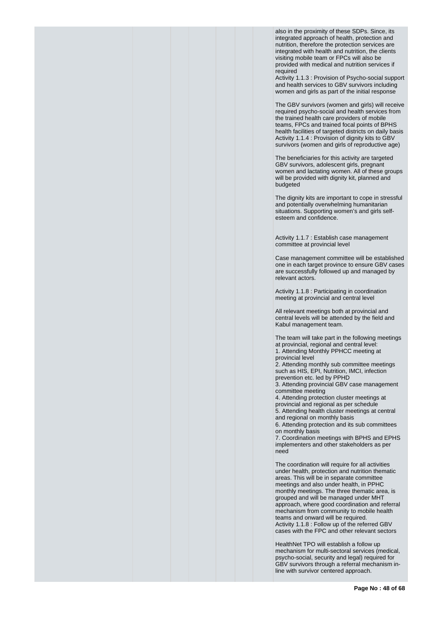also in the proximity of these SDPs. Since, its integrated approach of health, protection and nutrition, therefore the protection services are integrated with health and nutrition, the clients visiting mobile team or FPCs will also be provided with medical and nutrition services if required

Activity 1.1.3 : Provision of Psycho-social support and health services to GBV survivors including women and girls as part of the initial response

The GBV survivors (women and girls) will receive required psycho-social and health services from the trained health care providers of mobile teams, FPCs and trained focal points of BPHS health facilities of targeted districts on daily basis Activity 1.1.4 : Provision of dignity kits to GBV survivors (women and girls of reproductive age)

The beneficiaries for this activity are targeted GBV survivors, adolescent girls, pregnant women and lactating women. All of these groups will be provided with dignity kit, planned and budgeted

The dignity kits are important to cope in stressful and potentially overwhelming humanitarian situations. Supporting women's and girls selfesteem and confidence.

Activity 1.1.7 : Establish case management committee at provincial level

Case management committee will be established one in each target province to ensure GBV cases are successfully followed up and managed by relevant actors.

Activity 1.1.8 : Participating in coordination meeting at provincial and central level

All relevant meetings both at provincial and central levels will be attended by the field and Kabul management team.

The team will take part in the following meetings at provincial, regional and central level: 1. Attending Monthly PPHCC meeting at

provincial level

2. Attending monthly sub committee meetings such as HIS, EPI, Nutrition, IMCI, infection prevention etc. led by PPHD

3. Attending provincial GBV case management committee meeting

4. Attending protection cluster meetings at provincial and regional as per schedule 5. Attending health cluster meetings at central and regional on monthly basis

6. Attending protection and its sub committees on monthly basis

7. Coordination meetings with BPHS and EPHS implementers and other stakeholders as per need

The coordination will require for all activities under health, protection and nutrition thematic areas. This will be in separate committee meetings and also under health, in PPHC monthly meetings. The three thematic area, is grouped and will be managed under MHT approach, where good coordination and referral mechanism from community to mobile health teams and onward will be required. Activity 1.1.8 : Follow up of the referred GBV cases with the FPC and other relevant sectors

HealthNet TPO will establish a follow up mechanism for multi-sectoral services (medical, psycho-social, security and legal) required for GBV survivors through a referral mechanism inline with survivor centered approach.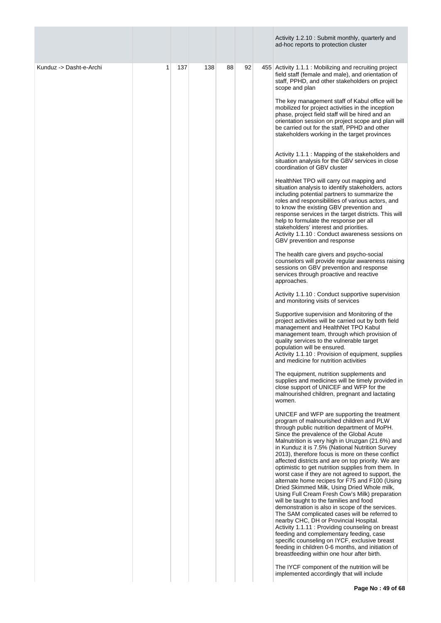|                         |   |     |     |    |    | Activity 1.2.10: Submit monthly, quarterly and<br>ad-hoc reports to protection cluster                                                                                                                                                                                                                                                                                                                                                                                                                                                                                                                                                                                                                                                                                                                                                                                                                                                                                                                                                                                                                                                                                                                                                                                                                                                                                                                                                                                                                                                                                                                                                                                                                                                                                                                                                                                                                                                                                                                                                                                                                                                                                                                                                                                                                                                                                                                                                                                                                                                                                                                                      |
|-------------------------|---|-----|-----|----|----|-----------------------------------------------------------------------------------------------------------------------------------------------------------------------------------------------------------------------------------------------------------------------------------------------------------------------------------------------------------------------------------------------------------------------------------------------------------------------------------------------------------------------------------------------------------------------------------------------------------------------------------------------------------------------------------------------------------------------------------------------------------------------------------------------------------------------------------------------------------------------------------------------------------------------------------------------------------------------------------------------------------------------------------------------------------------------------------------------------------------------------------------------------------------------------------------------------------------------------------------------------------------------------------------------------------------------------------------------------------------------------------------------------------------------------------------------------------------------------------------------------------------------------------------------------------------------------------------------------------------------------------------------------------------------------------------------------------------------------------------------------------------------------------------------------------------------------------------------------------------------------------------------------------------------------------------------------------------------------------------------------------------------------------------------------------------------------------------------------------------------------------------------------------------------------------------------------------------------------------------------------------------------------------------------------------------------------------------------------------------------------------------------------------------------------------------------------------------------------------------------------------------------------------------------------------------------------------------------------------------------------|
| Kunduz -> Dasht-e-Archi | 1 | 137 | 138 | 88 | 92 | 455 Activity 1.1.1 : Mobilizing and recruiting project<br>field staff (female and male), and orientation of<br>staff, PPHD, and other stakeholders on project<br>scope and plan<br>The key management staff of Kabul office will be<br>mobilized for project activities in the inception<br>phase, project field staff will be hired and an<br>orientation session on project scope and plan will<br>be carried out for the staff, PPHD and other<br>stakeholders working in the target provinces<br>Activity 1.1.1 : Mapping of the stakeholders and<br>situation analysis for the GBV services in close<br>coordination of GBV cluster<br>HealthNet TPO will carry out mapping and<br>situation analysis to identify stakeholders, actors<br>including potential partners to summarize the<br>roles and responsibilities of various actors, and<br>to know the existing GBV prevention and<br>response services in the target districts. This will<br>help to formulate the response per all<br>stakeholders' interest and priorities.<br>Activity 1.1.10 : Conduct awareness sessions on<br>GBV prevention and response<br>The health care givers and psycho-social<br>counselors will provide regular awareness raising<br>sessions on GBV prevention and response<br>services through proactive and reactive<br>approaches.<br>Activity 1.1.10 : Conduct supportive supervision<br>and monitoring visits of services<br>Supportive supervision and Monitoring of the<br>project activities will be carried out by both field<br>management and HealthNet TPO Kabul<br>management team, through which provision of<br>quality services to the vulnerable target<br>population will be ensured.<br>Activity 1.1.10: Provision of equipment, supplies<br>and medicine for nutrition activities<br>The equipment, nutrition supplements and<br>supplies and medicines will be timely provided in<br>close support of UNICEF and WFP for the<br>malnourished children, pregnant and lactating<br>women.<br>UNICEF and WFP are supporting the treatment<br>program of malnourished children and PLW<br>through public nutrition department of MoPH.<br>Since the prevalence of the Global Acute<br>Malnutrition is very high in Uruzgan (21.6%) and<br>in Kunduz it is 7.5% (National Nutrition Survey<br>2013), therefore focus is more on these conflict<br>affected districts and are on top priority. We are<br>optimistic to get nutrition supplies from them. In<br>worst case if they are not agreed to support, the<br>alternate home recipes for F75 and F100 (Using<br>Dried Skimmed Milk, Using Dried Whole milk, |
|                         |   |     |     |    |    | Using Full Cream Fresh Cow's Milk) preparation<br>will be taught to the families and food<br>demonstration is also in scope of the services.<br>The SAM complicated cases will be referred to<br>nearby CHC, DH or Provincial Hospital.<br>Activity 1.1.11 : Providing counseling on breast<br>feeding and complementary feeding, case<br>specific counseling on IYCF, exclusive breast<br>feeding in children 0-6 months, and initiation of<br>breastfeeding within one hour after birth.<br>The IYCF component of the nutrition will be<br>implemented accordingly that will include                                                                                                                                                                                                                                                                                                                                                                                                                                                                                                                                                                                                                                                                                                                                                                                                                                                                                                                                                                                                                                                                                                                                                                                                                                                                                                                                                                                                                                                                                                                                                                                                                                                                                                                                                                                                                                                                                                                                                                                                                                      |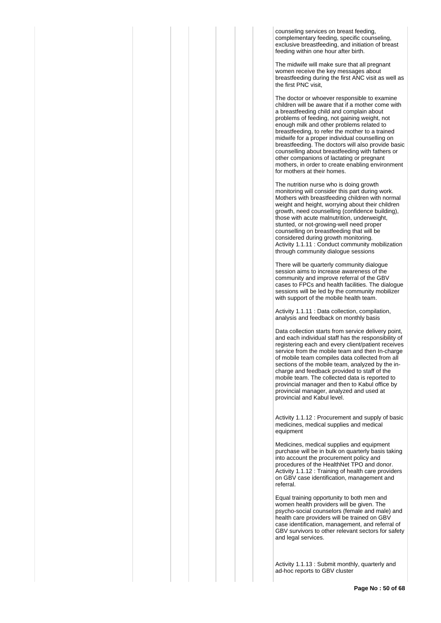counseling services on breast feeding, complementary feeding, specific counseling, exclusive breastfeeding, and initiation of breast feeding within one hour after birth.

The midwife will make sure that all pregnant women receive the key messages about breastfeeding during the first ANC visit as well as the first PNC visit,

The doctor or whoever responsible to examine children will be aware that if a mother come with a breastfeeding child and complain about problems of feeding, not gaining weight, not enough milk and other problems related to breastfeeding, to refer the mother to a trained midwife for a proper individual counselling on breastfeeding. The doctors will also provide basic counselling about breastfeeding with fathers or other companions of lactating or pregnant mothers, in order to create enabling environment for mothers at their homes.

The nutrition nurse who is doing growth monitoring will consider this part during work. Mothers with breastfeeding children with normal weight and height, worrying about their children growth, need counselling (confidence building), those with acute malnutrition, underweight, stunted, or not-growing-well need proper counselling on breastfeeding that will be considered during growth monitoring. Activity 1.1.11 : Conduct community mobilization through community dialogue sessions

There will be quarterly community dialogue session aims to increase awareness of the community and improve referral of the GBV cases to FPCs and health facilities. The dialogue sessions will be led by the community mobilizer with support of the mobile health team.

Activity 1.1.11 : Data collection, compilation, analysis and feedback on monthly basis

Data collection starts from service delivery point, and each individual staff has the responsibility of registering each and every client/patient receives service from the mobile team and then In-charge of mobile team compiles data collected from all sections of the mobile team, analyzed by the incharge and feedback provided to staff of the mobile team. The collected data is reported to provincial manager and then to Kabul office by provincial manager, analyzed and used at provincial and Kabul level.

Activity 1.1.12 : Procurement and supply of basic medicines, medical supplies and medical equipment

Medicines, medical supplies and equipment purchase will be in bulk on quarterly basis taking into account the procurement policy and procedures of the HealthNet TPO and donor. Activity 1.1.12 : Training of health care providers on GBV case identification, management and referral.

Equal training opportunity to both men and women health providers will be given. The psycho-social counselors (female and male) and health care providers will be trained on GBV case identification, management, and referral of GBV survivors to other relevant sectors for safety and legal services.

Activity 1.1.13 : Submit monthly, quarterly and ad-hoc reports to GBV cluster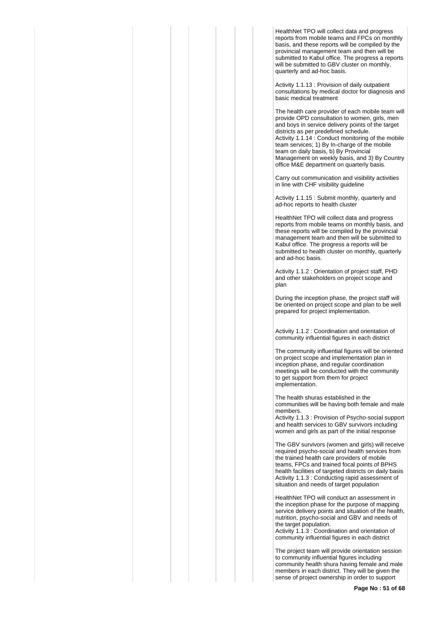HealthNet TPO will collect data and progress reports from mobile teams and FPCs on monthly basis, and these reports will be compiled by the provincial management team and then will be submitted to Kabul office. The progress a reports will be submitted to GBV cluster on monthly. quarterly and ad-hoc basis.

Activity 1.1.13 : Provision of daily outpatient consultations by medical doctor for diagnosis and basic medical treatment

The health care provider of each mobile team will provide OPD consultation to women, girls, men and boys in service delivery points of the target districts as per predefined schedule. Activity 1.1.14 : Conduct monitoring of the mobile team services; 1) By In-charge of the mobile team on daily basis, b) By Provincial Management on weekly basis, and 3) By Country office M&E department on quarterly basis.

Carry out communication and visibility activities in line with CHF visibility guideline

Activity 1.1.15 : Submit monthly, quarterly and ad-hoc reports to health cluster

HealthNet TPO will collect data and progress reports from mobile teams on monthly basis, and these reports will be compiled by the provincial management team and then will be submitted to Kabul office. The progress a reports will be submitted to health cluster on monthly, quarterly and ad-hoc basis.

Activity 1.1.2 : Orientation of project staff, PHD and other stakeholders on project scope and plan

During the inception phase, the project staff will be oriented on project scope and plan to be well prepared for project implementation.

Activity 1.1.2 : Coordination and orientation of community influential figures in each district

The community influential figures will be oriented on project scope and implementation plan in inception phase, and regular coordination meetings will be conducted with the community to get support from them for project implementation.

The health shuras established in the communities will be having both female and male members.

Activity 1.1.3 : Provision of Psycho-social support and health services to GBV survivors including women and girls as part of the initial response

The GBV survivors (women and girls) will receive required psycho-social and health services from the trained health care providers of mobile teams, FPCs and trained focal points of BPHS health facilities of targeted districts on daily basis Activity 1.1.3 : Conducting rapid assessment of situation and needs of target population

HealthNet TPO will conduct an assessment in the inception phase for the purpose of mapping service delivery points and situation of the health, nutrition, psycho-social and GBV and needs of the target population.

Activity 1.1.3 : Coordination and orientation of community influential figures in each district

The project team will provide orientation session to community influential figures including community health shura having female and male members in each district. They will be given the sense of project ownership in order to support

**Page No : 51 of 68**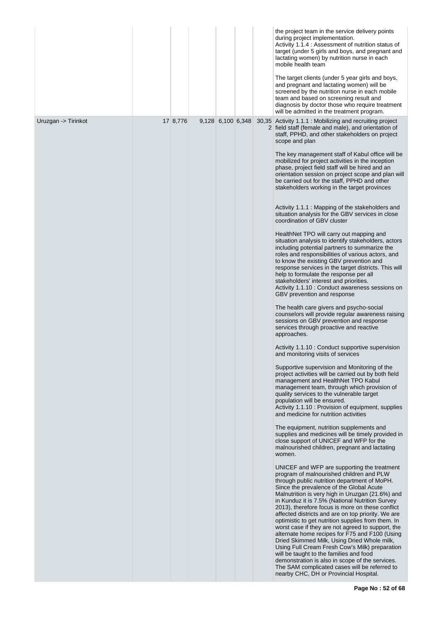|                     |          |                   |  | the project team in the service delivery points<br>during project implementation.<br>Activity 1.1.4 : Assessment of nutrition status of<br>target (under 5 girls and boys, and pregnant and<br>lactating women) by nutrition nurse in each<br>mobile health team<br>The target clients (under 5 year girls and boys,<br>and pregnant and lactating women) will be<br>screened by the nutrition nurse in each mobile<br>team and based on screening result and<br>diagnosis by doctor those who require treatment<br>will be admitted in the treatment program.                                                                                                                                                                                                                                                                                                                                                                                                                                                                                                                                                                                                                                                                                                                                                                                                                                                                                                                                                                                                                                                                                                                                                                                                                                                                                                                                                                                                                                                                                                                                                                                                                                                                                                                                                                                                                                                                                                                                                                                                                                                                                                                                                                                                                                                                                                             |
|---------------------|----------|-------------------|--|----------------------------------------------------------------------------------------------------------------------------------------------------------------------------------------------------------------------------------------------------------------------------------------------------------------------------------------------------------------------------------------------------------------------------------------------------------------------------------------------------------------------------------------------------------------------------------------------------------------------------------------------------------------------------------------------------------------------------------------------------------------------------------------------------------------------------------------------------------------------------------------------------------------------------------------------------------------------------------------------------------------------------------------------------------------------------------------------------------------------------------------------------------------------------------------------------------------------------------------------------------------------------------------------------------------------------------------------------------------------------------------------------------------------------------------------------------------------------------------------------------------------------------------------------------------------------------------------------------------------------------------------------------------------------------------------------------------------------------------------------------------------------------------------------------------------------------------------------------------------------------------------------------------------------------------------------------------------------------------------------------------------------------------------------------------------------------------------------------------------------------------------------------------------------------------------------------------------------------------------------------------------------------------------------------------------------------------------------------------------------------------------------------------------------------------------------------------------------------------------------------------------------------------------------------------------------------------------------------------------------------------------------------------------------------------------------------------------------------------------------------------------------------------------------------------------------------------------------------------------------|
| Uruzgan -> Tirinkot | 17 8,776 | 9,128 6,100 6,348 |  | 30,35 Activity 1.1.1 : Mobilizing and recruiting project<br>2 field staff (female and male), and orientation of<br>staff, PPHD, and other stakeholders on project<br>scope and plan<br>The key management staff of Kabul office will be<br>mobilized for project activities in the inception<br>phase, project field staff will be hired and an<br>orientation session on project scope and plan will<br>be carried out for the staff, PPHD and other<br>stakeholders working in the target provinces<br>Activity 1.1.1: Mapping of the stakeholders and<br>situation analysis for the GBV services in close<br>coordination of GBV cluster<br>HealthNet TPO will carry out mapping and<br>situation analysis to identify stakeholders, actors<br>including potential partners to summarize the<br>roles and responsibilities of various actors, and<br>to know the existing GBV prevention and<br>response services in the target districts. This will<br>help to formulate the response per all<br>stakeholders' interest and priorities.<br>Activity 1.1.10 : Conduct awareness sessions on<br>GBV prevention and response<br>The health care givers and psycho-social<br>counselors will provide regular awareness raising<br>sessions on GBV prevention and response<br>services through proactive and reactive<br>approaches.<br>Activity 1.1.10 : Conduct supportive supervision<br>and monitoring visits of services<br>Supportive supervision and Monitoring of the<br>project activities will be carried out by both field<br>management and HealthNet TPO Kabul<br>management team, through which provision of<br>quality services to the vulnerable target<br>population will be ensured.<br>Activity 1.1.10 : Provision of equipment, supplies<br>and medicine for nutrition activities<br>The equipment, nutrition supplements and<br>supplies and medicines will be timely provided in<br>close support of UNICEF and WFP for the<br>malnourished children, pregnant and lactating<br>women.<br>UNICEF and WFP are supporting the treatment<br>program of malnourished children and PLW<br>through public nutrition department of MoPH.<br>Since the prevalence of the Global Acute<br>Malnutrition is very high in Uruzgan (21.6%) and<br>in Kunduz it is 7.5% (National Nutrition Survey<br>2013), therefore focus is more on these conflict<br>affected districts and are on top priority. We are<br>optimistic to get nutrition supplies from them. In<br>worst case if they are not agreed to support, the<br>alternate home recipes for F75 and F100 (Using<br>Dried Skimmed Milk, Using Dried Whole milk,<br>Using Full Cream Fresh Cow's Milk) preparation<br>will be taught to the families and food<br>demonstration is also in scope of the services.<br>The SAM complicated cases will be referred to<br>nearby CHC, DH or Provincial Hospital. |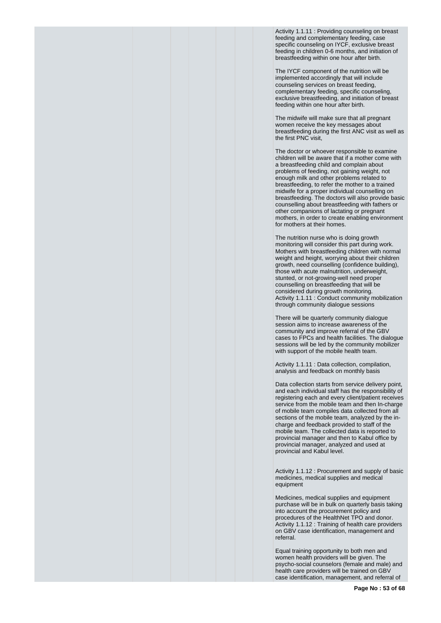Activity 1.1.11 : Providing counseling on breast feeding and complementary feeding, case specific counseling on IYCF, exclusive breast feeding in children 0-6 months, and initiation of breastfeeding within one hour after birth.

The IYCF component of the nutrition will be implemented accordingly that will include counseling services on breast feeding, complementary feeding, specific counseling, exclusive breastfeeding, and initiation of breast feeding within one hour after birth.

The midwife will make sure that all pregnant women receive the key messages about breastfeeding during the first ANC visit as well as the first PNC visit,

The doctor or whoever responsible to examine children will be aware that if a mother come with a breastfeeding child and complain about problems of feeding, not gaining weight, not enough milk and other problems related to breastfeeding, to refer the mother to a trained midwife for a proper individual counselling on breastfeeding. The doctors will also provide basic counselling about breastfeeding with fathers or other companions of lactating or pregnant mothers, in order to create enabling environment for mothers at their homes.

The nutrition nurse who is doing growth monitoring will consider this part during work. Mothers with breastfeeding children with normal weight and height, worrying about their children growth, need counselling (confidence building), those with acute malnutrition, underweight, stunted, or not-growing-well need proper counselling on breastfeeding that will be considered during growth monitoring. Activity 1.1.11 : Conduct community mobilization through community dialogue sessions

There will be quarterly community dialogue session aims to increase awareness of the community and improve referral of the GBV cases to FPCs and health facilities. The dialogue sessions will be led by the community mobilizer with support of the mobile health team.

Activity 1.1.11 : Data collection, compilation, analysis and feedback on monthly basis

Data collection starts from service delivery point, and each individual staff has the responsibility of registering each and every client/patient receives service from the mobile team and then In-charge of mobile team compiles data collected from all sections of the mobile team, analyzed by the incharge and feedback provided to staff of the mobile team. The collected data is reported to provincial manager and then to Kabul office by provincial manager, analyzed and used at provincial and Kabul level.

Activity 1.1.12 : Procurement and supply of basic medicines, medical supplies and medical equipment

Medicines, medical supplies and equipment purchase will be in bulk on quarterly basis taking into account the procurement policy and procedures of the HealthNet TPO and donor. Activity 1.1.12 : Training of health care providers on GBV case identification, management and referral.

Equal training opportunity to both men and women health providers will be given. The psycho-social counselors (female and male) and health care providers will be trained on GBV case identification, management, and referral of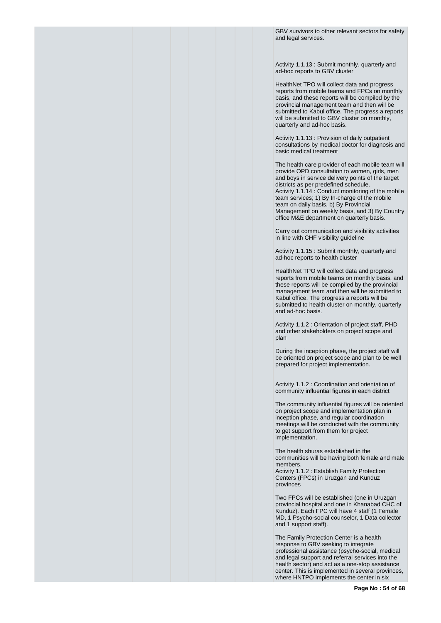GBV survivors to other relevant sectors for safety and legal services.

Activity 1.1.13 : Submit monthly, quarterly and ad-hoc reports to GBV cluster

HealthNet TPO will collect data and progress reports from mobile teams and FPCs on monthly basis, and these reports will be compiled by the provincial management team and then will be submitted to Kabul office. The progress a reports will be submitted to GBV cluster on monthly, quarterly and ad-hoc basis.

Activity 1.1.13 : Provision of daily outpatient consultations by medical doctor for diagnosis and basic medical treatment

The health care provider of each mobile team will provide OPD consultation to women, girls, men and boys in service delivery points of the target districts as per predefined schedule. Activity 1.1.14 : Conduct monitoring of the mobile team services; 1) By In-charge of the mobile team on daily basis, b) By Provincial Management on weekly basis, and 3) By Country office M&E department on quarterly basis.

Carry out communication and visibility activities in line with CHF visibility guideline

Activity 1.1.15 : Submit monthly, quarterly and ad-hoc reports to health cluster

HealthNet TPO will collect data and progress reports from mobile teams on monthly basis, and these reports will be compiled by the provincial management team and then will be submitted to Kabul office. The progress a reports will be submitted to health cluster on monthly, quarterly and ad-hoc basis.

Activity 1.1.2 : Orientation of project staff, PHD and other stakeholders on project scope and plan

During the inception phase, the project staff will be oriented on project scope and plan to be well prepared for project implementation.

Activity 1.1.2 : Coordination and orientation of community influential figures in each district

The community influential figures will be oriented on project scope and implementation plan in inception phase, and regular coordination meetings will be conducted with the community to get support from them for project implementation.

The health shuras established in the communities will be having both female and male members.

Activity 1.1.2 : Establish Family Protection Centers (FPCs) in Uruzgan and Kunduz provinces

Two FPCs will be established (one in Uruzgan provincial hospital and one in Khanabad CHC of Kunduz). Each FPC will have 4 staff (1 Female MD, 1 Psycho-social counselor, 1 Data collector and 1 support staff).

The Family Protection Center is a health response to GBV seeking to integrate professional assistance (psycho-social, medical and legal support and referral services into the health sector) and act as a one-stop assistance center. This is implemented in several provinces, where HNTPO implements the center in six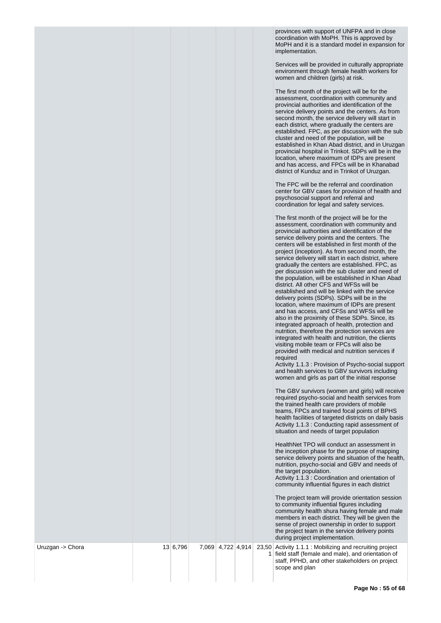provinces with support of UNFPA and in close coordination with MoPH. This is approved by MoPH and it is a standard model in expansion for implementation.

Services will be provided in culturally appropriate environment through female health workers for women and children (girls) at risk.

The first month of the project will be for the assessment, coordination with community and provincial authorities and identification of the service delivery points and the centers. As from second month, the service delivery will start in each district, where gradually the centers are established. FPC, as per discussion with the sub cluster and need of the population, will be established in Khan Abad district, and in Uruzgan provincial hospital in Trinkot. SDPs will be in the location, where maximum of IDPs are present and has access, and FPCs will be in Khanabad district of Kunduz and in Trinkot of Uruzgan.

The FPC will be the referral and coordination center for GBV cases for provision of health and psychosocial support and referral and coordination for legal and safety services.

|                  |          |                   |                | The first month of the project will be for the<br>assessment, coordination with community and<br>provincial authorities and identification of the<br>service delivery points and the centers. The<br>centers will be established in first month of the<br>project (inception). As from second month, the<br>service delivery will start in each district, where<br>gradually the centers are established. FPC, as<br>per discussion with the sub cluster and need of<br>the population, will be established in Khan Abad<br>district. All other CFS and WFSs will be<br>established and will be linked with the service<br>delivery points (SDPs). SDPs will be in the<br>location, where maximum of IDPs are present<br>and has access, and CFSs and WFSs will be<br>also in the proximity of these SDPs. Since, its<br>integrated approach of health, protection and<br>nutrition, therefore the protection services are<br>integrated with health and nutrition, the clients<br>visiting mobile team or FPCs will also be<br>provided with medical and nutrition services if<br>required<br>Activity 1.1.3 : Provision of Psycho-social support<br>and health services to GBV survivors including<br>women and girls as part of the initial response<br>The GBV survivors (women and girls) will receive<br>required psycho-social and health services from<br>the trained health care providers of mobile<br>teams, FPCs and trained focal points of BPHS<br>health facilities of targeted districts on daily basis<br>Activity 1.1.3 : Conducting rapid assessment of<br>situation and needs of target population<br>HealthNet TPO will conduct an assessment in<br>the inception phase for the purpose of mapping<br>service delivery points and situation of the health,<br>nutrition, psycho-social and GBV and needs of<br>the target population.<br>Activity 1.1.3 : Coordination and orientation of<br>community influential figures in each district<br>The project team will provide orientation session<br>to community influential figures including<br>community health shura having female and male<br>members in each district. They will be given the<br>sense of project ownership in order to support<br>the project team in the service delivery points<br>during project implementation. |
|------------------|----------|-------------------|----------------|-----------------------------------------------------------------------------------------------------------------------------------------------------------------------------------------------------------------------------------------------------------------------------------------------------------------------------------------------------------------------------------------------------------------------------------------------------------------------------------------------------------------------------------------------------------------------------------------------------------------------------------------------------------------------------------------------------------------------------------------------------------------------------------------------------------------------------------------------------------------------------------------------------------------------------------------------------------------------------------------------------------------------------------------------------------------------------------------------------------------------------------------------------------------------------------------------------------------------------------------------------------------------------------------------------------------------------------------------------------------------------------------------------------------------------------------------------------------------------------------------------------------------------------------------------------------------------------------------------------------------------------------------------------------------------------------------------------------------------------------------------------------------------------------------------------------------------------------------------------------------------------------------------------------------------------------------------------------------------------------------------------------------------------------------------------------------------------------------------------------------------------------------------------------------------------------------------------------------------------------------------------------------------------------------------------------|
| Uruzgan -> Chora | 13 6,796 | 7,069 4,722 4,914 | 1 <sup>1</sup> | 23,50 Activity 1.1.1 Mobilizing and recruiting project<br>field staff (female and male), and orientation of<br>staff, PPHD, and other stakeholders on project<br>scope and plan                                                                                                                                                                                                                                                                                                                                                                                                                                                                                                                                                                                                                                                                                                                                                                                                                                                                                                                                                                                                                                                                                                                                                                                                                                                                                                                                                                                                                                                                                                                                                                                                                                                                                                                                                                                                                                                                                                                                                                                                                                                                                                                                 |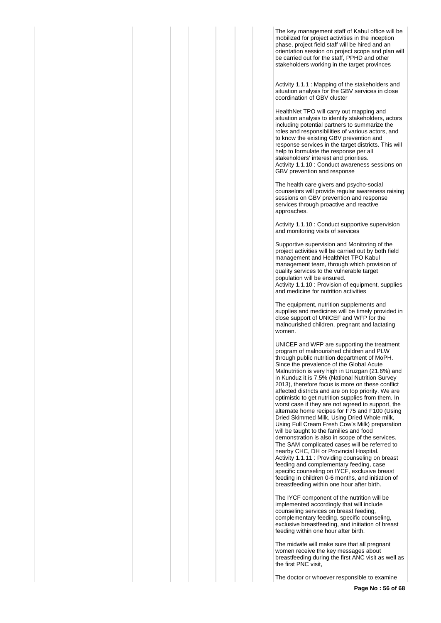The key management staff of Kabul office will be mobilized for project activities in the inception phase, project field staff will be hired and an orientation session on project scope and plan will be carried out for the staff, PPHD and other stakeholders working in the target provinces

Activity 1.1.1 : Mapping of the stakeholders and situation analysis for the GBV services in close coordination of GBV cluster

HealthNet TPO will carry out mapping and situation analysis to identify stakeholders, actors including potential partners to summarize the roles and responsibilities of various actors, and to know the existing GBV prevention and response services in the target districts. This will help to formulate the response per all stakeholders' interest and priorities. Activity 1.1.10 : Conduct awareness sessions on GBV prevention and response

The health care givers and psycho-social counselors will provide regular awareness raising sessions on GBV prevention and response services through proactive and reactive approaches.

Activity 1.1.10 : Conduct supportive supervision and monitoring visits of services

Supportive supervision and Monitoring of the project activities will be carried out by both field management and HealthNet TPO Kabul management team, through which provision of quality services to the vulnerable target population will be ensured. Activity 1.1.10 : Provision of equipment, supplies and medicine for nutrition activities

The equipment, nutrition supplements and supplies and medicines will be timely provided in close support of UNICEF and WFP for the malnourished children, pregnant and lactating women.

UNICEF and WFP are supporting the treatment program of malnourished children and PLW through public nutrition department of MoPH. Since the prevalence of the Global Acute Malnutrition is very high in Uruzgan (21.6%) and in Kunduz it is 7.5% (National Nutrition Survey 2013), therefore focus is more on these conflict affected districts and are on top priority. We are optimistic to get nutrition supplies from them. In worst case if they are not agreed to support, the alternate home recipes for F75 and F100 (Using Dried Skimmed Milk, Using Dried Whole milk, Using Full Cream Fresh Cow's Milk) preparation will be taught to the families and food demonstration is also in scope of the services. The SAM complicated cases will be referred to nearby CHC, DH or Provincial Hospital. Activity 1.1.11 : Providing counseling on breast feeding and complementary feeding, case specific counseling on IYCF, exclusive breast feeding in children 0-6 months, and initiation of breastfeeding within one hour after birth.

The IYCF component of the nutrition will be implemented accordingly that will include counseling services on breast feeding, complementary feeding, specific counseling, exclusive breastfeeding, and initiation of breast feeding within one hour after birth.

The midwife will make sure that all pregnant women receive the key messages about breastfeeding during the first ANC visit as well as the first PNC visit,

The doctor or whoever responsible to examine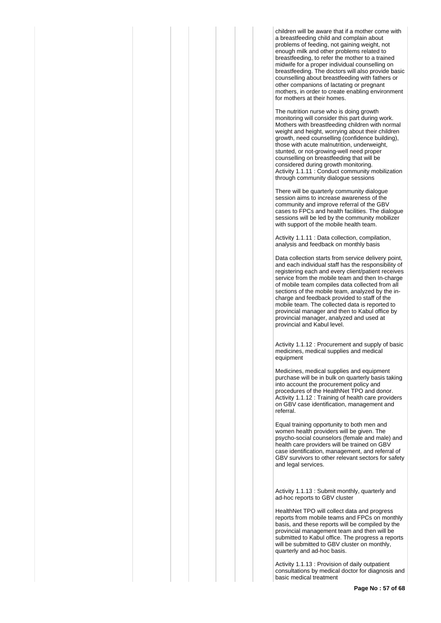children will be aware that if a mother come with a breastfeeding child and complain about problems of feeding, not gaining weight, not enough milk and other problems related to breastfeeding, to refer the mother to a trained midwife for a proper individual counselling on breastfeeding. The doctors will also provide basic counselling about breastfeeding with fathers or other companions of lactating or pregnant mothers, in order to create enabling environment for mothers at their homes.

The nutrition nurse who is doing growth monitoring will consider this part during work. Mothers with breastfeeding children with normal weight and height, worrying about their children growth, need counselling (confidence building), those with acute malnutrition, underweight, stunted, or not-growing-well need proper counselling on breastfeeding that will be considered during growth monitoring. Activity 1.1.11 : Conduct community mobilization through community dialogue sessions

There will be quarterly community dialogue session aims to increase awareness of the community and improve referral of the GBV cases to FPCs and health facilities. The dialogue sessions will be led by the community mobilizer with support of the mobile health team.

Activity 1.1.11 : Data collection, compilation, analysis and feedback on monthly basis

Data collection starts from service delivery point. and each individual staff has the responsibility of registering each and every client/patient receives service from the mobile team and then In-charge of mobile team compiles data collected from all sections of the mobile team, analyzed by the incharge and feedback provided to staff of the mobile team. The collected data is reported to provincial manager and then to Kabul office by provincial manager, analyzed and used at provincial and Kabul level.

Activity 1.1.12 : Procurement and supply of basic medicines, medical supplies and medical equipment

Medicines, medical supplies and equipment purchase will be in bulk on quarterly basis taking into account the procurement policy and procedures of the HealthNet TPO and donor. Activity 1.1.12 : Training of health care providers on GBV case identification, management and referral.

Equal training opportunity to both men and women health providers will be given. The psycho-social counselors (female and male) and health care providers will be trained on GBV case identification, management, and referral of GBV survivors to other relevant sectors for safety and legal services.

Activity 1.1.13 : Submit monthly, quarterly and ad-hoc reports to GBV cluster

HealthNet TPO will collect data and progress reports from mobile teams and FPCs on monthly basis, and these reports will be compiled by the provincial management team and then will be submitted to Kabul office. The progress a reports will be submitted to GBV cluster on monthly, quarterly and ad-hoc basis.

Activity 1.1.13 : Provision of daily outpatient consultations by medical doctor for diagnosis and basic medical treatment

**Page No : 57 of 68**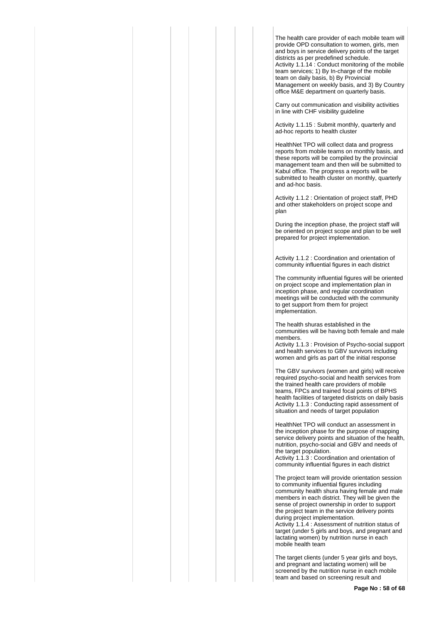The health care provider of each mobile team will provide OPD consultation to women, girls, men and boys in service delivery points of the target districts as per predefined schedule. Activity 1.1.14 : Conduct monitoring of the mobile team services; 1) By In-charge of the mobile team on daily basis, b) By Provincial Management on weekly basis, and 3) By Country office M&E department on quarterly basis.

Carry out communication and visibility activities in line with CHF visibility guideline

Activity 1.1.15 : Submit monthly, quarterly and ad-hoc reports to health cluster

HealthNet TPO will collect data and progress reports from mobile teams on monthly basis, and these reports will be compiled by the provincial management team and then will be submitted to Kabul office. The progress a reports will be submitted to health cluster on monthly, quarterly and ad-hoc basis.

Activity 1.1.2 : Orientation of project staff, PHD and other stakeholders on project scope and plan

During the inception phase, the project staff will be oriented on project scope and plan to be well prepared for project implementation.

Activity 1.1.2 : Coordination and orientation of community influential figures in each district

The community influential figures will be oriented on project scope and implementation plan in inception phase, and regular coordination meetings will be conducted with the community to get support from them for project implementation.

The health shuras established in the communities will be having both female and male members.

Activity 1.1.3 : Provision of Psycho-social support and health services to GBV survivors including women and girls as part of the initial response

The GBV survivors (women and girls) will receive required psycho-social and health services from the trained health care providers of mobile teams, FPCs and trained focal points of BPHS health facilities of targeted districts on daily basis Activity 1.1.3 : Conducting rapid assessment of situation and needs of target population

HealthNet TPO will conduct an assessment in the inception phase for the purpose of mapping service delivery points and situation of the health, nutrition, psycho-social and GBV and needs of the target population.

Activity 1.1.3 : Coordination and orientation of community influential figures in each district

The project team will provide orientation session to community influential figures including community health shura having female and male members in each district. They will be given the sense of project ownership in order to support the project team in the service delivery points during project implementation.

Activity 1.1.4 : Assessment of nutrition status of target (under 5 girls and boys, and pregnant and lactating women) by nutrition nurse in each mobile health team

The target clients (under 5 year girls and boys, and pregnant and lactating women) will be screened by the nutrition nurse in each mobile team and based on screening result and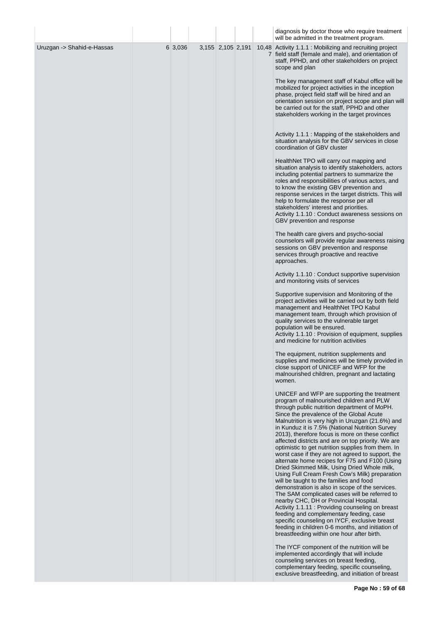|                            |         |                   |  | diagnosis by doctor those who require treatment<br>will be admitted in the treatment program.                                                                                                                                                                                                                                                                                                                                                                                                                                                                                                                                                                                                                                                                                                                                                                                                                                                                                                                                                                                                                                                                 |
|----------------------------|---------|-------------------|--|---------------------------------------------------------------------------------------------------------------------------------------------------------------------------------------------------------------------------------------------------------------------------------------------------------------------------------------------------------------------------------------------------------------------------------------------------------------------------------------------------------------------------------------------------------------------------------------------------------------------------------------------------------------------------------------------------------------------------------------------------------------------------------------------------------------------------------------------------------------------------------------------------------------------------------------------------------------------------------------------------------------------------------------------------------------------------------------------------------------------------------------------------------------|
| Uruzgan -> Shahid-e-Hassas | 6 3,036 | 3,155 2,105 2,191 |  | 10,48 Activity 1.1.1 : Mobilizing and recruiting project<br>7 field staff (female and male), and orientation of<br>staff, PPHD, and other stakeholders on project<br>scope and plan                                                                                                                                                                                                                                                                                                                                                                                                                                                                                                                                                                                                                                                                                                                                                                                                                                                                                                                                                                           |
|                            |         |                   |  | The key management staff of Kabul office will be<br>mobilized for project activities in the inception<br>phase, project field staff will be hired and an<br>orientation session on project scope and plan will<br>be carried out for the staff, PPHD and other<br>stakeholders working in the target provinces                                                                                                                                                                                                                                                                                                                                                                                                                                                                                                                                                                                                                                                                                                                                                                                                                                                |
|                            |         |                   |  | Activity 1.1.1 : Mapping of the stakeholders and<br>situation analysis for the GBV services in close<br>coordination of GBV cluster                                                                                                                                                                                                                                                                                                                                                                                                                                                                                                                                                                                                                                                                                                                                                                                                                                                                                                                                                                                                                           |
|                            |         |                   |  | HealthNet TPO will carry out mapping and<br>situation analysis to identify stakeholders, actors<br>including potential partners to summarize the<br>roles and responsibilities of various actors, and<br>to know the existing GBV prevention and<br>response services in the target districts. This will<br>help to formulate the response per all<br>stakeholders' interest and priorities.<br>Activity 1.1.10 : Conduct awareness sessions on<br>GBV prevention and response                                                                                                                                                                                                                                                                                                                                                                                                                                                                                                                                                                                                                                                                                |
|                            |         |                   |  | The health care givers and psycho-social<br>counselors will provide regular awareness raising<br>sessions on GBV prevention and response<br>services through proactive and reactive<br>approaches.                                                                                                                                                                                                                                                                                                                                                                                                                                                                                                                                                                                                                                                                                                                                                                                                                                                                                                                                                            |
|                            |         |                   |  | Activity 1.1.10 : Conduct supportive supervision<br>and monitoring visits of services                                                                                                                                                                                                                                                                                                                                                                                                                                                                                                                                                                                                                                                                                                                                                                                                                                                                                                                                                                                                                                                                         |
|                            |         |                   |  | Supportive supervision and Monitoring of the<br>project activities will be carried out by both field<br>management and HealthNet TPO Kabul<br>management team, through which provision of<br>quality services to the vulnerable target<br>population will be ensured.<br>Activity 1.1.10: Provision of equipment, supplies<br>and medicine for nutrition activities                                                                                                                                                                                                                                                                                                                                                                                                                                                                                                                                                                                                                                                                                                                                                                                           |
|                            |         |                   |  | The equipment, nutrition supplements and<br>supplies and medicines will be timely provided in<br>close support of UNICEF and WFP for the<br>malnourished children, pregnant and lactating<br>women.                                                                                                                                                                                                                                                                                                                                                                                                                                                                                                                                                                                                                                                                                                                                                                                                                                                                                                                                                           |
|                            |         |                   |  | UNICEF and WFP are supporting the treatment<br>program of malnourished children and PLW<br>through public nutrition department of MoPH.<br>Since the prevalence of the Global Acute<br>Malnutrition is very high in Uruzgan (21.6%) and<br>in Kunduz it is 7.5% (National Nutrition Survey<br>2013), therefore focus is more on these conflict<br>affected districts and are on top priority. We are<br>optimistic to get nutrition supplies from them. In<br>worst case if they are not agreed to support, the<br>alternate home recipes for F75 and F100 (Using<br>Dried Skimmed Milk, Using Dried Whole milk,<br>Using Full Cream Fresh Cow's Milk) preparation<br>will be taught to the families and food<br>demonstration is also in scope of the services.<br>The SAM complicated cases will be referred to<br>nearby CHC, DH or Provincial Hospital.<br>Activity 1.1.11 : Providing counseling on breast<br>feeding and complementary feeding, case<br>specific counseling on IYCF, exclusive breast<br>feeding in children 0-6 months, and initiation of<br>breastfeeding within one hour after birth.<br>The IYCF component of the nutrition will be |
|                            |         |                   |  | implemented accordingly that will include<br>counseling services on breast feeding,<br>complementary feeding, specific counseling,<br>exclusive breastfeeding, and initiation of breast                                                                                                                                                                                                                                                                                                                                                                                                                                                                                                                                                                                                                                                                                                                                                                                                                                                                                                                                                                       |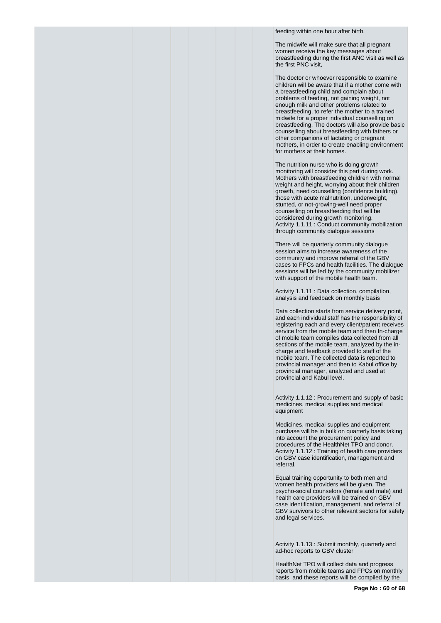feeding within one hour after birth.

The midwife will make sure that all pregnant women receive the key messages about breastfeeding during the first ANC visit as well as the first PNC visit,

The doctor or whoever responsible to examine children will be aware that if a mother come with a breastfeeding child and complain about problems of feeding, not gaining weight, not enough milk and other problems related to breastfeeding, to refer the mother to a trained midwife for a proper individual counselling on breastfeeding. The doctors will also provide basic counselling about breastfeeding with fathers or other companions of lactating or pregnant mothers, in order to create enabling environment for mothers at their homes.

The nutrition nurse who is doing growth monitoring will consider this part during work. Mothers with breastfeeding children with normal weight and height, worrying about their children growth, need counselling (confidence building), those with acute malnutrition, underweight, stunted, or not-growing-well need proper counselling on breastfeeding that will be considered during growth monitoring. Activity 1.1.11 : Conduct community mobilization through community dialogue sessions

There will be quarterly community dialogue session aims to increase awareness of the community and improve referral of the GBV cases to FPCs and health facilities. The dialogue sessions will be led by the community mobilizer with support of the mobile health team.

Activity 1.1.11 : Data collection, compilation, analysis and feedback on monthly basis

Data collection starts from service delivery point, and each individual staff has the responsibility of registering each and every client/patient receives service from the mobile team and then In-charge of mobile team compiles data collected from all sections of the mobile team, analyzed by the incharge and feedback provided to staff of the mobile team. The collected data is reported to provincial manager and then to Kabul office by provincial manager, analyzed and used at provincial and Kabul level.

Activity 1.1.12 : Procurement and supply of basic medicines, medical supplies and medical equipment

Medicines, medical supplies and equipment purchase will be in bulk on quarterly basis taking into account the procurement policy and procedures of the HealthNet TPO and donor. Activity 1.1.12 : Training of health care providers on GBV case identification, management and referral.

Equal training opportunity to both men and women health providers will be given. The psycho-social counselors (female and male) and health care providers will be trained on GBV case identification, management, and referral of GBV survivors to other relevant sectors for safety and legal services.

Activity 1.1.13 : Submit monthly, quarterly and ad-hoc reports to GBV cluster

HealthNet TPO will collect data and progress reports from mobile teams and FPCs on monthly basis, and these reports will be compiled by the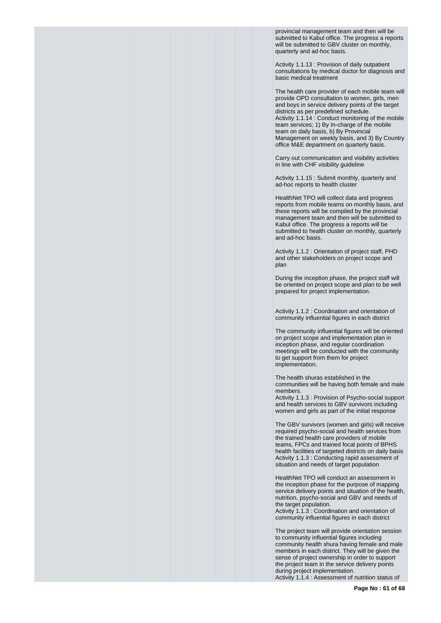provincial management team and then will be submitted to Kabul office. The progress a reports will be submitted to GBV cluster on monthly, quarterly and ad-hoc basis.

Activity 1.1.13 : Provision of daily outpatient consultations by medical doctor for diagnosis and basic medical treatment

The health care provider of each mobile team will provide OPD consultation to women, girls, men and boys in service delivery points of the target districts as per predefined schedule. Activity 1.1.14 : Conduct monitoring of the mobile team services; 1) By In-charge of the mobile team on daily basis, b) By Provincial Management on weekly basis, and 3) By Country office M&E department on quarterly basis.

Carry out communication and visibility activities in line with CHF visibility guideline

Activity 1.1.15 : Submit monthly, quarterly and ad-hoc reports to health cluster

HealthNet TPO will collect data and progress reports from mobile teams on monthly basis, and these reports will be compiled by the provincial management team and then will be submitted to Kabul office. The progress a reports will be submitted to health cluster on monthly, quarterly and ad-hoc basis.

Activity 1.1.2 : Orientation of project staff, PHD and other stakeholders on project scope and plan

During the inception phase, the project staff will be oriented on project scope and plan to be well prepared for project implementation.

Activity 1.1.2 : Coordination and orientation of community influential figures in each district

The community influential figures will be oriented on project scope and implementation plan in inception phase, and regular coordination meetings will be conducted with the community to get support from them for project implementation.

The health shuras established in the communities will be having both female and male members.

Activity 1.1.3 : Provision of Psycho-social support and health services to GBV survivors including women and girls as part of the initial response

The GBV survivors (women and girls) will receive required psycho-social and health services from the trained health care providers of mobile teams, FPCs and trained focal points of BPHS health facilities of targeted districts on daily basis Activity 1.1.3 : Conducting rapid assessment of situation and needs of target population

HealthNet TPO will conduct an assessment in the inception phase for the purpose of mapping service delivery points and situation of the health, nutrition, psycho-social and GBV and needs of the target population.

Activity 1.1.3 : Coordination and orientation of community influential figures in each district

The project team will provide orientation session to community influential figures including community health shura having female and male members in each district. They will be given the sense of project ownership in order to support the project team in the service delivery points during project implementation. Activity 1.1.4 : Assessment of nutrition status of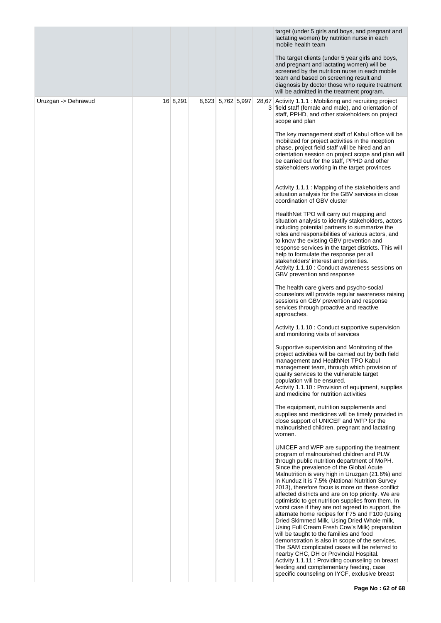| 16 8,291 |                   |  | The target clients (under 5 year girls and boys,<br>and pregnant and lactating women) will be                                                                                                                                                                                                                                                                                                                                                                                                                                                                                                                                                                                                                                                                                                                                                                                                                                                                                                              |
|----------|-------------------|--|------------------------------------------------------------------------------------------------------------------------------------------------------------------------------------------------------------------------------------------------------------------------------------------------------------------------------------------------------------------------------------------------------------------------------------------------------------------------------------------------------------------------------------------------------------------------------------------------------------------------------------------------------------------------------------------------------------------------------------------------------------------------------------------------------------------------------------------------------------------------------------------------------------------------------------------------------------------------------------------------------------|
|          |                   |  | screened by the nutrition nurse in each mobile<br>team and based on screening result and<br>diagnosis by doctor those who require treatment<br>will be admitted in the treatment program.                                                                                                                                                                                                                                                                                                                                                                                                                                                                                                                                                                                                                                                                                                                                                                                                                  |
|          | 8,623 5,762 5,997 |  | 28,67 Activity 1.1.1 : Mobilizing and recruiting project<br>3 field staff (female and male), and orientation of<br>staff, PPHD, and other stakeholders on project<br>scope and plan                                                                                                                                                                                                                                                                                                                                                                                                                                                                                                                                                                                                                                                                                                                                                                                                                        |
|          |                   |  | The key management staff of Kabul office will be<br>mobilized for project activities in the inception<br>phase, project field staff will be hired and an<br>orientation session on project scope and plan will<br>be carried out for the staff, PPHD and other<br>stakeholders working in the target provinces                                                                                                                                                                                                                                                                                                                                                                                                                                                                                                                                                                                                                                                                                             |
|          |                   |  | Activity 1.1.1 : Mapping of the stakeholders and<br>situation analysis for the GBV services in close<br>coordination of GBV cluster                                                                                                                                                                                                                                                                                                                                                                                                                                                                                                                                                                                                                                                                                                                                                                                                                                                                        |
|          |                   |  | HealthNet TPO will carry out mapping and<br>situation analysis to identify stakeholders, actors<br>including potential partners to summarize the<br>roles and responsibilities of various actors, and<br>to know the existing GBV prevention and<br>response services in the target districts. This will<br>help to formulate the response per all<br>stakeholders' interest and priorities.<br>Activity 1.1.10 : Conduct awareness sessions on<br>GBV prevention and response                                                                                                                                                                                                                                                                                                                                                                                                                                                                                                                             |
|          |                   |  | The health care givers and psycho-social<br>counselors will provide regular awareness raising<br>sessions on GBV prevention and response<br>services through proactive and reactive<br>approaches.                                                                                                                                                                                                                                                                                                                                                                                                                                                                                                                                                                                                                                                                                                                                                                                                         |
|          |                   |  | Activity 1.1.10 : Conduct supportive supervision<br>and monitoring visits of services                                                                                                                                                                                                                                                                                                                                                                                                                                                                                                                                                                                                                                                                                                                                                                                                                                                                                                                      |
|          |                   |  | Supportive supervision and Monitoring of the<br>project activities will be carried out by both field<br>management and HealthNet TPO Kabul<br>management team, through which provision of<br>quality services to the vulnerable target<br>population will be ensured.<br>Activity 1.1.10: Provision of equipment, supplies<br>and medicine for nutrition activities                                                                                                                                                                                                                                                                                                                                                                                                                                                                                                                                                                                                                                        |
|          |                   |  | The equipment, nutrition supplements and<br>supplies and medicines will be timely provided in<br>close support of UNICEF and WFP for the<br>malnourished children, pregnant and lactating<br>women.                                                                                                                                                                                                                                                                                                                                                                                                                                                                                                                                                                                                                                                                                                                                                                                                        |
|          |                   |  | UNICEF and WFP are supporting the treatment<br>program of malnourished children and PLW<br>through public nutrition department of MoPH.<br>Since the prevalence of the Global Acute<br>Malnutrition is very high in Uruzgan (21.6%) and<br>in Kunduz it is 7.5% (National Nutrition Survey<br>2013), therefore focus is more on these conflict<br>affected districts and are on top priority. We are<br>optimistic to get nutrition supplies from them. In<br>worst case if they are not agreed to support, the<br>alternate home recipes for F75 and F100 (Using<br>Dried Skimmed Milk, Using Dried Whole milk,<br>Using Full Cream Fresh Cow's Milk) preparation<br>will be taught to the families and food<br>demonstration is also in scope of the services.<br>The SAM complicated cases will be referred to<br>nearby CHC, DH or Provincial Hospital.<br>Activity 1.1.11: Providing counseling on breast<br>feeding and complementary feeding, case<br>specific counseling on IYCF, exclusive breast |
|          |                   |  |                                                                                                                                                                                                                                                                                                                                                                                                                                                                                                                                                                                                                                                                                                                                                                                                                                                                                                                                                                                                            |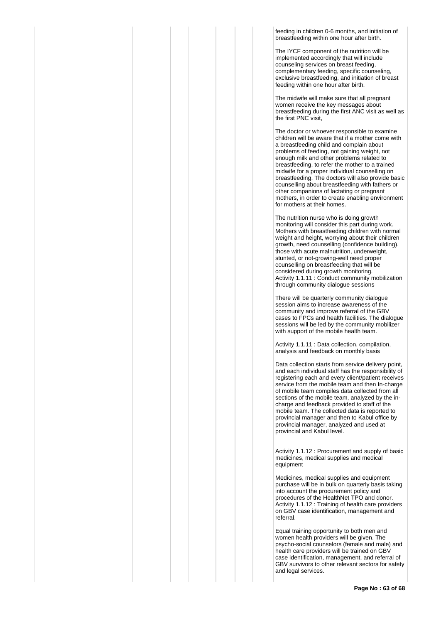feeding in children 0-6 months, and initiation of breastfeeding within one hour after birth.

The IYCF component of the nutrition will be implemented accordingly that will include counseling services on breast feeding, complementary feeding, specific counseling, exclusive breastfeeding, and initiation of breast feeding within one hour after birth.

The midwife will make sure that all pregnant women receive the key messages about breastfeeding during the first ANC visit as well as the first PNC visit,

The doctor or whoever responsible to examine children will be aware that if a mother come with a breastfeeding child and complain about problems of feeding, not gaining weight, not enough milk and other problems related to breastfeeding, to refer the mother to a trained midwife for a proper individual counselling on breastfeeding. The doctors will also provide basic counselling about breastfeeding with fathers or other companions of lactating or pregnant mothers, in order to create enabling environment for mothers at their homes.

The nutrition nurse who is doing growth monitoring will consider this part during work. Mothers with breastfeeding children with normal weight and height, worrying about their children growth, need counselling (confidence building), those with acute malnutrition, underweight, stunted, or not-growing-well need proper counselling on breastfeeding that will be considered during growth monitoring. Activity 1.1.11 : Conduct community mobilization through community dialogue sessions

There will be quarterly community dialogue session aims to increase awareness of the community and improve referral of the GBV cases to FPCs and health facilities. The dialogue sessions will be led by the community mobilizer with support of the mobile health team.

Activity 1.1.11 : Data collection, compilation, analysis and feedback on monthly basis

Data collection starts from service delivery point, and each individual staff has the responsibility of registering each and every client/patient receives service from the mobile team and then In-charge of mobile team compiles data collected from all sections of the mobile team, analyzed by the incharge and feedback provided to staff of the mobile team. The collected data is reported to provincial manager and then to Kabul office by provincial manager, analyzed and used at provincial and Kabul level.

Activity 1.1.12 : Procurement and supply of basic medicines, medical supplies and medical equipment

Medicines, medical supplies and equipment purchase will be in bulk on quarterly basis taking into account the procurement policy and procedures of the HealthNet TPO and donor. Activity 1.1.12 : Training of health care providers on GBV case identification, management and referral.

Equal training opportunity to both men and women health providers will be given. The psycho-social counselors (female and male) and health care providers will be trained on GBV case identification, management, and referral of GBV survivors to other relevant sectors for safety and legal services.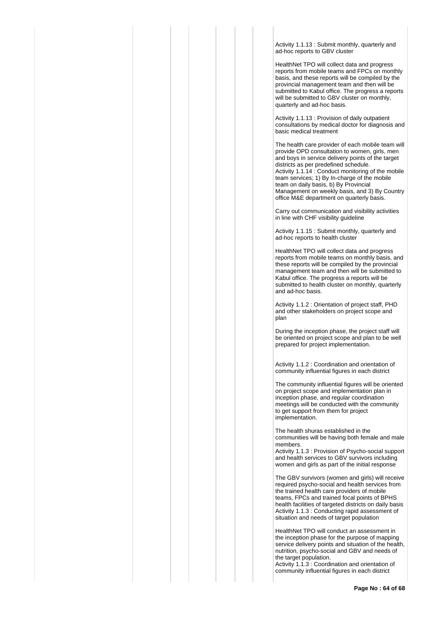Activity 1.1.13 : Submit monthly, quarterly and ad-hoc reports to GBV cluster

HealthNet TPO will collect data and progress reports from mobile teams and FPCs on monthly basis, and these reports will be compiled by the provincial management team and then will be submitted to Kabul office. The progress a reports will be submitted to GBV cluster on monthly. quarterly and ad-hoc basis.

Activity 1.1.13 : Provision of daily outpatient consultations by medical doctor for diagnosis and basic medical treatment

The health care provider of each mobile team will provide OPD consultation to women, girls, men and boys in service delivery points of the target districts as per predefined schedule. Activity 1.1.14 : Conduct monitoring of the mobile team services; 1) By In-charge of the mobile team on daily basis, b) By Provincial Management on weekly basis, and 3) By Country office M&E department on quarterly basis.

Carry out communication and visibility activities in line with CHF visibility guideline

Activity 1.1.15 : Submit monthly, quarterly and ad-hoc reports to health cluster

HealthNet TPO will collect data and progress reports from mobile teams on monthly basis, and these reports will be compiled by the provincial management team and then will be submitted to Kabul office. The progress a reports will be submitted to health cluster on monthly, quarterly and ad-hoc basis.

Activity 1.1.2 : Orientation of project staff, PHD and other stakeholders on project scope and plan

During the inception phase, the project staff will be oriented on project scope and plan to be well prepared for project implementation.

Activity 1.1.2 : Coordination and orientation of community influential figures in each district

The community influential figures will be oriented on project scope and implementation plan in inception phase, and regular coordination meetings will be conducted with the community to get support from them for project implementation.

The health shuras established in the communities will be having both female and male members.

Activity 1.1.3 : Provision of Psycho-social support and health services to GBV survivors including women and girls as part of the initial response

The GBV survivors (women and girls) will receive required psycho-social and health services from the trained health care providers of mobile teams, FPCs and trained focal points of BPHS health facilities of targeted districts on daily basis Activity 1.1.3 : Conducting rapid assessment of situation and needs of target population

HealthNet TPO will conduct an assessment in the inception phase for the purpose of mapping service delivery points and situation of the health, nutrition, psycho-social and GBV and needs of the target population.

Activity 1.1.3 : Coordination and orientation of community influential figures in each district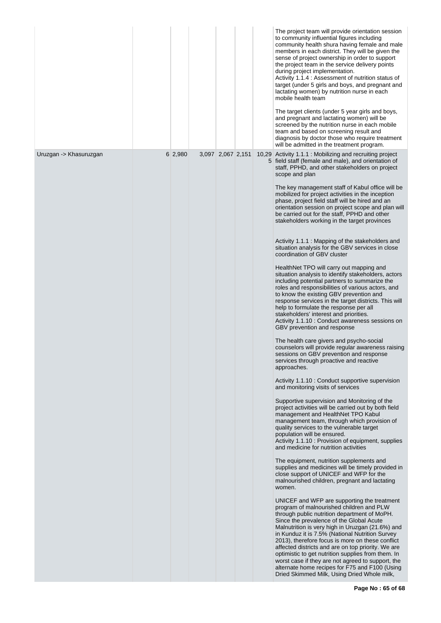|                        |         |                   |  | The project team will provide orientation session<br>to community influential figures including<br>community health shura having female and male<br>members in each district. They will be given the<br>sense of project ownership in order to support<br>the project team in the service delivery points<br>during project implementation.<br>Activity 1.1.4 : Assessment of nutrition status of<br>target (under 5 girls and boys, and pregnant and<br>lactating women) by nutrition nurse in each<br>mobile health team<br>The target clients (under 5 year girls and boys,<br>and pregnant and lactating women) will be<br>screened by the nutrition nurse in each mobile<br>team and based on screening result and<br>diagnosis by doctor those who require treatment                                                                                                                                                                                                                                                                                                                                                                                                                                                                                                                                                                                                                                                                                                                                                                                                                                                                                                                                                                                                                                                                                                                                                                                                                                                                                                                                                                                                                                                                                                                                                                                                                                                                                                                                                                                                                                                                                                     |
|------------------------|---------|-------------------|--|--------------------------------------------------------------------------------------------------------------------------------------------------------------------------------------------------------------------------------------------------------------------------------------------------------------------------------------------------------------------------------------------------------------------------------------------------------------------------------------------------------------------------------------------------------------------------------------------------------------------------------------------------------------------------------------------------------------------------------------------------------------------------------------------------------------------------------------------------------------------------------------------------------------------------------------------------------------------------------------------------------------------------------------------------------------------------------------------------------------------------------------------------------------------------------------------------------------------------------------------------------------------------------------------------------------------------------------------------------------------------------------------------------------------------------------------------------------------------------------------------------------------------------------------------------------------------------------------------------------------------------------------------------------------------------------------------------------------------------------------------------------------------------------------------------------------------------------------------------------------------------------------------------------------------------------------------------------------------------------------------------------------------------------------------------------------------------------------------------------------------------------------------------------------------------------------------------------------------------------------------------------------------------------------------------------------------------------------------------------------------------------------------------------------------------------------------------------------------------------------------------------------------------------------------------------------------------------------------------------------------------------------------------------------------------|
| Uruzgan -> Khasuruzgan | 6 2,980 | 3,097 2,067 2,151 |  | will be admitted in the treatment program.<br>10,29 Activity 1.1.1 : Mobilizing and recruiting project<br>5 field staff (female and male), and orientation of<br>staff, PPHD, and other stakeholders on project<br>scope and plan<br>The key management staff of Kabul office will be<br>mobilized for project activities in the inception<br>phase, project field staff will be hired and an<br>orientation session on project scope and plan will<br>be carried out for the staff, PPHD and other<br>stakeholders working in the target provinces<br>Activity 1.1.1 : Mapping of the stakeholders and<br>situation analysis for the GBV services in close<br>coordination of GBV cluster<br>HealthNet TPO will carry out mapping and<br>situation analysis to identify stakeholders, actors<br>including potential partners to summarize the<br>roles and responsibilities of various actors, and<br>to know the existing GBV prevention and<br>response services in the target districts. This will<br>help to formulate the response per all<br>stakeholders' interest and priorities.<br>Activity 1.1.10 : Conduct awareness sessions on<br>GBV prevention and response<br>The health care givers and psycho-social<br>counselors will provide regular awareness raising<br>sessions on GBV prevention and response<br>services through proactive and reactive<br>approaches.<br>Activity 1.1.10 : Conduct supportive supervision<br>and monitoring visits of services<br>Supportive supervision and Monitoring of the<br>project activities will be carried out by both field<br>management and HealthNet TPO Kabul<br>management team, through which provision of<br>quality services to the vulnerable target<br>population will be ensured.<br>Activity 1.1.10 : Provision of equipment, supplies<br>and medicine for nutrition activities<br>The equipment, nutrition supplements and<br>supplies and medicines will be timely provided in<br>close support of UNICEF and WFP for the<br>malnourished children, pregnant and lactating<br>women.<br>UNICEF and WFP are supporting the treatment<br>program of malnourished children and PLW<br>through public nutrition department of MoPH.<br>Since the prevalence of the Global Acute<br>Malnutrition is very high in Uruzgan (21.6%) and<br>in Kunduz it is 7.5% (National Nutrition Survey<br>2013), therefore focus is more on these conflict<br>affected districts and are on top priority. We are<br>optimistic to get nutrition supplies from them. In<br>worst case if they are not agreed to support, the<br>alternate home recipes for F75 and F100 (Using<br>Dried Skimmed Milk, Using Dried Whole milk, |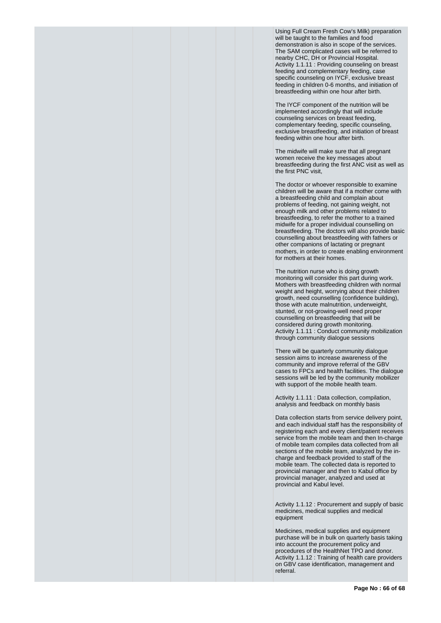Using Full Cream Fresh Cow's Milk) preparation will be taught to the families and food demonstration is also in scope of the services. The SAM complicated cases will be referred to nearby CHC, DH or Provincial Hospital. Activity 1.1.11 : Providing counseling on breast feeding and complementary feeding, case specific counseling on IYCF, exclusive breast feeding in children 0-6 months, and initiation of breastfeeding within one hour after birth.

The IYCF component of the nutrition will be implemented accordingly that will include counseling services on breast feeding, complementary feeding, specific counseling, exclusive breastfeeding, and initiation of breast feeding within one hour after birth.

The midwife will make sure that all pregnant women receive the key messages about breastfeeding during the first ANC visit as well as the first PNC visit,

The doctor or whoever responsible to examine children will be aware that if a mother come with a breastfeeding child and complain about problems of feeding, not gaining weight, not enough milk and other problems related to breastfeeding, to refer the mother to a trained midwife for a proper individual counselling on breastfeeding. The doctors will also provide basic counselling about breastfeeding with fathers or other companions of lactating or pregnant mothers, in order to create enabling environment for mothers at their homes.

The nutrition nurse who is doing growth monitoring will consider this part during work. Mothers with breastfeeding children with normal weight and height, worrying about their children growth, need counselling (confidence building), those with acute malnutrition, underweight, stunted, or not-growing-well need proper counselling on breastfeeding that will be considered during growth monitoring. Activity 1.1.11 : Conduct community mobilization through community dialogue sessions

There will be quarterly community dialogue session aims to increase awareness of the community and improve referral of the GBV cases to FPCs and health facilities. The dialogue sessions will be led by the community mobilizer with support of the mobile health team.

Activity 1.1.11 : Data collection, compilation, analysis and feedback on monthly basis

Data collection starts from service delivery point, and each individual staff has the responsibility of registering each and every client/patient receives service from the mobile team and then In-charge of mobile team compiles data collected from all sections of the mobile team, analyzed by the incharge and feedback provided to staff of the mobile team. The collected data is reported to provincial manager and then to Kabul office by provincial manager, analyzed and used at provincial and Kabul level.

Activity 1.1.12 : Procurement and supply of basic medicines, medical supplies and medical equipment

Medicines, medical supplies and equipment purchase will be in bulk on quarterly basis taking into account the procurement policy and procedures of the HealthNet TPO and donor. Activity 1.1.12 : Training of health care providers on GBV case identification, management and referral.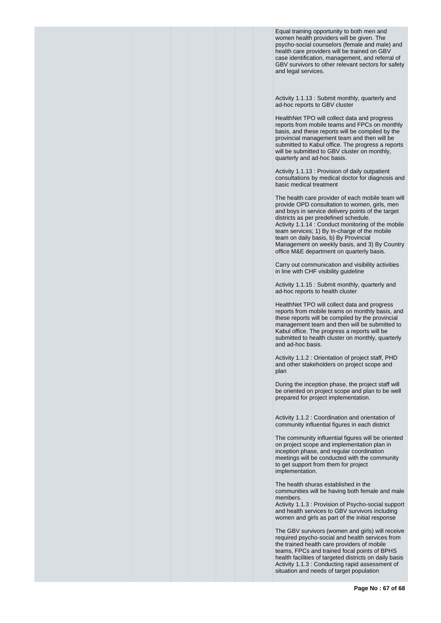Equal training opportunity to both men and women health providers will be given. The psycho-social counselors (female and male) and health care providers will be trained on GBV case identification, management, and referral of GBV survivors to other relevant sectors for safety and legal services.

Activity 1.1.13 : Submit monthly, quarterly and ad-hoc reports to GBV cluster

HealthNet TPO will collect data and progress reports from mobile teams and FPCs on monthly basis, and these reports will be compiled by the provincial management team and then will be submitted to Kabul office. The progress a reports will be submitted to GBV cluster on monthly, quarterly and ad-hoc basis.

Activity 1.1.13 : Provision of daily outpatient consultations by medical doctor for diagnosis and basic medical treatment

The health care provider of each mobile team will provide OPD consultation to women, girls, men and boys in service delivery points of the target districts as per predefined schedule. Activity 1.1.14 : Conduct monitoring of the mobile team services; 1) By In-charge of the mobile team on daily basis, b) By Provincial Management on weekly basis, and 3) By Country office M&E department on quarterly basis.

Carry out communication and visibility activities in line with CHF visibility guideline

Activity 1.1.15 : Submit monthly, quarterly and ad-hoc reports to health cluster

HealthNet TPO will collect data and progress reports from mobile teams on monthly basis, and these reports will be compiled by the provincial management team and then will be submitted to Kabul office. The progress a reports will be submitted to health cluster on monthly, quarterly and ad-hoc basis.

Activity 1.1.2 : Orientation of project staff, PHD and other stakeholders on project scope and plan

During the inception phase, the project staff will be oriented on project scope and plan to be well prepared for project implementation.

Activity 1.1.2 : Coordination and orientation of community influential figures in each district

The community influential figures will be oriented on project scope and implementation plan in inception phase, and regular coordination meetings will be conducted with the community to get support from them for project implementation.

The health shuras established in the communities will be having both female and male members.

Activity 1.1.3 : Provision of Psycho-social support and health services to GBV survivors including women and girls as part of the initial response

The GBV survivors (women and girls) will receive required psycho-social and health services from the trained health care providers of mobile teams, FPCs and trained focal points of BPHS health facilities of targeted districts on daily basis Activity 1.1.3 : Conducting rapid assessment of situation and needs of target population